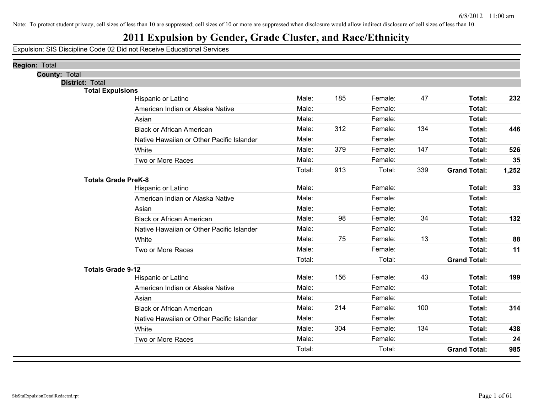## **2011 Expulsion by Gender, Grade Cluster, and Race/Ethnicity**

| <b>Region: Total</b>       |                                           |        |     |         |     |                     |       |
|----------------------------|-------------------------------------------|--------|-----|---------|-----|---------------------|-------|
| <b>County: Total</b>       |                                           |        |     |         |     |                     |       |
| District: Total            |                                           |        |     |         |     |                     |       |
| <b>Total Expulsions</b>    | Hispanic or Latino                        | Male:  | 185 | Female: | 47  | Total:              | 232   |
|                            | American Indian or Alaska Native          | Male:  |     | Female: |     | Total:              |       |
|                            | Asian                                     | Male:  |     | Female: |     | Total:              |       |
|                            | <b>Black or African American</b>          | Male:  | 312 | Female: | 134 | Total:              | 446   |
|                            | Native Hawaiian or Other Pacific Islander | Male:  |     | Female: |     | Total:              |       |
|                            |                                           | Male:  | 379 | Female: | 147 |                     |       |
|                            | White                                     |        |     |         |     | Total:              | 526   |
|                            | Two or More Races                         | Male:  |     | Female: |     | Total:              | 35    |
|                            |                                           | Total: | 913 | Total:  | 339 | <b>Grand Total:</b> | 1,252 |
| <b>Totals Grade PreK-8</b> | Hispanic or Latino                        | Male:  |     | Female: |     | Total:              | 33    |
|                            | American Indian or Alaska Native          | Male:  |     | Female: |     | Total:              |       |
|                            | Asian                                     | Male:  |     | Female: |     | Total:              |       |
|                            | <b>Black or African American</b>          | Male:  | 98  | Female: | 34  | Total:              | 132   |
|                            | Native Hawaiian or Other Pacific Islander | Male:  |     | Female: |     | Total:              |       |
|                            |                                           | Male:  | 75  | Female: | 13  |                     |       |
|                            | White                                     |        |     |         |     | Total:              | 88    |
|                            | Two or More Races                         | Male:  |     | Female: |     | Total:              | 11    |
|                            |                                           | Total: |     | Total:  |     | <b>Grand Total:</b> |       |
| <b>Totals Grade 9-12</b>   | Hispanic or Latino                        | Male:  | 156 | Female: | 43  | Total:              | 199   |
|                            | American Indian or Alaska Native          | Male:  |     | Female: |     | Total:              |       |
|                            |                                           | Male:  |     | Female: |     | Total:              |       |
|                            | Asian                                     |        |     |         |     |                     |       |
|                            | <b>Black or African American</b>          | Male:  | 214 | Female: | 100 | Total:              | 314   |
|                            | Native Hawaiian or Other Pacific Islander | Male:  |     | Female: |     | Total:              |       |
|                            | White                                     | Male:  | 304 | Female: | 134 | Total:              | 438   |
|                            | Two or More Races                         | Male:  |     | Female: |     | Total:              | 24    |
|                            |                                           | Total: |     | Total:  |     | <b>Grand Total:</b> | 985   |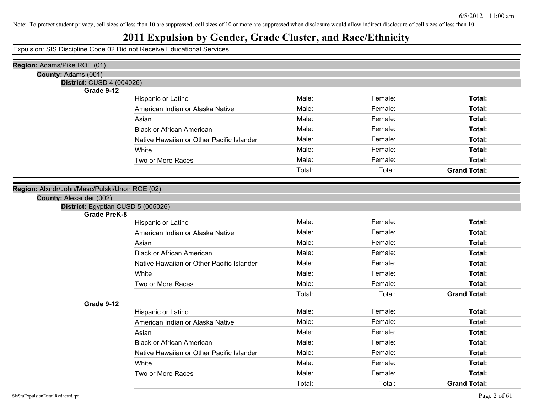## **2011 Expulsion by Gender, Grade Cluster, and Race/Ethnicity**

| Region: Adams/Pike ROE (01)                                                                                                                                                                                                                                                                                                                                                                     |                                           |        |         |                     |
|-------------------------------------------------------------------------------------------------------------------------------------------------------------------------------------------------------------------------------------------------------------------------------------------------------------------------------------------------------------------------------------------------|-------------------------------------------|--------|---------|---------------------|
| County: Adams (001)                                                                                                                                                                                                                                                                                                                                                                             |                                           |        |         |                     |
| <b>District: CUSD 4 (004026)</b><br>Grade 9-12<br>Male:<br>Female:<br>Total:<br>Hispanic or Latino<br>Male:<br>Female:<br>Total:<br>American Indian or Alaska Native<br>Male:<br>Female:<br>Total:<br>Asian<br>Male:<br>Female:<br>Total:<br><b>Black or African American</b><br>Male:<br>Female:<br>Total:<br>Native Hawaiian or Other Pacific Islander<br>Male:<br>Female:<br>White<br>Total: |                                           |        |         |                     |
|                                                                                                                                                                                                                                                                                                                                                                                                 |                                           |        |         |                     |
|                                                                                                                                                                                                                                                                                                                                                                                                 |                                           |        |         |                     |
|                                                                                                                                                                                                                                                                                                                                                                                                 |                                           |        |         |                     |
|                                                                                                                                                                                                                                                                                                                                                                                                 |                                           |        |         |                     |
|                                                                                                                                                                                                                                                                                                                                                                                                 |                                           |        |         |                     |
|                                                                                                                                                                                                                                                                                                                                                                                                 |                                           |        |         |                     |
|                                                                                                                                                                                                                                                                                                                                                                                                 |                                           |        |         |                     |
|                                                                                                                                                                                                                                                                                                                                                                                                 | Two or More Races                         | Male:  | Female: | Total:              |
|                                                                                                                                                                                                                                                                                                                                                                                                 |                                           | Total: | Total:  | <b>Grand Total:</b> |
| Region: Alxndr/John/Masc/Pulski/Unon ROE (02)                                                                                                                                                                                                                                                                                                                                                   |                                           |        |         |                     |
| County: Alexander (002)                                                                                                                                                                                                                                                                                                                                                                         |                                           |        |         |                     |
| District: Egyptian CUSD 5 (005026)                                                                                                                                                                                                                                                                                                                                                              |                                           |        |         |                     |
| <b>Grade PreK-8</b>                                                                                                                                                                                                                                                                                                                                                                             |                                           |        |         |                     |
|                                                                                                                                                                                                                                                                                                                                                                                                 | Hispanic or Latino                        | Male:  | Female: | Total:              |
|                                                                                                                                                                                                                                                                                                                                                                                                 | American Indian or Alaska Native          | Male:  | Female: | Total:              |
|                                                                                                                                                                                                                                                                                                                                                                                                 | Asian                                     | Male:  | Female: | Total:              |
|                                                                                                                                                                                                                                                                                                                                                                                                 | <b>Black or African American</b>          | Male:  | Female: | Total:              |
|                                                                                                                                                                                                                                                                                                                                                                                                 | Native Hawaiian or Other Pacific Islander | Male:  | Female: | Total:              |
|                                                                                                                                                                                                                                                                                                                                                                                                 | White                                     | Male:  | Female: | Total:              |
|                                                                                                                                                                                                                                                                                                                                                                                                 | Two or More Races                         | Male:  | Female: | Total:              |
|                                                                                                                                                                                                                                                                                                                                                                                                 |                                           | Total: | Total:  | <b>Grand Total:</b> |
| Grade 9-12                                                                                                                                                                                                                                                                                                                                                                                      |                                           |        |         |                     |
|                                                                                                                                                                                                                                                                                                                                                                                                 | Hispanic or Latino                        | Male:  | Female: | Total:              |
|                                                                                                                                                                                                                                                                                                                                                                                                 | American Indian or Alaska Native          | Male:  | Female: | Total:              |
|                                                                                                                                                                                                                                                                                                                                                                                                 | Asian                                     | Male:  | Female: | Total:              |
|                                                                                                                                                                                                                                                                                                                                                                                                 | <b>Black or African American</b>          | Male:  | Female: | Total:              |
|                                                                                                                                                                                                                                                                                                                                                                                                 | Native Hawaiian or Other Pacific Islander | Male:  | Female: | Total:              |
|                                                                                                                                                                                                                                                                                                                                                                                                 | White                                     | Male:  | Female: | Total:              |
|                                                                                                                                                                                                                                                                                                                                                                                                 | Two or More Races                         | Male:  | Female: | Total:              |
|                                                                                                                                                                                                                                                                                                                                                                                                 |                                           | Total: | Total:  | <b>Grand Total:</b> |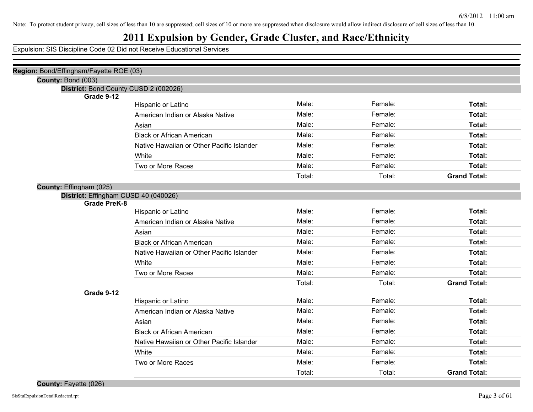## **2011 Expulsion by Gender, Grade Cluster, and Race/Ethnicity**

Expulsion: SIS Discipline Code 02 Did not Receive Educational Services

| Region: Bond/Effingham/Fayette ROE (03) |                                           |        |         |                     |
|-----------------------------------------|-------------------------------------------|--------|---------|---------------------|
| County: Bond (003)                      |                                           |        |         |                     |
| District: Bond County CUSD 2 (002026)   |                                           |        |         |                     |
| Grade 9-12                              |                                           |        |         |                     |
|                                         | Hispanic or Latino                        | Male:  | Female: | Total:              |
|                                         | American Indian or Alaska Native          | Male:  | Female: | Total:              |
|                                         | Asian                                     | Male:  | Female: | Total:              |
|                                         | <b>Black or African American</b>          | Male:  | Female: | Total:              |
|                                         | Native Hawaiian or Other Pacific Islander | Male:  | Female: | Total:              |
|                                         | White                                     | Male:  | Female: | Total:              |
|                                         | Two or More Races                         | Male:  | Female: | Total:              |
|                                         |                                           | Total: | Total:  | <b>Grand Total:</b> |
| County: Effingham (025)                 |                                           |        |         |                     |
| District: Effingham CUSD 40 (040026)    |                                           |        |         |                     |
| <b>Grade PreK-8</b>                     | Hispanic or Latino                        | Male:  | Female: | Total:              |
|                                         | American Indian or Alaska Native          | Male:  | Female: | Total:              |
|                                         |                                           | Male:  |         |                     |
|                                         | Asian                                     |        | Female: | Total:              |
|                                         | <b>Black or African American</b>          | Male:  | Female: | Total:              |
|                                         | Native Hawaiian or Other Pacific Islander | Male:  | Female: | Total:              |
|                                         | White                                     | Male:  | Female: | Total:              |
|                                         | Two or More Races                         | Male:  | Female: | Total:              |
|                                         |                                           | Total: | Total:  | <b>Grand Total:</b> |
| Grade 9-12                              |                                           |        |         |                     |
|                                         | Hispanic or Latino                        | Male:  | Female: | Total:              |
|                                         | American Indian or Alaska Native          | Male:  | Female: | Total:              |
|                                         | Asian                                     | Male:  | Female: | Total:              |
|                                         | <b>Black or African American</b>          | Male:  | Female: | Total:              |
|                                         | Native Hawaiian or Other Pacific Islander | Male:  | Female: | Total:              |
|                                         | White                                     | Male:  | Female: | Total:              |
|                                         | Two or More Races                         | Male:  | Female: | Total:              |
|                                         |                                           | Total: | Total:  | <b>Grand Total:</b> |

**County:** Fayette (026)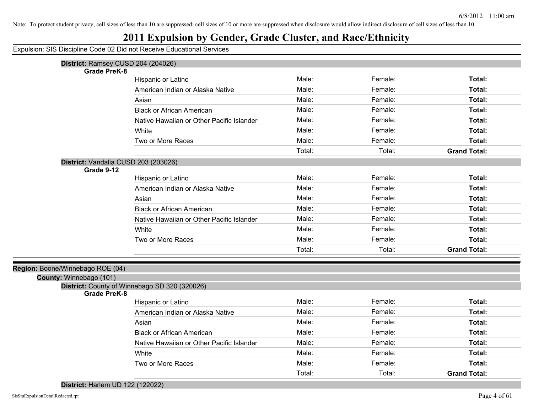#### **2011 Expulsion by Gender, Grade Cluster, and Race/Ethnicity**

Expulsion: SIS Discipline Code 02 Did not Receive Educational Services

| District: Ramsey CUSD 204 (204026)            |                                           |        |         |                     |
|-----------------------------------------------|-------------------------------------------|--------|---------|---------------------|
| <b>Grade PreK-8</b>                           |                                           |        |         |                     |
|                                               | Hispanic or Latino                        | Male:  | Female: | Total:              |
|                                               | American Indian or Alaska Native          | Male:  | Female: | Total:              |
|                                               | Asian                                     | Male:  | Female: | Total:              |
|                                               | <b>Black or African American</b>          | Male:  | Female: | Total:              |
|                                               | Native Hawaiian or Other Pacific Islander | Male:  | Female: | Total:              |
|                                               | White                                     | Male:  | Female: | Total:              |
|                                               | Two or More Races                         | Male:  | Female: | Total:              |
|                                               |                                           | Total: | Total:  | <b>Grand Total:</b> |
| District: Vandalia CUSD 203 (203026)          |                                           |        |         |                     |
| Grade 9-12                                    |                                           |        |         |                     |
|                                               | Hispanic or Latino                        | Male:  | Female: | Total:              |
|                                               | American Indian or Alaska Native          | Male:  | Female: | Total:              |
|                                               | Asian                                     | Male:  | Female: | Total:              |
|                                               | <b>Black or African American</b>          | Male:  | Female: | Total:              |
|                                               | Native Hawaiian or Other Pacific Islander | Male:  | Female: | Total:              |
|                                               | White                                     | Male:  | Female: | Total:              |
|                                               | Two or More Races                         | Male:  | Female: | Total:              |
|                                               |                                           | Total: | Total:  | <b>Grand Total:</b> |
| Region: Boone/Winnebago ROE (04)              |                                           |        |         |                     |
| County: Winnebago (101)                       |                                           |        |         |                     |
| District: County of Winnebago SD 320 (320026) |                                           |        |         |                     |
| <b>Grade PreK-8</b>                           |                                           |        |         |                     |
|                                               | Hispanic or Latino                        | Male:  | Female: | Total:              |
|                                               | American Indian or Alaska Native          | Male:  | Female: | Total:              |
|                                               | Asian                                     | Male:  | Female: | Total:              |
|                                               | <b>Black or African American</b>          | Male:  | Female: | Total:              |
|                                               | Native Hawaiian or Other Pacific Islander | Male:  | Female: | Total:              |
|                                               | White                                     | Male:  | Female: | Total:              |
|                                               | Two or More Races                         | Male:  | Female: | Total:              |
|                                               |                                           |        |         |                     |

**District:** Harlem UD 122 (122022)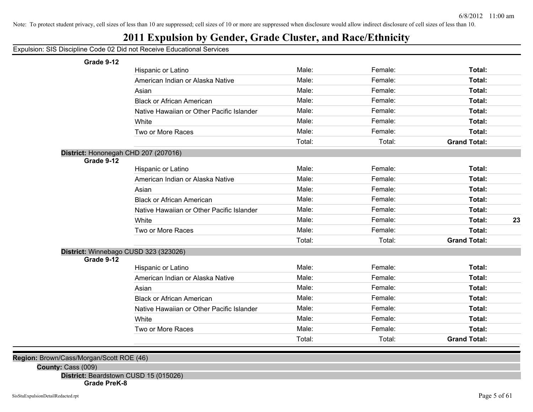## **2011 Expulsion by Gender, Grade Cluster, and Race/Ethnicity**

#### Expulsion: SIS Discipline Code 02 Did not Receive Educational Services

| Grade 9-12 |
|------------|
|------------|

| Grade 9-12                           |                                           |        |         |                     |    |
|--------------------------------------|-------------------------------------------|--------|---------|---------------------|----|
|                                      | Hispanic or Latino                        | Male:  | Female: | Total:              |    |
|                                      | American Indian or Alaska Native          | Male:  | Female: | <b>Total:</b>       |    |
|                                      | Asian                                     | Male:  | Female: | Total:              |    |
|                                      | <b>Black or African American</b>          | Male:  | Female: | <b>Total:</b>       |    |
|                                      | Native Hawaiian or Other Pacific Islander | Male:  | Female: | Total:              |    |
|                                      | White                                     | Male:  | Female: | Total:              |    |
|                                      | Two or More Races                         | Male:  | Female: | Total:              |    |
|                                      |                                           | Total: | Total:  | <b>Grand Total:</b> |    |
| District: Hononegah CHD 207 (207016) |                                           |        |         |                     |    |
| Grade 9-12                           |                                           |        |         |                     |    |
|                                      | Hispanic or Latino                        | Male:  | Female: | Total:              |    |
|                                      | American Indian or Alaska Native          | Male:  | Female: | Total:              |    |
|                                      | Asian                                     | Male:  | Female: | Total:              |    |
|                                      | <b>Black or African American</b>          | Male:  | Female: | Total:              |    |
|                                      | Native Hawaiian or Other Pacific Islander | Male:  | Female: | Total:              |    |
|                                      | White                                     | Male:  | Female: | Total:              | 23 |
|                                      | Two or More Races                         | Male:  | Female: | <b>Total:</b>       |    |
|                                      |                                           | Total: | Total:  | <b>Grand Total:</b> |    |
|                                      | District: Winnebago CUSD 323 (323026)     |        |         |                     |    |
| Grade 9-12                           |                                           |        |         |                     |    |
|                                      | Hispanic or Latino                        | Male:  | Female: | Total:              |    |
|                                      | American Indian or Alaska Native          | Male:  | Female: | Total:              |    |
|                                      | Asian                                     | Male:  | Female: | Total:              |    |
|                                      | <b>Black or African American</b>          | Male:  | Female: | <b>Total:</b>       |    |
|                                      | Native Hawaiian or Other Pacific Islander | Male:  | Female: | <b>Total:</b>       |    |
|                                      | White                                     | Male:  | Female: | Total:              |    |
|                                      | Two or More Races                         | Male:  | Female: | Total:              |    |
|                                      |                                           | Total: | Total:  | <b>Grand Total:</b> |    |
|                                      |                                           |        |         |                     |    |

**Region:** Brown/Cass/Morgan/Scott ROE (46)

**County:** Cass (009)

**District:** Beardstown CUSD 15 (015026)

**Grade PreK-8**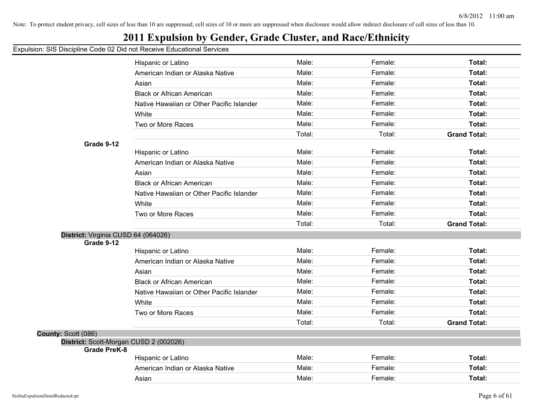## **2011 Expulsion by Gender, Grade Cluster, and Race/Ethnicity**

|                                        | Hispanic or Latino                        | Male:  | Female: | Total:              |
|----------------------------------------|-------------------------------------------|--------|---------|---------------------|
|                                        | American Indian or Alaska Native          | Male:  | Female: | Total:              |
|                                        | Asian                                     | Male:  | Female: | <b>Total:</b>       |
|                                        | <b>Black or African American</b>          | Male:  | Female: | Total:              |
|                                        | Native Hawaiian or Other Pacific Islander | Male:  | Female: | Total:              |
|                                        | White                                     | Male:  | Female: | Total:              |
|                                        | Two or More Races                         | Male:  | Female: | Total:              |
|                                        |                                           | Total: | Total:  | <b>Grand Total:</b> |
| Grade 9-12                             |                                           |        |         |                     |
|                                        | Hispanic or Latino                        | Male:  | Female: | Total:              |
|                                        | American Indian or Alaska Native          | Male:  | Female: | <b>Total:</b>       |
|                                        | Asian                                     | Male:  | Female: | Total:              |
|                                        | <b>Black or African American</b>          | Male:  | Female: | Total:              |
|                                        | Native Hawaiian or Other Pacific Islander | Male:  | Female: | <b>Total:</b>       |
|                                        | White                                     | Male:  | Female: | Total:              |
|                                        | Two or More Races                         | Male:  | Female: | Total:              |
|                                        |                                           | Total: | Total:  | <b>Grand Total:</b> |
| District: Virginia CUSD 64 (064026)    |                                           |        |         |                     |
| Grade 9-12                             |                                           |        |         |                     |
|                                        | Hispanic or Latino                        | Male:  | Female: | <b>Total:</b>       |
|                                        | American Indian or Alaska Native          | Male:  | Female: | Total:              |
|                                        | Asian                                     | Male:  | Female: | Total:              |
|                                        | <b>Black or African American</b>          | Male:  | Female: | Total:              |
|                                        | Native Hawaiian or Other Pacific Islander | Male:  | Female: | Total:              |
|                                        | White                                     | Male:  | Female: | Total:              |
|                                        | Two or More Races                         | Male:  | Female: | Total:              |
|                                        |                                           | Total: | Total:  | <b>Grand Total:</b> |
| County: Scott (086)                    |                                           |        |         |                     |
| District: Scott-Morgan CUSD 2 (002026) |                                           |        |         |                     |
| <b>Grade PreK-8</b>                    | Hispanic or Latino                        | Male:  | Female: | Total:              |
|                                        | American Indian or Alaska Native          | Male:  | Female: | Total:              |
|                                        | Asian                                     | Male:  | Female: | Total:              |
|                                        |                                           |        |         |                     |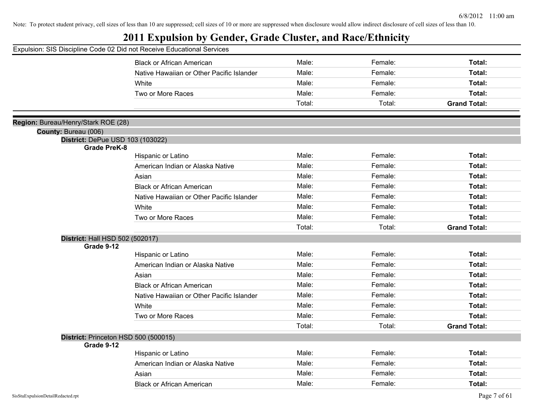|                                                         | Expulsion: SIS Discipline Code 02 Did not Receive Educational Services |        |         |                     |
|---------------------------------------------------------|------------------------------------------------------------------------|--------|---------|---------------------|
|                                                         | <b>Black or African American</b>                                       | Male:  | Female: | Total:              |
|                                                         | Native Hawaiian or Other Pacific Islander                              | Male:  | Female: | Total:              |
|                                                         | White                                                                  | Male:  | Female: | Total:              |
|                                                         | Two or More Races                                                      | Male:  | Female: | Total:              |
|                                                         |                                                                        | Total: | Total:  | <b>Grand Total:</b> |
|                                                         |                                                                        |        |         |                     |
| Region: Bureau/Henry/Stark ROE (28)                     |                                                                        |        |         |                     |
| County: Bureau (006)                                    |                                                                        |        |         |                     |
| District: DePue USD 103 (103022)<br><b>Grade PreK-8</b> |                                                                        |        |         |                     |
|                                                         | Hispanic or Latino                                                     | Male:  | Female: | Total:              |
|                                                         | American Indian or Alaska Native                                       | Male:  | Female: | Total:              |
|                                                         | Asian                                                                  | Male:  | Female: | Total:              |
|                                                         | <b>Black or African American</b>                                       | Male:  | Female: | Total:              |
|                                                         | Native Hawaiian or Other Pacific Islander                              | Male:  | Female: | Total:              |
|                                                         | White                                                                  | Male:  | Female: | Total:              |
|                                                         | Two or More Races                                                      | Male:  | Female: | Total:              |
|                                                         |                                                                        | Total: | Total:  | <b>Grand Total:</b> |
| District: Hall HSD 502 (502017)                         |                                                                        |        |         |                     |
| Grade 9-12                                              |                                                                        |        |         |                     |
|                                                         | Hispanic or Latino                                                     | Male:  | Female: | Total:              |
|                                                         | American Indian or Alaska Native                                       | Male:  | Female: | Total:              |
|                                                         | Asian                                                                  | Male:  | Female: | Total:              |
|                                                         | <b>Black or African American</b>                                       | Male:  | Female: | Total:              |
|                                                         | Native Hawaiian or Other Pacific Islander                              | Male:  | Female: | Total:              |
|                                                         | White                                                                  | Male:  | Female: | Total:              |
|                                                         | Two or More Races                                                      | Male:  | Female: | Total:              |
|                                                         |                                                                        | Total: | Total:  | <b>Grand Total:</b> |
| Grade 9-12                                              | District: Princeton HSD 500 (500015)                                   |        |         |                     |
|                                                         | Hispanic or Latino                                                     | Male:  | Female: | Total:              |
|                                                         | American Indian or Alaska Native                                       | Male:  | Female: | Total:              |
|                                                         | Asian                                                                  | Male:  | Female: | Total:              |
|                                                         | <b>Black or African American</b>                                       | Male:  | Female: | Total:              |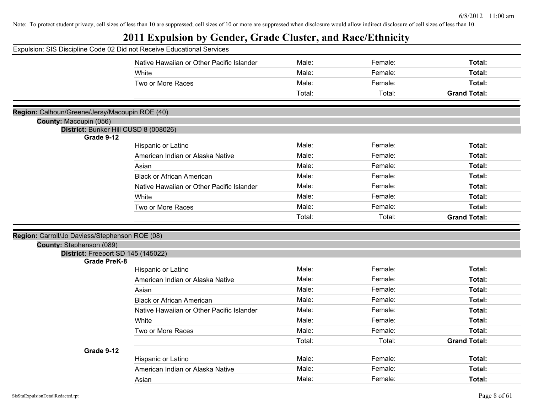| Expulsion: SIS Discipline Code 02 Did not Receive Educational Services |                                           |        |         |                     |
|------------------------------------------------------------------------|-------------------------------------------|--------|---------|---------------------|
|                                                                        | Native Hawaiian or Other Pacific Islander | Male:  | Female: | Total:              |
|                                                                        | White                                     | Male:  | Female: | Total:              |
|                                                                        | Two or More Races                         | Male:  | Female: | Total:              |
|                                                                        |                                           | Total: | Total:  | <b>Grand Total:</b> |
|                                                                        |                                           |        |         |                     |
| Region: Calhoun/Greene/Jersy/Macoupin ROE (40)                         |                                           |        |         |                     |
| County: Macoupin (056)                                                 |                                           |        |         |                     |
| District: Bunker Hill CUSD 8 (008026)<br>Grade 9-12                    |                                           |        |         |                     |
|                                                                        | Hispanic or Latino                        | Male:  | Female: | Total:              |
|                                                                        | American Indian or Alaska Native          | Male:  | Female: | Total:              |
|                                                                        | Asian                                     | Male:  | Female: | Total:              |
|                                                                        | <b>Black or African American</b>          | Male:  | Female: | Total:              |
|                                                                        | Native Hawaiian or Other Pacific Islander | Male:  | Female: | Total:              |
|                                                                        | White                                     | Male:  | Female: | Total:              |
|                                                                        | Two or More Races                         | Male:  | Female: | Total:              |
|                                                                        |                                           | Total: | Total:  | <b>Grand Total:</b> |
|                                                                        |                                           |        |         |                     |
| Region: Carroll/Jo Daviess/Stephenson ROE (08)                         |                                           |        |         |                     |
| County: Stephenson (089)                                               |                                           |        |         |                     |
| District: Freeport SD 145 (145022)<br><b>Grade PreK-8</b>              |                                           |        |         |                     |
|                                                                        | Hispanic or Latino                        | Male:  | Female: | Total:              |
|                                                                        | American Indian or Alaska Native          | Male:  | Female: | Total:              |
|                                                                        | Asian                                     | Male:  | Female: | Total:              |
|                                                                        | <b>Black or African American</b>          | Male:  | Female: | Total:              |
|                                                                        | Native Hawaiian or Other Pacific Islander | Male:  | Female: | Total:              |
|                                                                        | White                                     | Male:  | Female: | Total:              |
|                                                                        | Two or More Races                         | Male:  | Female: | Total:              |
|                                                                        |                                           | Total: | Total:  | <b>Grand Total:</b> |
| Grade 9-12                                                             |                                           |        |         |                     |
|                                                                        | Hispanic or Latino                        | Male:  | Female: | Total:              |
|                                                                        | American Indian or Alaska Native          | Male:  | Female: | Total:              |
|                                                                        | Asian                                     | Male:  | Female: | Total:              |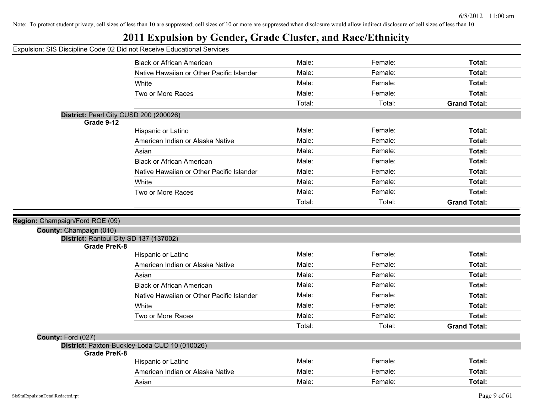## **2011 Expulsion by Gender, Grade Cluster, and Race/Ethnicity**

|                                                                   | <b>Black or African American</b>              | Male:  | Female: | Total:              |
|-------------------------------------------------------------------|-----------------------------------------------|--------|---------|---------------------|
|                                                                   | Native Hawaiian or Other Pacific Islander     | Male:  | Female: | Total:              |
|                                                                   | White                                         | Male:  | Female: | Total:              |
|                                                                   | Two or More Races                             | Male:  | Female: | Total:              |
|                                                                   |                                               | Total: | Total:  | <b>Grand Total:</b> |
| District: Pearl City CUSD 200 (200026)                            |                                               |        |         |                     |
| Grade 9-12                                                        |                                               |        |         |                     |
|                                                                   | Hispanic or Latino                            | Male:  | Female: | Total:              |
|                                                                   | American Indian or Alaska Native              | Male:  | Female: | Total:              |
|                                                                   | Asian                                         | Male:  | Female: | Total:              |
|                                                                   | <b>Black or African American</b>              | Male:  | Female: | Total:              |
|                                                                   | Native Hawaiian or Other Pacific Islander     | Male:  | Female: | Total:              |
|                                                                   | White                                         | Male:  | Female: | Total:              |
|                                                                   | Two or More Races                             | Male:  | Female: | Total:              |
|                                                                   |                                               | Total: | Total:  | <b>Grand Total:</b> |
|                                                                   |                                               |        |         |                     |
| Region: Champaign/Ford ROE (09)                                   |                                               |        |         |                     |
| County: Champaign (010)<br>District: Rantoul City SD 137 (137002) |                                               |        |         |                     |
| <b>Grade PreK-8</b>                                               |                                               |        |         |                     |
|                                                                   | Hispanic or Latino                            | Male:  | Female: | Total:              |
|                                                                   | American Indian or Alaska Native              | Male:  | Female: | Total:              |
|                                                                   | Asian                                         | Male:  | Female: | Total:              |
|                                                                   | <b>Black or African American</b>              | Male:  | Female: | Total:              |
|                                                                   | Native Hawaiian or Other Pacific Islander     | Male:  | Female: | Total:              |
|                                                                   | White                                         | Male:  | Female: | Total:              |
|                                                                   | Two or More Races                             | Male:  | Female: | Total:              |
|                                                                   |                                               | Total: | Total:  | <b>Grand Total:</b> |
| County: Ford (027)                                                |                                               |        |         |                     |
|                                                                   | District: Paxton-Buckley-Loda CUD 10 (010026) |        |         |                     |
| Grade PreK-8                                                      |                                               |        |         |                     |
|                                                                   | Hispanic or Latino                            | Male:  | Female: | Total:              |
|                                                                   |                                               |        |         | Total:              |
|                                                                   | American Indian or Alaska Native              | Male:  | Female: |                     |
|                                                                   | Asian                                         | Male:  | Female: | Total:              |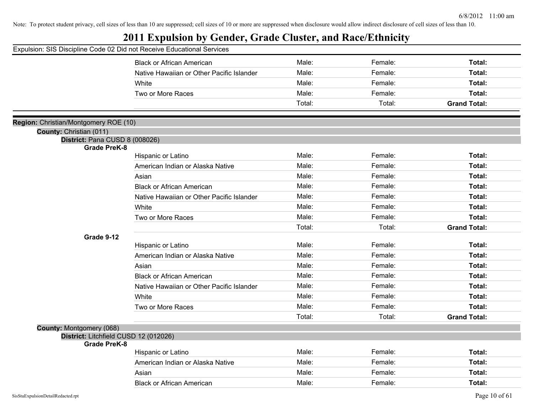| Expulsion: SIS Discipline Code 02 Did not Receive Educational Services |                                           |        |         |                     |
|------------------------------------------------------------------------|-------------------------------------------|--------|---------|---------------------|
|                                                                        | <b>Black or African American</b>          | Male:  | Female: | Total:              |
|                                                                        | Native Hawaiian or Other Pacific Islander | Male:  | Female: | Total:              |
|                                                                        | White                                     | Male:  | Female: | Total:              |
|                                                                        | Two or More Races                         | Male:  | Female: | Total:              |
|                                                                        |                                           | Total: | Total:  | <b>Grand Total:</b> |
|                                                                        |                                           |        |         |                     |
| Region: Christian/Montgomery ROE (10)                                  |                                           |        |         |                     |
| County: Christian (011)                                                |                                           |        |         |                     |
| District: Pana CUSD 8 (008026)<br><b>Grade PreK-8</b>                  |                                           |        |         |                     |
|                                                                        | Hispanic or Latino                        | Male:  | Female: | Total:              |
|                                                                        | American Indian or Alaska Native          | Male:  | Female: | Total:              |
|                                                                        | Asian                                     | Male:  | Female: | Total:              |
|                                                                        | <b>Black or African American</b>          | Male:  | Female: | Total:              |
|                                                                        | Native Hawaiian or Other Pacific Islander | Male:  | Female: | Total:              |
|                                                                        | White                                     | Male:  | Female: | Total:              |
|                                                                        | Two or More Races                         | Male:  | Female: | Total:              |
|                                                                        |                                           | Total: | Total:  | <b>Grand Total:</b> |
| Grade 9-12                                                             |                                           |        |         |                     |
|                                                                        | Hispanic or Latino                        | Male:  | Female: | Total:              |
|                                                                        | American Indian or Alaska Native          | Male:  | Female: | Total:              |
|                                                                        | Asian                                     | Male:  | Female: | Total:              |
|                                                                        | <b>Black or African American</b>          | Male:  | Female: | Total:              |
|                                                                        | Native Hawaiian or Other Pacific Islander | Male:  | Female: | Total:              |
|                                                                        | White                                     | Male:  | Female: | Total:              |
|                                                                        | Two or More Races                         | Male:  | Female: | Total:              |
|                                                                        |                                           | Total: | Total:  | <b>Grand Total:</b> |
| County: Montgomery (068)                                               |                                           |        |         |                     |
| District: Litchfield CUSD 12 (012026)                                  |                                           |        |         |                     |
| <b>Grade PreK-8</b>                                                    |                                           | Male:  | Female: | Total:              |
|                                                                        | Hispanic or Latino                        | Male:  | Female: |                     |
|                                                                        | American Indian or Alaska Native          | Male:  |         | Total:              |
|                                                                        | Asian                                     |        | Female: | Total:              |
|                                                                        | <b>Black or African American</b>          | Male:  | Female: | Total:              |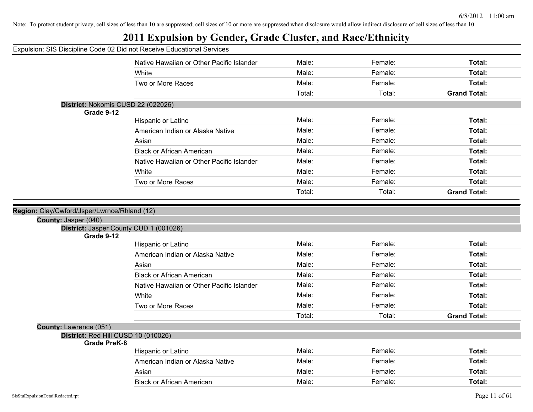|                        | Expulsion: SIS Discipline Code 02 Did not Receive Educational Services |        |         |                     |
|------------------------|------------------------------------------------------------------------|--------|---------|---------------------|
|                        |                                                                        |        |         |                     |
|                        | Native Hawaiian or Other Pacific Islander                              | Male:  | Female: | Total:              |
|                        | White                                                                  | Male:  | Female: | Total:              |
|                        | Two or More Races                                                      | Male:  | Female: | Total:              |
|                        |                                                                        | Total: | Total:  | <b>Grand Total:</b> |
| Grade 9-12             | District: Nokomis CUSD 22 (022026)                                     |        |         |                     |
|                        | Hispanic or Latino                                                     | Male:  | Female: | Total:              |
|                        | American Indian or Alaska Native                                       | Male:  | Female: | Total:              |
|                        | Asian                                                                  | Male:  | Female: | Total:              |
|                        | <b>Black or African American</b>                                       | Male:  | Female: | Total:              |
|                        | Native Hawaiian or Other Pacific Islander                              | Male:  | Female: | Total:              |
|                        | White                                                                  | Male:  | Female: | Total:              |
|                        | Two or More Races                                                      | Male:  | Female: | Total:              |
|                        |                                                                        | Total: | Total:  | <b>Grand Total:</b> |
| Grade 9-12             | District: Jasper County CUD 1 (001026)                                 |        |         |                     |
|                        | Hispanic or Latino                                                     | Male:  | Female: | Total:              |
|                        | American Indian or Alaska Native                                       | Male:  | Female: | Total:              |
|                        | Asian                                                                  | Male:  | Female: | Total:              |
|                        | <b>Black or African American</b>                                       | Male:  | Female: | Total:              |
|                        | Native Hawaiian or Other Pacific Islander                              | Male:  | Female: | Total:              |
|                        | White                                                                  | Male:  | Female: | Total:              |
|                        | Two or More Races                                                      | Male:  | Female: | Total:              |
|                        |                                                                        | Total: | Total:  | <b>Grand Total:</b> |
| County: Lawrence (051) |                                                                        |        |         |                     |
| <b>Grade PreK-8</b>    | District: Red Hill CUSD 10 (010026)                                    |        |         |                     |
|                        | Hispanic or Latino                                                     | Male:  | Female: | Total:              |
|                        | American Indian or Alaska Native                                       | Male:  | Female: | Total:              |
|                        | Asian                                                                  | Male:  | Female: | Total:              |
|                        | <b>Black or African American</b>                                       | Male:  | Female: | Total:              |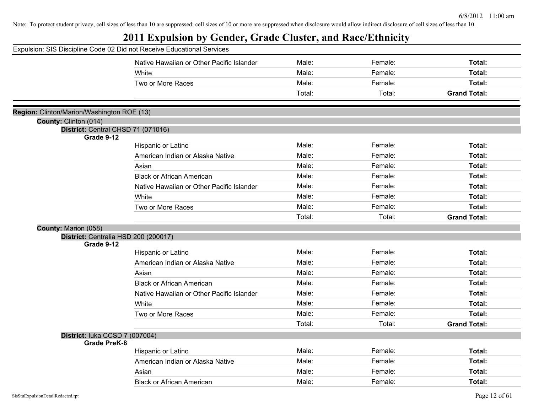|                                            | Expulsion: SIS Discipline Code 02 Did not Receive Educational Services |        |         |                     |
|--------------------------------------------|------------------------------------------------------------------------|--------|---------|---------------------|
|                                            | Native Hawaiian or Other Pacific Islander                              | Male:  | Female: | Total:              |
|                                            | White                                                                  | Male:  | Female: | Total:              |
|                                            | Two or More Races                                                      | Male:  | Female: | Total:              |
|                                            |                                                                        | Total: | Total:  | <b>Grand Total:</b> |
| Region: Clinton/Marion/Washington ROE (13) |                                                                        |        |         |                     |
| County: Clinton (014)                      |                                                                        |        |         |                     |
| District: Central CHSD 71 (071016)         |                                                                        |        |         |                     |
| Grade 9-12                                 |                                                                        |        |         |                     |
|                                            | Hispanic or Latino                                                     | Male:  | Female: | Total:              |
|                                            | American Indian or Alaska Native                                       | Male:  | Female: | Total:              |
|                                            | Asian                                                                  | Male:  | Female: | Total:              |
|                                            | <b>Black or African American</b>                                       | Male:  | Female: | Total:              |
|                                            | Native Hawaiian or Other Pacific Islander                              | Male:  | Female: | Total:              |
|                                            | White                                                                  | Male:  | Female: | Total:              |
|                                            | Two or More Races                                                      | Male:  | Female: | Total:              |
|                                            |                                                                        | Total: | Total:  | <b>Grand Total:</b> |
| County: Marion (058)                       |                                                                        |        |         |                     |
| District: Centralia HSD 200 (200017)       |                                                                        |        |         |                     |
| Grade 9-12                                 |                                                                        | Male:  | Female: | Total:              |
|                                            | Hispanic or Latino                                                     | Male:  | Female: | Total:              |
|                                            | American Indian or Alaska Native                                       |        |         |                     |
|                                            | Asian                                                                  | Male:  | Female: | Total:              |
|                                            | <b>Black or African American</b>                                       | Male:  | Female: | Total:              |
|                                            | Native Hawaiian or Other Pacific Islander                              | Male:  | Female: | Total:              |
|                                            | White                                                                  | Male:  | Female: | Total:              |
|                                            | Two or More Races                                                      | Male:  | Female: | Total:              |
|                                            |                                                                        | Total: | Total:  | <b>Grand Total:</b> |
| District: luka CCSD 7 (007004)             |                                                                        |        |         |                     |
| <b>Grade PreK-8</b>                        |                                                                        |        |         |                     |
|                                            | Hispanic or Latino                                                     | Male:  | Female: | Total:              |
|                                            | American Indian or Alaska Native                                       | Male:  | Female: | Total:              |
|                                            | Asian                                                                  | Male:  | Female: | Total:              |
|                                            | <b>Black or African American</b>                                       | Male:  | Female: | Total:              |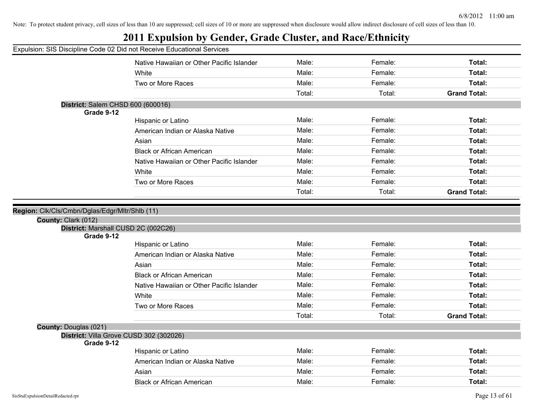| Expulsion: SIS Discipline Code 02 Did not Receive Educational Services<br>Male:<br>Female:<br>Native Hawaiian or Other Pacific Islander<br>Total:<br>Male:<br>Female:<br>Total:<br>White<br>Male:<br>Female:<br>Total:<br>Two or More Races<br>Total:<br>Total:<br><b>Grand Total:</b><br>District: Salem CHSD 600 (600016)<br>Grade 9-12<br>Male:<br>Female:<br>Total:<br>Hispanic or Latino<br>Male:<br>Female:<br>Total:<br>American Indian or Alaska Native<br>Female:<br>Total:<br>Male:<br>Asian<br>Female:<br>Total:<br>Male:<br><b>Black or African American</b><br>Female:<br>Total:<br>Male:<br>Native Hawaiian or Other Pacific Islander<br>Male:<br>Female:<br>Total:<br>White<br>Female:<br>Total:<br>Male:<br>Two or More Races<br><b>Grand Total:</b><br>Total:<br>Total:<br>District: Marshall CUSD 2C (002C26)<br>Grade 9-12<br>Male:<br>Female:<br>Total:<br>Hispanic or Latino<br>Male:<br>Female:<br>Total:<br>American Indian or Alaska Native<br>Total:<br>Male:<br>Female:<br>Asian<br>Male:<br>Female:<br>Total:<br><b>Black or African American</b><br>Male:<br>Female:<br>Total:<br>Native Hawaiian or Other Pacific Islander<br>Total:<br>Male:<br>Female:<br>White<br>Female:<br>Total:<br>Male:<br>Two or More Races<br>Total:<br><b>Grand Total:</b><br>Total:<br>District: Villa Grove CUSD 302 (302026)<br>Grade 9-12<br>Male:<br>Female:<br>Total:<br>Hispanic or Latino<br>Male:<br>Female:<br>Total:<br>American Indian or Alaska Native<br>Female:<br>Total:<br>Male:<br>Asian<br>Male:<br>Female:<br>Total:<br><b>Black or African American</b> |                       |  |  |
|--------------------------------------------------------------------------------------------------------------------------------------------------------------------------------------------------------------------------------------------------------------------------------------------------------------------------------------------------------------------------------------------------------------------------------------------------------------------------------------------------------------------------------------------------------------------------------------------------------------------------------------------------------------------------------------------------------------------------------------------------------------------------------------------------------------------------------------------------------------------------------------------------------------------------------------------------------------------------------------------------------------------------------------------------------------------------------------------------------------------------------------------------------------------------------------------------------------------------------------------------------------------------------------------------------------------------------------------------------------------------------------------------------------------------------------------------------------------------------------------------------------------------------------------------------------------------------------|-----------------------|--|--|
| Region: Clk/Cls/Cmbn/Dglas/Edgr/Mltr/Shlb (11)<br>County: Clark (012)                                                                                                                                                                                                                                                                                                                                                                                                                                                                                                                                                                                                                                                                                                                                                                                                                                                                                                                                                                                                                                                                                                                                                                                                                                                                                                                                                                                                                                                                                                                |                       |  |  |
|                                                                                                                                                                                                                                                                                                                                                                                                                                                                                                                                                                                                                                                                                                                                                                                                                                                                                                                                                                                                                                                                                                                                                                                                                                                                                                                                                                                                                                                                                                                                                                                      |                       |  |  |
|                                                                                                                                                                                                                                                                                                                                                                                                                                                                                                                                                                                                                                                                                                                                                                                                                                                                                                                                                                                                                                                                                                                                                                                                                                                                                                                                                                                                                                                                                                                                                                                      |                       |  |  |
|                                                                                                                                                                                                                                                                                                                                                                                                                                                                                                                                                                                                                                                                                                                                                                                                                                                                                                                                                                                                                                                                                                                                                                                                                                                                                                                                                                                                                                                                                                                                                                                      |                       |  |  |
|                                                                                                                                                                                                                                                                                                                                                                                                                                                                                                                                                                                                                                                                                                                                                                                                                                                                                                                                                                                                                                                                                                                                                                                                                                                                                                                                                                                                                                                                                                                                                                                      |                       |  |  |
|                                                                                                                                                                                                                                                                                                                                                                                                                                                                                                                                                                                                                                                                                                                                                                                                                                                                                                                                                                                                                                                                                                                                                                                                                                                                                                                                                                                                                                                                                                                                                                                      |                       |  |  |
|                                                                                                                                                                                                                                                                                                                                                                                                                                                                                                                                                                                                                                                                                                                                                                                                                                                                                                                                                                                                                                                                                                                                                                                                                                                                                                                                                                                                                                                                                                                                                                                      |                       |  |  |
|                                                                                                                                                                                                                                                                                                                                                                                                                                                                                                                                                                                                                                                                                                                                                                                                                                                                                                                                                                                                                                                                                                                                                                                                                                                                                                                                                                                                                                                                                                                                                                                      |                       |  |  |
|                                                                                                                                                                                                                                                                                                                                                                                                                                                                                                                                                                                                                                                                                                                                                                                                                                                                                                                                                                                                                                                                                                                                                                                                                                                                                                                                                                                                                                                                                                                                                                                      |                       |  |  |
|                                                                                                                                                                                                                                                                                                                                                                                                                                                                                                                                                                                                                                                                                                                                                                                                                                                                                                                                                                                                                                                                                                                                                                                                                                                                                                                                                                                                                                                                                                                                                                                      |                       |  |  |
|                                                                                                                                                                                                                                                                                                                                                                                                                                                                                                                                                                                                                                                                                                                                                                                                                                                                                                                                                                                                                                                                                                                                                                                                                                                                                                                                                                                                                                                                                                                                                                                      |                       |  |  |
|                                                                                                                                                                                                                                                                                                                                                                                                                                                                                                                                                                                                                                                                                                                                                                                                                                                                                                                                                                                                                                                                                                                                                                                                                                                                                                                                                                                                                                                                                                                                                                                      |                       |  |  |
|                                                                                                                                                                                                                                                                                                                                                                                                                                                                                                                                                                                                                                                                                                                                                                                                                                                                                                                                                                                                                                                                                                                                                                                                                                                                                                                                                                                                                                                                                                                                                                                      |                       |  |  |
|                                                                                                                                                                                                                                                                                                                                                                                                                                                                                                                                                                                                                                                                                                                                                                                                                                                                                                                                                                                                                                                                                                                                                                                                                                                                                                                                                                                                                                                                                                                                                                                      |                       |  |  |
|                                                                                                                                                                                                                                                                                                                                                                                                                                                                                                                                                                                                                                                                                                                                                                                                                                                                                                                                                                                                                                                                                                                                                                                                                                                                                                                                                                                                                                                                                                                                                                                      |                       |  |  |
|                                                                                                                                                                                                                                                                                                                                                                                                                                                                                                                                                                                                                                                                                                                                                                                                                                                                                                                                                                                                                                                                                                                                                                                                                                                                                                                                                                                                                                                                                                                                                                                      |                       |  |  |
|                                                                                                                                                                                                                                                                                                                                                                                                                                                                                                                                                                                                                                                                                                                                                                                                                                                                                                                                                                                                                                                                                                                                                                                                                                                                                                                                                                                                                                                                                                                                                                                      |                       |  |  |
|                                                                                                                                                                                                                                                                                                                                                                                                                                                                                                                                                                                                                                                                                                                                                                                                                                                                                                                                                                                                                                                                                                                                                                                                                                                                                                                                                                                                                                                                                                                                                                                      |                       |  |  |
|                                                                                                                                                                                                                                                                                                                                                                                                                                                                                                                                                                                                                                                                                                                                                                                                                                                                                                                                                                                                                                                                                                                                                                                                                                                                                                                                                                                                                                                                                                                                                                                      |                       |  |  |
|                                                                                                                                                                                                                                                                                                                                                                                                                                                                                                                                                                                                                                                                                                                                                                                                                                                                                                                                                                                                                                                                                                                                                                                                                                                                                                                                                                                                                                                                                                                                                                                      |                       |  |  |
|                                                                                                                                                                                                                                                                                                                                                                                                                                                                                                                                                                                                                                                                                                                                                                                                                                                                                                                                                                                                                                                                                                                                                                                                                                                                                                                                                                                                                                                                                                                                                                                      |                       |  |  |
|                                                                                                                                                                                                                                                                                                                                                                                                                                                                                                                                                                                                                                                                                                                                                                                                                                                                                                                                                                                                                                                                                                                                                                                                                                                                                                                                                                                                                                                                                                                                                                                      |                       |  |  |
|                                                                                                                                                                                                                                                                                                                                                                                                                                                                                                                                                                                                                                                                                                                                                                                                                                                                                                                                                                                                                                                                                                                                                                                                                                                                                                                                                                                                                                                                                                                                                                                      |                       |  |  |
|                                                                                                                                                                                                                                                                                                                                                                                                                                                                                                                                                                                                                                                                                                                                                                                                                                                                                                                                                                                                                                                                                                                                                                                                                                                                                                                                                                                                                                                                                                                                                                                      |                       |  |  |
|                                                                                                                                                                                                                                                                                                                                                                                                                                                                                                                                                                                                                                                                                                                                                                                                                                                                                                                                                                                                                                                                                                                                                                                                                                                                                                                                                                                                                                                                                                                                                                                      | County: Douglas (021) |  |  |
|                                                                                                                                                                                                                                                                                                                                                                                                                                                                                                                                                                                                                                                                                                                                                                                                                                                                                                                                                                                                                                                                                                                                                                                                                                                                                                                                                                                                                                                                                                                                                                                      |                       |  |  |
|                                                                                                                                                                                                                                                                                                                                                                                                                                                                                                                                                                                                                                                                                                                                                                                                                                                                                                                                                                                                                                                                                                                                                                                                                                                                                                                                                                                                                                                                                                                                                                                      |                       |  |  |
|                                                                                                                                                                                                                                                                                                                                                                                                                                                                                                                                                                                                                                                                                                                                                                                                                                                                                                                                                                                                                                                                                                                                                                                                                                                                                                                                                                                                                                                                                                                                                                                      |                       |  |  |
|                                                                                                                                                                                                                                                                                                                                                                                                                                                                                                                                                                                                                                                                                                                                                                                                                                                                                                                                                                                                                                                                                                                                                                                                                                                                                                                                                                                                                                                                                                                                                                                      |                       |  |  |
|                                                                                                                                                                                                                                                                                                                                                                                                                                                                                                                                                                                                                                                                                                                                                                                                                                                                                                                                                                                                                                                                                                                                                                                                                                                                                                                                                                                                                                                                                                                                                                                      |                       |  |  |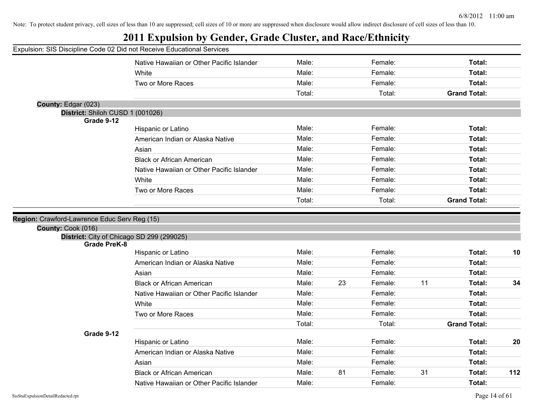|                                              | Expulsion: SIS Discipline Code 02 Did not Receive Educational Services |        |    |         |    |                     |     |
|----------------------------------------------|------------------------------------------------------------------------|--------|----|---------|----|---------------------|-----|
|                                              | Native Hawaiian or Other Pacific Islander                              | Male:  |    | Female: |    | Total:              |     |
|                                              | White                                                                  | Male:  |    | Female: |    | Total:              |     |
|                                              | Two or More Races                                                      | Male:  |    | Female: |    | Total:              |     |
|                                              |                                                                        | Total: |    | Total:  |    | <b>Grand Total:</b> |     |
| County: Edgar (023)                          |                                                                        |        |    |         |    |                     |     |
| District: Shiloh CUSD 1 (001026)             |                                                                        |        |    |         |    |                     |     |
| Grade 9-12                                   | Hispanic or Latino                                                     | Male:  |    | Female: |    | Total:              |     |
|                                              | American Indian or Alaska Native                                       | Male:  |    | Female: |    | Total:              |     |
|                                              | Asian                                                                  | Male:  |    | Female: |    | Total:              |     |
|                                              | <b>Black or African American</b>                                       | Male:  |    | Female: |    | Total:              |     |
|                                              | Native Hawaiian or Other Pacific Islander                              | Male:  |    | Female: |    | Total:              |     |
|                                              | White                                                                  | Male:  |    | Female: |    | Total:              |     |
|                                              |                                                                        | Male:  |    | Female: |    |                     |     |
|                                              | Two or More Races                                                      |        |    |         |    | Total:              |     |
|                                              |                                                                        | Total: |    | Total:  |    | <b>Grand Total:</b> |     |
| Region: Crawford-Lawrence Educ Serv Reg (15) |                                                                        |        |    |         |    |                     |     |
| County: Cook (016)                           |                                                                        |        |    |         |    |                     |     |
| District: City of Chicago SD 299 (299025)    |                                                                        |        |    |         |    |                     |     |
| <b>Grade PreK-8</b>                          |                                                                        |        |    |         |    |                     |     |
|                                              | Hispanic or Latino                                                     | Male:  |    | Female: |    | Total:              | 10  |
|                                              | American Indian or Alaska Native                                       | Male:  |    | Female: |    | Total:              |     |
|                                              | Asian                                                                  | Male:  |    | Female: |    | Total:              |     |
|                                              | <b>Black or African American</b>                                       | Male:  | 23 | Female: | 11 | Total:              | 34  |
|                                              | Native Hawaiian or Other Pacific Islander                              | Male:  |    | Female: |    | Total:              |     |
|                                              | White                                                                  | Male:  |    | Female: |    | Total:              |     |
|                                              | Two or More Races                                                      | Male:  |    | Female: |    | Total:              |     |
|                                              |                                                                        | Total: |    | Total:  |    | <b>Grand Total:</b> |     |
| Grade 9-12                                   |                                                                        |        |    |         |    |                     |     |
|                                              | Hispanic or Latino                                                     | Male:  |    | Female: |    | Total:              | 20  |
|                                              | American Indian or Alaska Native                                       | Male:  |    | Female: |    | Total:              |     |
|                                              | Asian                                                                  | Male:  |    | Female: |    | Total:              |     |
|                                              | <b>Black or African American</b>                                       | Male:  | 81 | Female: | 31 | Total:              | 112 |
|                                              | Native Hawaiian or Other Pacific Islander                              | Male:  |    | Female: |    | Total:              |     |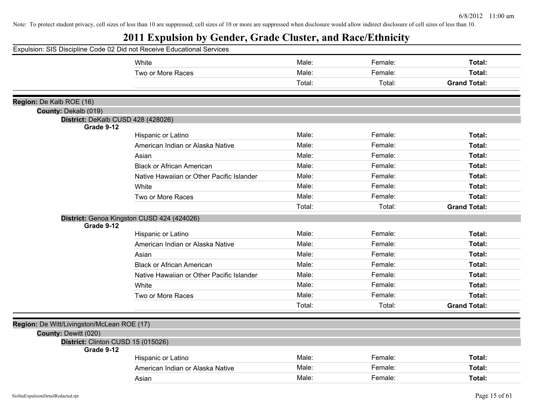| Expulsion: SIS Discipline Code 02 Did not Receive Educational Services |                                            |        |         |                     |
|------------------------------------------------------------------------|--------------------------------------------|--------|---------|---------------------|
|                                                                        | White                                      | Male:  | Female: | Total:              |
|                                                                        | Two or More Races                          | Male:  | Female: | Total:              |
|                                                                        |                                            | Total: | Total:  | <b>Grand Total:</b> |
|                                                                        |                                            |        |         |                     |
| Region: De Kalb ROE (16)                                               |                                            |        |         |                     |
| County: Dekalb (019)                                                   |                                            |        |         |                     |
| District: DeKalb CUSD 428 (428026)<br>Grade 9-12                       |                                            |        |         |                     |
|                                                                        | Hispanic or Latino                         | Male:  | Female: | Total:              |
|                                                                        | American Indian or Alaska Native           | Male:  | Female: | Total:              |
|                                                                        | Asian                                      | Male:  | Female: | Total:              |
|                                                                        | <b>Black or African American</b>           | Male:  | Female: | Total:              |
|                                                                        | Native Hawaiian or Other Pacific Islander  | Male:  | Female: | Total:              |
|                                                                        | White                                      | Male:  | Female: | Total:              |
|                                                                        | Two or More Races                          | Male:  | Female: | Total:              |
|                                                                        |                                            | Total: | Total:  | <b>Grand Total:</b> |
|                                                                        | District: Genoa Kingston CUSD 424 (424026) |        |         |                     |
| Grade 9-12                                                             |                                            |        |         |                     |
|                                                                        | Hispanic or Latino                         | Male:  | Female: | Total:              |
|                                                                        | American Indian or Alaska Native           | Male:  | Female: | Total:              |
|                                                                        | Asian                                      | Male:  | Female: | Total:              |
|                                                                        | <b>Black or African American</b>           | Male:  | Female: | Total:              |
|                                                                        | Native Hawaiian or Other Pacific Islander  | Male:  | Female: | Total:              |
|                                                                        | White                                      | Male:  | Female: | Total:              |
|                                                                        | Two or More Races                          | Male:  | Female: | Total:              |
|                                                                        |                                            | Total: | Total:  | <b>Grand Total:</b> |
| Region: De Witt/Livingston/McLean ROE (17)                             |                                            |        |         |                     |
| County: Dewitt (020)                                                   |                                            |        |         |                     |
| District: Clinton CUSD 15 (015026)                                     |                                            |        |         |                     |
| Grade 9-12                                                             |                                            |        |         |                     |
|                                                                        | Hispanic or Latino                         | Male:  | Female: | Total:              |
|                                                                        | American Indian or Alaska Native           | Male:  | Female: | Total:              |
|                                                                        | Asian                                      | Male:  | Female: | Total:              |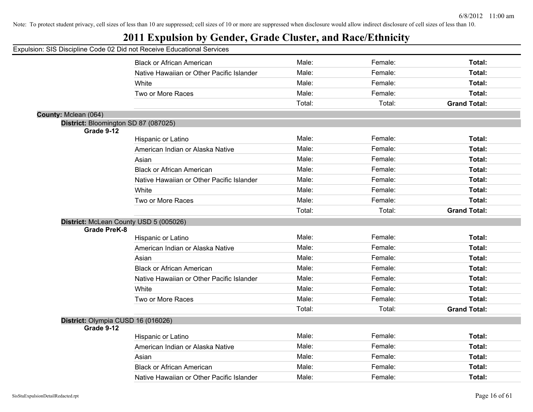## **2011 Expulsion by Gender, Grade Cluster, and Race/Ethnicity**

|                                      | <b>Black or African American</b>          | Male:  | Female: | Total:              |
|--------------------------------------|-------------------------------------------|--------|---------|---------------------|
|                                      | Native Hawaiian or Other Pacific Islander | Male:  | Female: | Total:              |
|                                      | White                                     | Male:  | Female: | Total:              |
|                                      | Two or More Races                         | Male:  | Female: | Total:              |
|                                      |                                           | Total: | Total:  | <b>Grand Total:</b> |
| County: Mclean (064)                 |                                           |        |         |                     |
| District: Bloomington SD 87 (087025) |                                           |        |         |                     |
| Grade 9-12                           |                                           | Male:  |         |                     |
|                                      | Hispanic or Latino                        |        | Female: | Total:              |
|                                      | American Indian or Alaska Native          | Male:  | Female: | <b>Total:</b>       |
|                                      | Asian                                     | Male:  | Female: | Total:              |
|                                      | <b>Black or African American</b>          | Male:  | Female: | <b>Total:</b>       |
|                                      | Native Hawaiian or Other Pacific Islander | Male:  | Female: | Total:              |
|                                      | White                                     | Male:  | Female: | <b>Total:</b>       |
|                                      | Two or More Races                         | Male:  | Female: | Total:              |
|                                      |                                           | Total: | Total:  | <b>Grand Total:</b> |
|                                      | District: McLean County USD 5 (005026)    |        |         |                     |
| <b>Grade PreK-8</b>                  |                                           |        |         |                     |
|                                      | Hispanic or Latino                        | Male:  | Female: | <b>Total:</b>       |
|                                      | American Indian or Alaska Native          | Male:  | Female: | <b>Total:</b>       |
|                                      | Asian                                     | Male:  | Female: | <b>Total:</b>       |
|                                      | <b>Black or African American</b>          | Male:  | Female: | <b>Total:</b>       |
|                                      | Native Hawaiian or Other Pacific Islander | Male:  | Female: | <b>Total:</b>       |
|                                      | White                                     | Male:  | Female: | <b>Total:</b>       |
|                                      | Two or More Races                         | Male:  | Female: | Total:              |
|                                      |                                           | Total: | Total:  | <b>Grand Total:</b> |
| District: Olympia CUSD 16 (016026)   |                                           |        |         |                     |
| Grade 9-12                           |                                           |        |         |                     |
|                                      | Hispanic or Latino                        | Male:  | Female: | <b>Total:</b>       |
|                                      | American Indian or Alaska Native          | Male:  | Female: | Total:              |
|                                      | Asian                                     | Male:  | Female: | <b>Total:</b>       |
|                                      | <b>Black or African American</b>          | Male:  | Female: | <b>Total:</b>       |
|                                      |                                           |        |         |                     |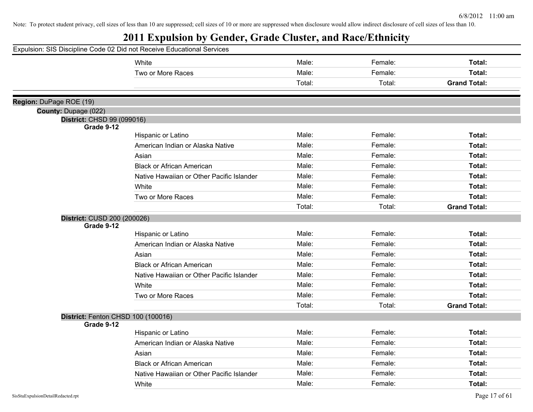| Expulsion: SIS Discipline Code 02 Did not Receive Educational Services |                                           |        |         |                     |
|------------------------------------------------------------------------|-------------------------------------------|--------|---------|---------------------|
|                                                                        | White                                     | Male:  | Female: | Total:              |
|                                                                        | Two or More Races                         | Male:  | Female: | Total:              |
|                                                                        |                                           | Total: | Total:  | <b>Grand Total:</b> |
|                                                                        |                                           |        |         |                     |
| Region: DuPage ROE (19)                                                |                                           |        |         |                     |
| County: Dupage (022)                                                   |                                           |        |         |                     |
| District: CHSD 99 (099016)<br>Grade 9-12                               |                                           |        |         |                     |
|                                                                        | Hispanic or Latino                        | Male:  | Female: | Total:              |
|                                                                        | American Indian or Alaska Native          | Male:  | Female: | Total:              |
|                                                                        | Asian                                     | Male:  | Female: | Total:              |
|                                                                        | <b>Black or African American</b>          | Male:  | Female: | Total:              |
|                                                                        | Native Hawaiian or Other Pacific Islander | Male:  | Female: | Total:              |
|                                                                        | White                                     | Male:  | Female: | Total:              |
|                                                                        | Two or More Races                         | Male:  | Female: | Total:              |
|                                                                        |                                           | Total: | Total:  | <b>Grand Total:</b> |
| District: CUSD 200 (200026)                                            |                                           |        |         |                     |
| Grade 9-12                                                             |                                           |        |         |                     |
|                                                                        | Hispanic or Latino                        | Male:  | Female: | Total:              |
|                                                                        | American Indian or Alaska Native          | Male:  | Female: | Total:              |
|                                                                        | Asian                                     | Male:  | Female: | Total:              |
|                                                                        | <b>Black or African American</b>          | Male:  | Female: | Total:              |
|                                                                        | Native Hawaiian or Other Pacific Islander | Male:  | Female: | Total:              |
|                                                                        | White                                     | Male:  | Female: | Total:              |
|                                                                        | Two or More Races                         | Male:  | Female: | Total:              |
|                                                                        |                                           | Total: | Total:  | <b>Grand Total:</b> |
| District: Fenton CHSD 100 (100016)                                     |                                           |        |         |                     |
| Grade 9-12                                                             |                                           |        |         |                     |
|                                                                        | Hispanic or Latino                        | Male:  | Female: | Total:              |
|                                                                        | American Indian or Alaska Native          | Male:  | Female: | Total:              |
|                                                                        | Asian                                     | Male:  | Female: | Total:              |
|                                                                        | <b>Black or African American</b>          | Male:  | Female: | Total:              |
|                                                                        | Native Hawaiian or Other Pacific Islander | Male:  | Female: | Total:              |
|                                                                        | White                                     | Male:  | Female: | Total:              |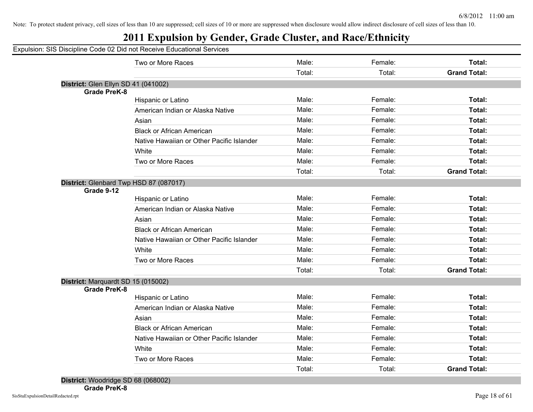## **2011 Expulsion by Gender, Grade Cluster, and Race/Ethnicity**

| District: Glen Ellyn SD 41 (041002)<br><b>Grade PreK-8</b> | Two or More Races<br>Hispanic or Latino<br>American Indian or Alaska Native<br>Asian<br><b>Black or African American</b><br>Native Hawaiian or Other Pacific Islander | Male:<br>Total:<br>Male:<br>Male:<br>Male:<br>Male:<br>Male: | Female:<br>Total:<br>Female:<br>Female:<br>Female:<br>Female: | Total:<br><b>Grand Total:</b><br>Total:<br>Total:<br>Total: |
|------------------------------------------------------------|-----------------------------------------------------------------------------------------------------------------------------------------------------------------------|--------------------------------------------------------------|---------------------------------------------------------------|-------------------------------------------------------------|
|                                                            |                                                                                                                                                                       |                                                              |                                                               |                                                             |
|                                                            |                                                                                                                                                                       |                                                              |                                                               |                                                             |
|                                                            |                                                                                                                                                                       |                                                              |                                                               |                                                             |
|                                                            |                                                                                                                                                                       |                                                              |                                                               |                                                             |
|                                                            |                                                                                                                                                                       |                                                              |                                                               |                                                             |
|                                                            |                                                                                                                                                                       |                                                              |                                                               |                                                             |
|                                                            |                                                                                                                                                                       |                                                              |                                                               |                                                             |
|                                                            |                                                                                                                                                                       |                                                              |                                                               | Total:                                                      |
|                                                            |                                                                                                                                                                       |                                                              | Female:                                                       | Total:                                                      |
|                                                            | White                                                                                                                                                                 | Male:                                                        | Female:                                                       | Total:                                                      |
|                                                            | Two or More Races                                                                                                                                                     | Male:                                                        | Female:                                                       | Total:                                                      |
|                                                            |                                                                                                                                                                       | Total:                                                       | Total:                                                        | <b>Grand Total:</b>                                         |
| District: Glenbard Twp HSD 87 (087017)                     |                                                                                                                                                                       |                                                              |                                                               |                                                             |
| Grade 9-12                                                 |                                                                                                                                                                       |                                                              |                                                               |                                                             |
|                                                            | Hispanic or Latino                                                                                                                                                    | Male:                                                        | Female:                                                       | Total:                                                      |
|                                                            | American Indian or Alaska Native                                                                                                                                      | Male:                                                        | Female:                                                       | Total:                                                      |
|                                                            | Asian                                                                                                                                                                 | Male:                                                        | Female:                                                       | Total:                                                      |
|                                                            | <b>Black or African American</b>                                                                                                                                      | Male:                                                        | Female:                                                       | Total:                                                      |
|                                                            | Native Hawaiian or Other Pacific Islander                                                                                                                             | Male:                                                        | Female:                                                       | Total:                                                      |
|                                                            | White                                                                                                                                                                 | Male:                                                        | Female:                                                       | Total:                                                      |
|                                                            | Two or More Races                                                                                                                                                     | Male:                                                        | Female:                                                       | Total:                                                      |
|                                                            |                                                                                                                                                                       | Total:                                                       | Total:                                                        | <b>Grand Total:</b>                                         |
| District: Marquardt SD 15 (015002)                         |                                                                                                                                                                       |                                                              |                                                               |                                                             |
| <b>Grade PreK-8</b>                                        |                                                                                                                                                                       |                                                              |                                                               |                                                             |
|                                                            | Hispanic or Latino                                                                                                                                                    | Male:                                                        | Female:                                                       | Total:                                                      |
|                                                            | American Indian or Alaska Native                                                                                                                                      | Male:                                                        | Female:                                                       | Total:                                                      |
|                                                            | Asian                                                                                                                                                                 | Male:                                                        | Female:                                                       | Total:                                                      |
|                                                            | <b>Black or African American</b>                                                                                                                                      | Male:                                                        | Female:                                                       | Total:                                                      |
|                                                            | Native Hawaiian or Other Pacific Islander                                                                                                                             | Male:                                                        | Female:                                                       | Total:                                                      |
|                                                            | White                                                                                                                                                                 | Male:                                                        | Female:                                                       | Total:                                                      |
|                                                            | Two or More Races                                                                                                                                                     | Male:                                                        | Female:                                                       | Total:                                                      |
|                                                            |                                                                                                                                                                       | Total:                                                       | Total:                                                        | <b>Grand Total:</b>                                         |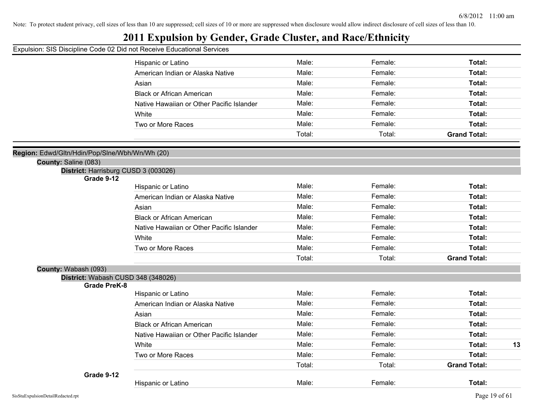## **2011 Expulsion by Gender, Grade Cluster, and Race/Ethnicity**

|                                                    | Hispanic or Latino                        | Male:  | Female: | Total:              |
|----------------------------------------------------|-------------------------------------------|--------|---------|---------------------|
|                                                    | American Indian or Alaska Native          | Male:  | Female: | Total:              |
|                                                    | Asian                                     | Male:  | Female: | Total:              |
|                                                    | <b>Black or African American</b>          | Male:  | Female: | Total:              |
|                                                    | Native Hawaiian or Other Pacific Islander | Male:  | Female: | Total:              |
|                                                    | White                                     | Male:  | Female: | Total:              |
|                                                    | Two or More Races                         | Male:  | Female: | Total:              |
|                                                    |                                           | Total: | Total:  | <b>Grand Total:</b> |
|                                                    |                                           |        |         |                     |
| Region: Edwd/Gltn/Hdin/Pop/Slne/Wbh/Wn/Wh (20)     |                                           |        |         |                     |
| County: Saline (083)                               |                                           |        |         |                     |
| District: Harrisburg CUSD 3 (003026)<br>Grade 9-12 |                                           |        |         |                     |
|                                                    | Hispanic or Latino                        | Male:  | Female: | Total:              |
|                                                    | American Indian or Alaska Native          | Male:  | Female: | Total:              |
|                                                    | Asian                                     | Male:  | Female: | Total:              |
|                                                    | <b>Black or African American</b>          | Male:  | Female: | Total:              |
|                                                    | Native Hawaiian or Other Pacific Islander | Male:  | Female: | Total:              |
|                                                    | White                                     | Male:  | Female: | Total:              |
|                                                    | Two or More Races                         | Male:  | Female: | Total:              |
|                                                    |                                           | Total: | Total:  | <b>Grand Total:</b> |
| County: Wabash (093)                               |                                           |        |         |                     |
| District: Wabash CUSD 348 (348026)                 |                                           |        |         |                     |
| <b>Grade PreK-8</b>                                | Hispanic or Latino                        | Male:  | Female: | Total:              |
|                                                    | American Indian or Alaska Native          | Male:  | Female: | Total:              |
|                                                    | Asian                                     | Male:  | Female: | Total:              |
|                                                    | <b>Black or African American</b>          | Male:  | Female: | Total:              |
|                                                    | Native Hawaiian or Other Pacific Islander | Male:  | Female: | Total:              |
|                                                    | White                                     | Male:  | Female: | Total:<br>13        |
|                                                    | Two or More Races                         | Male:  | Female: | Total:              |
|                                                    |                                           | Total: | Total:  | <b>Grand Total:</b> |
| Grade 9-12                                         |                                           |        |         |                     |
|                                                    | Hispanic or Latino                        | Male:  | Female: | Total:              |
|                                                    |                                           |        |         |                     |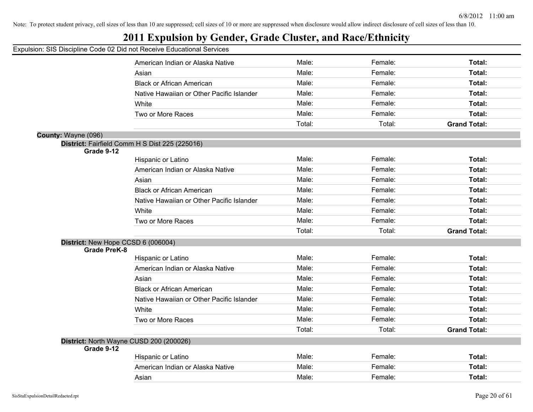## **2011 Expulsion by Gender, Grade Cluster, and Race/Ethnicity**

|                                    | American Indian or Alaska Native               | Male:  | Female: | Total:              |
|------------------------------------|------------------------------------------------|--------|---------|---------------------|
|                                    | Asian                                          | Male:  | Female: | Total:              |
|                                    | <b>Black or African American</b>               | Male:  | Female: | Total:              |
|                                    | Native Hawaiian or Other Pacific Islander      | Male:  | Female: | Total:              |
|                                    | White                                          | Male:  | Female: | Total:              |
|                                    | Two or More Races                              | Male:  | Female: | Total:              |
|                                    |                                                | Total: | Total:  | <b>Grand Total:</b> |
| County: Wayne (096)                |                                                |        |         |                     |
| Grade 9-12                         | District: Fairfield Comm H S Dist 225 (225016) |        |         |                     |
|                                    | Hispanic or Latino                             | Male:  | Female: | Total:              |
|                                    | American Indian or Alaska Native               | Male:  | Female: | Total:              |
|                                    | Asian                                          | Male:  | Female: | Total:              |
|                                    | <b>Black or African American</b>               | Male:  | Female: | Total:              |
|                                    | Native Hawaiian or Other Pacific Islander      | Male:  | Female: | Total:              |
|                                    | White                                          | Male:  | Female: | Total:              |
|                                    | Two or More Races                              | Male:  | Female: | Total:              |
|                                    |                                                | Total: | Total:  | <b>Grand Total:</b> |
| District: New Hope CCSD 6 (006004) |                                                |        |         |                     |
| <b>Grade PreK-8</b>                |                                                |        |         |                     |
|                                    | Hispanic or Latino                             | Male:  | Female: | Total:              |
|                                    | American Indian or Alaska Native               | Male:  | Female: | Total:              |
|                                    | Asian                                          | Male:  | Female: | Total:              |
|                                    | <b>Black or African American</b>               | Male:  | Female: | Total:              |
|                                    | Native Hawaiian or Other Pacific Islander      | Male:  | Female: | Total:              |
|                                    | White                                          | Male:  | Female: | Total:              |
|                                    | Two or More Races                              | Male:  | Female: | Total:              |
|                                    |                                                | Total: | Total:  | <b>Grand Total:</b> |
| Grade 9-12                         | District: North Wayne CUSD 200 (200026)        |        |         |                     |
|                                    | Hispanic or Latino                             | Male:  | Female: | Total:              |
|                                    | American Indian or Alaska Native               | Male:  | Female: | Total:              |
|                                    | Asian                                          | Male:  | Female: | Total:              |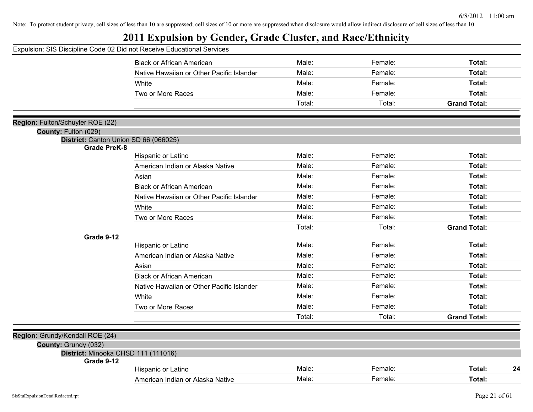| Expulsion: SIS Discipline Code 02 Did not Receive Educational Services |                                           |        |         |                     |
|------------------------------------------------------------------------|-------------------------------------------|--------|---------|---------------------|
|                                                                        | <b>Black or African American</b>          | Male:  | Female: | Total:              |
|                                                                        | Native Hawaiian or Other Pacific Islander | Male:  | Female: | Total:              |
|                                                                        | White                                     | Male:  | Female: | Total:              |
|                                                                        | Two or More Races                         | Male:  | Female: | Total:              |
|                                                                        |                                           | Total: | Total:  | <b>Grand Total:</b> |
| Region: Fulton/Schuyler ROE (22)                                       |                                           |        |         |                     |
| County: Fulton (029)                                                   |                                           |        |         |                     |
| District: Canton Union SD 66 (066025)                                  |                                           |        |         |                     |
| <b>Grade PreK-8</b>                                                    | Hispanic or Latino                        | Male:  | Female: | Total:              |
|                                                                        | American Indian or Alaska Native          | Male:  | Female: | Total:              |
|                                                                        | Asian                                     | Male:  | Female: | Total:              |
|                                                                        | <b>Black or African American</b>          | Male:  | Female: | Total:              |
|                                                                        | Native Hawaiian or Other Pacific Islander | Male:  | Female: | Total:              |
|                                                                        | White                                     | Male:  | Female: | Total:              |
|                                                                        | Two or More Races                         | Male:  | Female: | Total:              |
|                                                                        |                                           | Total: | Total:  | <b>Grand Total:</b> |
| Grade 9-12                                                             |                                           |        |         |                     |
|                                                                        | Hispanic or Latino                        | Male:  | Female: | Total:              |
|                                                                        | American Indian or Alaska Native          | Male:  | Female: | Total:              |
|                                                                        | Asian                                     | Male:  | Female: | Total:              |
|                                                                        | <b>Black or African American</b>          | Male:  | Female: | Total:              |
|                                                                        | Native Hawaiian or Other Pacific Islander | Male:  | Female: | Total:              |
|                                                                        | White                                     | Male:  | Female: | Total:              |
|                                                                        | Two or More Races                         | Male:  | Female: | Total:              |
|                                                                        |                                           | Total: | Total:  | <b>Grand Total:</b> |
| Region: Grundy/Kendall ROE (24)                                        |                                           |        |         |                     |
| County: Grundy (032)                                                   |                                           |        |         |                     |
| District: Minooka CHSD 111 (111016)                                    |                                           |        |         |                     |
| Grade 9-12                                                             |                                           | Male:  | Female: | Total:              |
|                                                                        | Hispanic or Latino                        |        |         | 24                  |
|                                                                        | American Indian or Alaska Native          | Male:  | Female: | Total:              |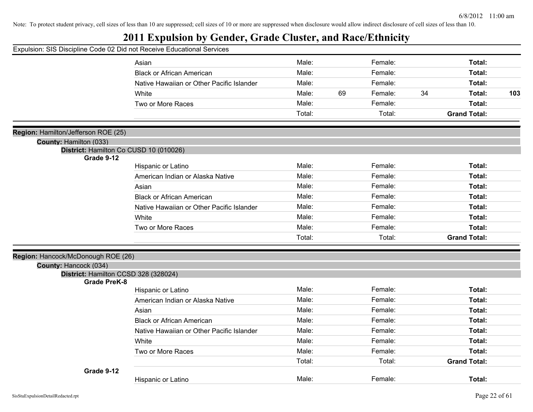|  |  |  |  |  |  |  |  |  | Expulsion: SIS Discipline Code 02 Did not Receive Educational Services |  |  |  |  |
|--|--|--|--|--|--|--|--|--|------------------------------------------------------------------------|--|--|--|--|
|--|--|--|--|--|--|--|--|--|------------------------------------------------------------------------|--|--|--|--|

|                                                                  | Asian                                     | Male:  |    | Female: |    | Total:              |     |
|------------------------------------------------------------------|-------------------------------------------|--------|----|---------|----|---------------------|-----|
|                                                                  | <b>Black or African American</b>          | Male:  |    | Female: |    | Total:              |     |
|                                                                  | Native Hawaiian or Other Pacific Islander | Male:  |    | Female: |    | Total:              |     |
|                                                                  | White                                     | Male:  | 69 | Female: | 34 | Total:              | 103 |
|                                                                  | Two or More Races                         | Male:  |    | Female: |    | Total:              |     |
|                                                                  |                                           | Total: |    | Total:  |    | <b>Grand Total:</b> |     |
|                                                                  |                                           |        |    |         |    |                     |     |
| Region: Hamilton/Jefferson ROE (25)                              |                                           |        |    |         |    |                     |     |
| County: Hamilton (033)<br>District: Hamilton Co CUSD 10 (010026) |                                           |        |    |         |    |                     |     |
| Grade 9-12                                                       |                                           |        |    |         |    |                     |     |
|                                                                  | Hispanic or Latino                        | Male:  |    | Female: |    | Total:              |     |
|                                                                  | American Indian or Alaska Native          | Male:  |    | Female: |    | Total:              |     |
|                                                                  | Asian                                     | Male:  |    | Female: |    | Total:              |     |
|                                                                  | <b>Black or African American</b>          | Male:  |    | Female: |    | Total:              |     |
|                                                                  | Native Hawaiian or Other Pacific Islander | Male:  |    | Female: |    | Total:              |     |
|                                                                  | White                                     | Male:  |    | Female: |    | Total:              |     |
|                                                                  | Two or More Races                         | Male:  |    | Female: |    | Total:              |     |
|                                                                  |                                           | Total: |    | Total:  |    | <b>Grand Total:</b> |     |
|                                                                  |                                           |        |    |         |    |                     |     |
| Region: Hancock/McDonough ROE (26)<br>County: Hancock (034)      |                                           |        |    |         |    |                     |     |
| District: Hamilton CCSD 328 (328024)                             |                                           |        |    |         |    |                     |     |
| <b>Grade PreK-8</b>                                              |                                           |        |    |         |    |                     |     |
|                                                                  | Hispanic or Latino                        | Male:  |    | Female: |    | Total:              |     |
|                                                                  | American Indian or Alaska Native          | Male:  |    | Female: |    | Total:              |     |
|                                                                  | Asian                                     | Male:  |    | Female: |    | Total:              |     |
|                                                                  | <b>Black or African American</b>          | Male:  |    | Female: |    | Total:              |     |
|                                                                  | Native Hawaiian or Other Pacific Islander | Male:  |    | Female: |    | Total:              |     |
|                                                                  | White                                     | Male:  |    | Female: |    | Total:              |     |
|                                                                  | Two or More Races                         | Male:  |    | Female: |    | Total:              |     |
|                                                                  |                                           | Total: |    | Total:  |    | <b>Grand Total:</b> |     |
| Grade 9-12                                                       |                                           |        |    |         |    |                     |     |
|                                                                  | Hispanic or Latino                        | Male:  |    | Female: |    | Total:              |     |
|                                                                  |                                           |        |    |         |    |                     |     |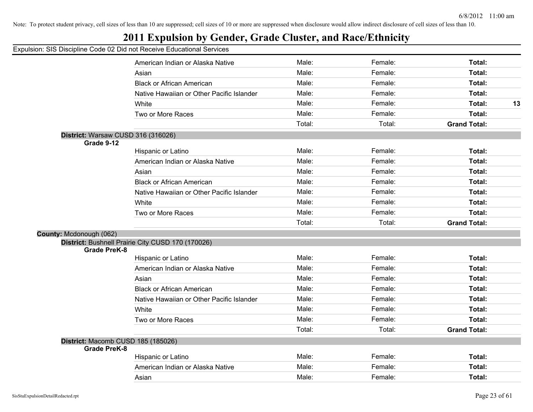## **2011 Expulsion by Gender, Grade Cluster, and Race/Ethnicity**

|                                    | on. Old Discipling Oodd oz Did not Keedive Eddedlional Ochvices |        |         |                     |    |
|------------------------------------|-----------------------------------------------------------------|--------|---------|---------------------|----|
|                                    | American Indian or Alaska Native                                | Male:  | Female: | Total:              |    |
|                                    | Asian                                                           | Male:  | Female: | Total:              |    |
|                                    | <b>Black or African American</b>                                | Male:  | Female: | Total:              |    |
|                                    | Native Hawaiian or Other Pacific Islander                       | Male:  | Female: | <b>Total:</b>       |    |
|                                    | White                                                           | Male:  | Female: | <b>Total:</b>       | 13 |
|                                    | Two or More Races                                               | Male:  | Female: | Total:              |    |
|                                    |                                                                 | Total: | Total:  | <b>Grand Total:</b> |    |
| District: Warsaw CUSD 316 (316026) |                                                                 |        |         |                     |    |
| Grade 9-12                         |                                                                 |        |         |                     |    |
|                                    | Hispanic or Latino                                              | Male:  | Female: | <b>Total:</b>       |    |
|                                    | American Indian or Alaska Native                                | Male:  | Female: | Total:              |    |
|                                    | Asian                                                           | Male:  | Female: | Total:              |    |
|                                    | <b>Black or African American</b>                                | Male:  | Female: | Total:              |    |
|                                    | Native Hawaiian or Other Pacific Islander                       | Male:  | Female: | Total:              |    |
|                                    | White                                                           | Male:  | Female: | Total:              |    |
|                                    | Two or More Races                                               | Male:  | Female: | Total:              |    |
|                                    |                                                                 | Total: | Total:  | <b>Grand Total:</b> |    |
| County: Mcdonough (062)            |                                                                 |        |         |                     |    |
|                                    | District: Bushnell Prairie City CUSD 170 (170026)               |        |         |                     |    |
| <b>Grade PreK-8</b>                |                                                                 |        |         |                     |    |
|                                    | Hispanic or Latino                                              | Male:  | Female: | <b>Total:</b>       |    |
|                                    | American Indian or Alaska Native                                | Male:  | Female: | Total:              |    |
|                                    | Asian                                                           | Male:  | Female: | Total:              |    |
|                                    | <b>Black or African American</b>                                | Male:  | Female: | Total:              |    |
|                                    | Native Hawaiian or Other Pacific Islander                       | Male:  | Female: | <b>Total:</b>       |    |
|                                    | White                                                           | Male:  | Female: | Total:              |    |
|                                    | Two or More Races                                               | Male:  | Female: | Total:              |    |
|                                    |                                                                 | Total: | Total:  | <b>Grand Total:</b> |    |
| District: Macomb CUSD 185 (185026) |                                                                 |        |         |                     |    |
| <b>Grade PreK-8</b>                |                                                                 |        |         |                     |    |
|                                    | Hispanic or Latino                                              | Male:  | Female: | Total:              |    |
|                                    | American Indian or Alaska Native                                | Male:  | Female: | Total:              |    |
|                                    | Asian                                                           | Male:  | Female: | Total:              |    |
|                                    |                                                                 |        |         |                     |    |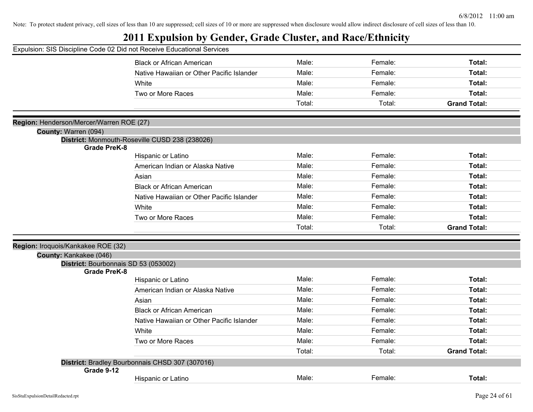| Expulsion: SIS Discipline Code 02 Did not Receive Educational Services |                                                 |        |         |                     |
|------------------------------------------------------------------------|-------------------------------------------------|--------|---------|---------------------|
|                                                                        | <b>Black or African American</b>                | Male:  | Female: | Total:              |
|                                                                        | Native Hawaiian or Other Pacific Islander       | Male:  | Female: | Total:              |
|                                                                        | White                                           | Male:  | Female: | Total:              |
|                                                                        | Two or More Races                               | Male:  | Female: | Total:              |
|                                                                        |                                                 | Total: | Total:  | <b>Grand Total:</b> |
|                                                                        |                                                 |        |         |                     |
| Region: Henderson/Mercer/Warren ROE (27)<br>County: Warren (094)       |                                                 |        |         |                     |
|                                                                        | District: Monmouth-Roseville CUSD 238 (238026)  |        |         |                     |
| <b>Grade PreK-8</b>                                                    |                                                 |        |         |                     |
|                                                                        | Hispanic or Latino                              | Male:  | Female: | Total:              |
|                                                                        | American Indian or Alaska Native                | Male:  | Female: | Total:              |
|                                                                        | Asian                                           | Male:  | Female: | Total:              |
|                                                                        | <b>Black or African American</b>                | Male:  | Female: | Total:              |
|                                                                        | Native Hawaiian or Other Pacific Islander       | Male:  | Female: | Total:              |
|                                                                        | White                                           | Male:  | Female: | Total:              |
|                                                                        | Two or More Races                               | Male:  | Female: | Total:              |
|                                                                        |                                                 | Total: | Total:  | <b>Grand Total:</b> |
|                                                                        |                                                 |        |         |                     |
| Region: Iroquois/Kankakee ROE (32)                                     |                                                 |        |         |                     |
| County: Kankakee (046)<br>District: Bourbonnais SD 53 (053002)         |                                                 |        |         |                     |
| <b>Grade PreK-8</b>                                                    |                                                 |        |         |                     |
|                                                                        | Hispanic or Latino                              | Male:  | Female: | Total:              |
|                                                                        | American Indian or Alaska Native                | Male:  | Female: | Total:              |
|                                                                        | Asian                                           | Male:  | Female: | Total:              |
|                                                                        | <b>Black or African American</b>                | Male:  | Female: | Total:              |
|                                                                        | Native Hawaiian or Other Pacific Islander       | Male:  | Female: | Total:              |
|                                                                        | White                                           | Male:  | Female: | Total:              |
|                                                                        | Two or More Races                               | Male:  | Female: | Total:              |
|                                                                        |                                                 | Total: | Total:  | <b>Grand Total:</b> |
|                                                                        | District: Bradley Bourbonnais CHSD 307 (307016) |        |         |                     |
| Grade 9-12                                                             |                                                 |        |         |                     |
|                                                                        | Hispanic or Latino                              | Male:  | Female: | Total:              |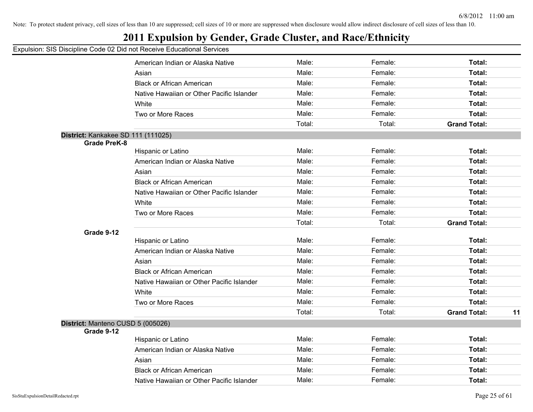## **2011 Expulsion by Gender, Grade Cluster, and Race/Ethnicity**

|                                    | American Indian or Alaska Native          | Male:  | Female: | Total:              |    |
|------------------------------------|-------------------------------------------|--------|---------|---------------------|----|
|                                    | Asian                                     | Male:  | Female: | Total:              |    |
|                                    | <b>Black or African American</b>          | Male:  | Female: | Total:              |    |
|                                    | Native Hawaiian or Other Pacific Islander | Male:  | Female: | Total:              |    |
|                                    | White                                     | Male:  | Female: | Total:              |    |
|                                    | Two or More Races                         | Male:  | Female: | Total:              |    |
|                                    |                                           | Total: | Total:  | <b>Grand Total:</b> |    |
| District: Kankakee SD 111 (111025) |                                           |        |         |                     |    |
| <b>Grade PreK-8</b>                |                                           |        |         |                     |    |
|                                    | Hispanic or Latino                        | Male:  | Female: | Total:              |    |
|                                    | American Indian or Alaska Native          | Male:  | Female: | Total:              |    |
|                                    | Asian                                     | Male:  | Female: | Total:              |    |
|                                    | <b>Black or African American</b>          | Male:  | Female: | Total:              |    |
|                                    | Native Hawaiian or Other Pacific Islander | Male:  | Female: | Total:              |    |
|                                    | White                                     | Male:  | Female: | Total:              |    |
|                                    | Two or More Races                         | Male:  | Female: | Total:              |    |
|                                    |                                           | Total: | Total:  | <b>Grand Total:</b> |    |
| Grade 9-12                         |                                           |        |         |                     |    |
|                                    | Hispanic or Latino                        | Male:  | Female: | Total:              |    |
|                                    | American Indian or Alaska Native          | Male:  | Female: | Total:              |    |
|                                    | Asian                                     | Male:  | Female: | Total:              |    |
|                                    | <b>Black or African American</b>          | Male:  | Female: | Total:              |    |
|                                    | Native Hawaiian or Other Pacific Islander | Male:  | Female: | Total:              |    |
|                                    | White                                     | Male:  | Female: | Total:              |    |
|                                    | Two or More Races                         | Male:  | Female: | Total:              |    |
|                                    |                                           | Total: | Total:  | <b>Grand Total:</b> | 11 |
| District: Manteno CUSD 5 (005026)  |                                           |        |         |                     |    |
| Grade 9-12                         |                                           |        |         |                     |    |
|                                    | Hispanic or Latino                        | Male:  | Female: | Total:              |    |
|                                    | American Indian or Alaska Native          | Male:  | Female: | Total:              |    |
|                                    | Asian                                     | Male:  | Female: | Total:              |    |
|                                    | <b>Black or African American</b>          | Male:  | Female: | Total:              |    |
|                                    | Native Hawaiian or Other Pacific Islander | Male:  | Female: | Total:              |    |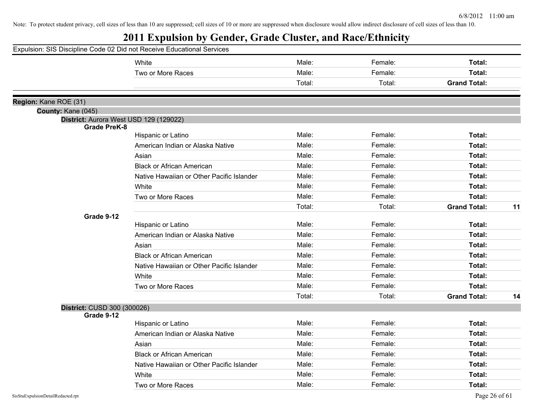| Expulsion: SIS Discipline Code 02 Did not Receive Educational Services |                                           |        |         |                     |    |
|------------------------------------------------------------------------|-------------------------------------------|--------|---------|---------------------|----|
|                                                                        | White                                     | Male:  | Female: | Total:              |    |
|                                                                        | Two or More Races                         | Male:  | Female: | Total:              |    |
|                                                                        |                                           | Total: | Total:  | <b>Grand Total:</b> |    |
|                                                                        |                                           |        |         |                     |    |
| Region: Kane ROE (31)                                                  |                                           |        |         |                     |    |
| County: Kane (045)                                                     | District: Aurora West USD 129 (129022)    |        |         |                     |    |
| <b>Grade PreK-8</b>                                                    |                                           |        |         |                     |    |
|                                                                        | Hispanic or Latino                        | Male:  | Female: | Total:              |    |
|                                                                        | American Indian or Alaska Native          | Male:  | Female: | Total:              |    |
|                                                                        | Asian                                     | Male:  | Female: | Total:              |    |
|                                                                        | <b>Black or African American</b>          | Male:  | Female: | Total:              |    |
|                                                                        | Native Hawaiian or Other Pacific Islander | Male:  | Female: | Total:              |    |
|                                                                        | White                                     | Male:  | Female: | Total:              |    |
|                                                                        | Two or More Races                         | Male:  | Female: | Total:              |    |
|                                                                        |                                           | Total: | Total:  | <b>Grand Total:</b> | 11 |
| Grade 9-12                                                             |                                           |        |         |                     |    |
|                                                                        | Hispanic or Latino                        | Male:  | Female: | Total:              |    |
|                                                                        | American Indian or Alaska Native          | Male:  | Female: | Total:              |    |
|                                                                        | Asian                                     | Male:  | Female: | Total:              |    |
|                                                                        | <b>Black or African American</b>          | Male:  | Female: | Total:              |    |
|                                                                        | Native Hawaiian or Other Pacific Islander | Male:  | Female: | Total:              |    |
|                                                                        | White                                     | Male:  | Female: | Total:              |    |
|                                                                        | Two or More Races                         | Male:  | Female: | Total:              |    |
|                                                                        |                                           | Total: | Total:  | <b>Grand Total:</b> | 14 |
| District: CUSD 300 (300026)                                            |                                           |        |         |                     |    |
| Grade 9-12                                                             |                                           |        |         |                     |    |
|                                                                        | Hispanic or Latino                        | Male:  | Female: | Total:              |    |
|                                                                        | American Indian or Alaska Native          | Male:  | Female: | Total:              |    |
|                                                                        | Asian                                     | Male:  | Female: | Total:              |    |
|                                                                        | <b>Black or African American</b>          | Male:  | Female: | Total:              |    |
|                                                                        | Native Hawaiian or Other Pacific Islander | Male:  | Female: | Total:              |    |
|                                                                        | White                                     | Male:  | Female: | Total:              |    |
|                                                                        | Two or More Races                         | Male:  | Female: | Total:              |    |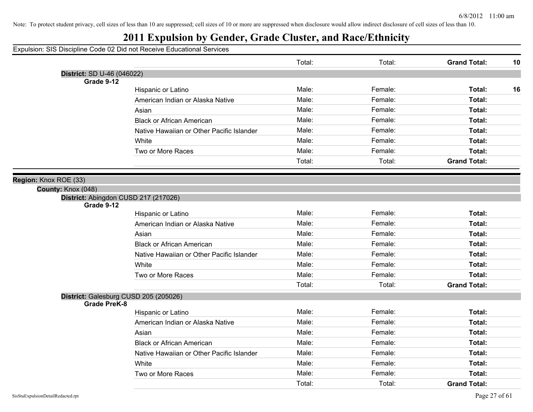## **2011 Expulsion by Gender, Grade Cluster, and Race/Ethnicity**

|                                   |                                           | Total: | Total:  | <b>Grand Total:</b><br>10 |
|-----------------------------------|-------------------------------------------|--------|---------|---------------------------|
| <b>District: SD U-46 (046022)</b> |                                           |        |         |                           |
| Grade 9-12                        |                                           |        |         |                           |
|                                   | Hispanic or Latino                        | Male:  | Female: | Total:<br>16              |
|                                   | American Indian or Alaska Native          | Male:  | Female: | Total:                    |
|                                   | Asian                                     | Male:  | Female: | Total:                    |
|                                   | <b>Black or African American</b>          | Male:  | Female: | Total:                    |
|                                   | Native Hawaiian or Other Pacific Islander | Male:  | Female: | Total:                    |
|                                   | White                                     | Male:  | Female: | Total:                    |
|                                   | Two or More Races                         | Male:  | Female: | Total:                    |
|                                   |                                           | Total: | Total:  | <b>Grand Total:</b>       |
| Region: Knox ROE (33)             |                                           |        |         |                           |
| County: Knox (048)                |                                           |        |         |                           |
| Grade 9-12                        | District: Abingdon CUSD 217 (217026)      |        |         |                           |
|                                   | Hispanic or Latino                        | Male:  | Female: | Total:                    |
|                                   | American Indian or Alaska Native          | Male:  | Female: | Total:                    |
|                                   | Asian                                     | Male:  | Female: | Total:                    |
|                                   | <b>Black or African American</b>          | Male:  | Female: | Total:                    |
|                                   | Native Hawaiian or Other Pacific Islander | Male:  | Female: | Total:                    |
|                                   | White                                     | Male:  | Female: | Total:                    |
|                                   | Two or More Races                         | Male:  | Female: | Total:                    |
|                                   |                                           | Total: | Total:  | <b>Grand Total:</b>       |
| <b>Grade PreK-8</b>               | District: Galesburg CUSD 205 (205026)     |        |         |                           |
|                                   | Hispanic or Latino                        | Male:  | Female: | Total:                    |
|                                   | American Indian or Alaska Native          | Male:  | Female: | Total:                    |
|                                   | Asian                                     | Male:  | Female: | Total:                    |
|                                   | <b>Black or African American</b>          | Male:  | Female: | Total:                    |
|                                   | Native Hawaiian or Other Pacific Islander | Male:  | Female: | Total:                    |
|                                   | White                                     | Male:  | Female: | Total:                    |
|                                   | Two or More Races                         | Male:  | Female: | Total:                    |
|                                   |                                           | Total: | Total:  | <b>Grand Total:</b>       |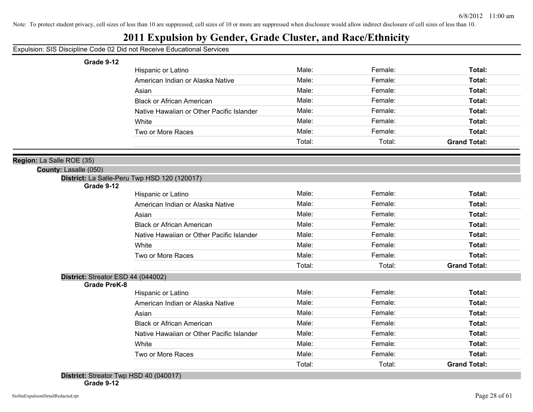#### **2011 Expulsion by Gender, Grade Cluster, and Race/Ethnicity**

#### Expulsion: SIS Discipline Code 02 Did not Receive Educational Services

#### **Grade 9-12**

| Hispanic or Latino                        | Male:  | Female: | Total:              |
|-------------------------------------------|--------|---------|---------------------|
| American Indian or Alaska Native          | Male:  | Female: | Total:              |
| Asian                                     | Male:  | Female: | Total:              |
| <b>Black or African American</b>          | Male:  | Female: | Total:              |
| Native Hawaiian or Other Pacific Islander | Male:  | Female: | Total:              |
| White                                     | Male:  | Female: | Total:              |
| Two or More Races                         | Male:  | Female: | Total:              |
|                                           | Total: | Total:  | <b>Grand Total:</b> |

#### **Region:** La Salle ROE (35)

**County:** Lasalle (050)

**District:** La Salle-Peru Twp HSD 120 (120017)

**Grade 9-12**

| OI QUE J-IZ                        |                                           |        |         |                     |
|------------------------------------|-------------------------------------------|--------|---------|---------------------|
|                                    | Hispanic or Latino                        | Male:  | Female: | Total:              |
|                                    | American Indian or Alaska Native          | Male:  | Female: | Total:              |
|                                    | Asian                                     | Male:  | Female: | Total:              |
|                                    | <b>Black or African American</b>          | Male:  | Female: | Total:              |
|                                    | Native Hawaiian or Other Pacific Islander | Male:  | Female: | Total:              |
|                                    | White                                     | Male:  | Female: | Total:              |
|                                    | Two or More Races                         | Male:  | Female: | Total:              |
|                                    |                                           | Total: | Total:  | <b>Grand Total:</b> |
| District: Streator ESD 44 (044002) |                                           |        |         |                     |
| Grade PreK-8                       |                                           |        |         |                     |
|                                    | Hispanic or Latino                        | Male:  | Female: | Total:              |
|                                    | American Indian or Alaska Native          | Male:  | Female: | Total:              |
|                                    | Asian                                     | Male:  | Female: | Total:              |
|                                    | <b>Black or African American</b>          | Male:  | Female: | Total:              |
|                                    | Native Hawaiian or Other Pacific Islander | Male:  | Female: | Total:              |

White **Male:** Female: **Total:** Female: **Total:** Female: **Total:** Two or More Races **Total: Total: Male: Total: Total: Total: Total: Total: Total: Total: Total: Total: Total: Total: Total: Total: Total: Total: Total: Total: Total: Total: Total:** 

Total: Total: **Grand Total:**

**Grade 9-12**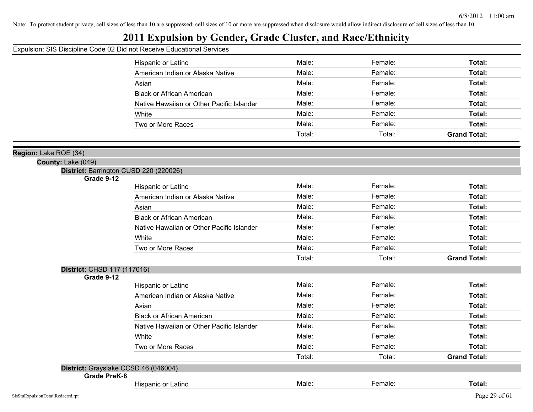## **2011 Expulsion by Gender, Grade Cluster, and Race/Ethnicity**

#### Expulsion: SIS Discipline Code 02 Did not Receive Educational Services

|                                                      | Hispanic or Latino                        | Male:  | Female: | Total:              |
|------------------------------------------------------|-------------------------------------------|--------|---------|---------------------|
|                                                      | American Indian or Alaska Native          | Male:  | Female: | Total:              |
|                                                      | Asian                                     | Male:  | Female: | Total:              |
|                                                      | <b>Black or African American</b>          | Male:  | Female: | Total:              |
|                                                      | Native Hawaiian or Other Pacific Islander | Male:  | Female: | Total:              |
|                                                      | White                                     | Male:  | Female: | Total:              |
|                                                      | Two or More Races                         | Male:  | Female: | Total:              |
|                                                      |                                           | Total: | Total:  | <b>Grand Total:</b> |
|                                                      |                                           |        |         |                     |
| ion: Lake ROE (34)                                   |                                           |        |         |                     |
| County: Lake (049)                                   |                                           |        |         |                     |
| District: Barrington CUSD 220 (220026)<br>Grade 9-12 |                                           |        |         |                     |
|                                                      | Hispanic or Latino                        | Male:  | Female: | Total:              |
|                                                      | American Indian or Alaska Native          | Male:  | Female: | Total:              |
|                                                      | Asian                                     | Male:  | Female: | Total:              |
|                                                      | <b>Black or African American</b>          | Male:  | Female: | Total:              |
|                                                      | Native Hawaiian or Other Pacific Islander | Male:  | Female: | Total:              |
|                                                      | White                                     | Male:  | Female: | Total:              |
|                                                      | Two or More Races                         | Male:  | Female: | Total:              |
|                                                      |                                           | Total: | Total:  | <b>Grand Total:</b> |
| District: CHSD 117 (117016)                          |                                           |        |         |                     |
| Grade 9-12                                           |                                           |        |         |                     |
|                                                      | Hispanic or Latino                        | Male:  | Female: | Total:              |
|                                                      | American Indian or Alaska Native          | Male:  | Female: | Total:              |
|                                                      | Asian                                     | Male:  | Female: | Total:              |
|                                                      | <b>Black or African American</b>          | Male:  | Female: | Total:              |
|                                                      | Native Hawaiian or Other Pacific Islander | Male:  | Female: | Total:              |
|                                                      | White                                     | Male:  | Female: | Total:              |
|                                                      | Two or More Races                         | Male:  | Female: | Total:              |
|                                                      |                                           | Total: | Total:  | <b>Grand Total:</b> |
| District: Grayslake CCSD 46 (046004)                 |                                           |        |         |                     |
| <b>Grade PreK-8</b>                                  | Hispanic or Latino                        | Male:  | Female: | Total:              |
|                                                      |                                           |        |         |                     |

Reg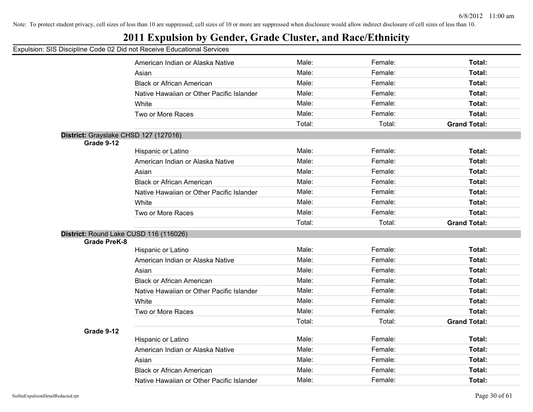## **2011 Expulsion by Gender, Grade Cluster, and Race/Ethnicity**

|                                       | American Indian or Alaska Native          | Male:  | Female: | Total:              |
|---------------------------------------|-------------------------------------------|--------|---------|---------------------|
|                                       | Asian                                     | Male:  | Female: | <b>Total:</b>       |
|                                       | <b>Black or African American</b>          | Male:  | Female: | Total:              |
|                                       | Native Hawaiian or Other Pacific Islander | Male:  | Female: | <b>Total:</b>       |
|                                       | White                                     | Male:  | Female: | <b>Total:</b>       |
|                                       | Two or More Races                         | Male:  | Female: | <b>Total:</b>       |
|                                       |                                           | Total: | Total:  | <b>Grand Total:</b> |
| District: Grayslake CHSD 127 (127016) |                                           |        |         |                     |
| Grade 9-12                            |                                           |        |         |                     |
|                                       | Hispanic or Latino                        | Male:  | Female: | Total:              |
|                                       | American Indian or Alaska Native          | Male:  | Female: | Total:              |
|                                       | Asian                                     | Male:  | Female: | <b>Total:</b>       |
|                                       | <b>Black or African American</b>          | Male:  | Female: | <b>Total:</b>       |
|                                       | Native Hawaiian or Other Pacific Islander | Male:  | Female: | <b>Total:</b>       |
|                                       | White                                     | Male:  | Female: | <b>Total:</b>       |
|                                       | Two or More Races                         | Male:  | Female: | <b>Total:</b>       |
|                                       |                                           | Total: | Total:  | <b>Grand Total:</b> |
|                                       | District: Round Lake CUSD 116 (116026)    |        |         |                     |
| <b>Grade PreK-8</b>                   |                                           |        |         |                     |
|                                       | Hispanic or Latino                        | Male:  | Female: | <b>Total:</b>       |
|                                       | American Indian or Alaska Native          | Male:  | Female: | <b>Total:</b>       |
|                                       | Asian                                     | Male:  | Female: | Total:              |
|                                       | <b>Black or African American</b>          | Male:  | Female: | <b>Total:</b>       |
|                                       | Native Hawaiian or Other Pacific Islander | Male:  | Female: | <b>Total:</b>       |
|                                       | White                                     | Male:  | Female: | <b>Total:</b>       |
|                                       | Two or More Races                         | Male:  | Female: | <b>Total:</b>       |
|                                       |                                           | Total: | Total:  | <b>Grand Total:</b> |
| Grade 9-12                            |                                           |        |         |                     |
|                                       | Hispanic or Latino                        | Male:  | Female: | Total:              |
|                                       | American Indian or Alaska Native          | Male:  | Female: | <b>Total:</b>       |
|                                       | Asian                                     | Male:  | Female: | <b>Total:</b>       |
|                                       | <b>Black or African American</b>          | Male:  | Female: | <b>Total:</b>       |
|                                       | Native Hawaiian or Other Pacific Islander | Male:  | Female: | Total:              |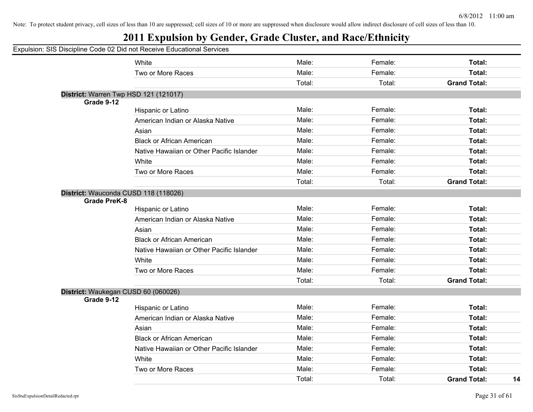#### **2011 Expulsion by Gender, Grade Cluster, and Race/Ethnicity**

#### Expulsion: SIS Discipline Code 02 Did not Receive Educational Services White **Male:** Female: **Total:** Female: **Total:** Female: **Total:** Female: Total: Two or More Races **Total: Total: Male: Total: Total: Total: Total: Total: Total: Total: Total: Total: Total: Total: Total: Total: Total: Total: Total: Total: Total: Total: Total:** Total: Total: **Grand Total: District:** Warren Twp HSD 121 (121017) **Grade 9-12** Hispanic or Latino **Male:** Male: Female: **Female:** Total: **Total:** Female: Total: American Indian or Alaska Native **Male:** Male: Female: Female: Total: Asian **Male: Total: Propose Assume Male: Total: Total: Total: Total: Total: Total: Total: Total: Total: Total: Total: Total: Total: Total: Total: Total: Total: Total: Total: Tota** Black or African American Male: Female: **Total:** Native Hawaiian or Other Pacific Islander **Male:** Female: Female: Total: White **Total:** Male: Female: **Total:** Female: **Total:** Female: Total: Two or More Races Male: Female: **Total:** Total: Total: **Grand Total: District:** Wauconda CUSD 118 (118026) **Grade PreK-8** Hispanic or Latino **Male:** Male: Female: **Total:** Total: **Total:** Female: Total: Total: American Indian or Alaska Native **Male:** Male: Female: Female: Total: Asian **Male: Total: Propose Assume Male: Total: Total: Total: Total: Total: Total: Total: Total: Total: Total: Total: Total: Total: Total: Total: Total: Total: Total: Total: Tota** Black or African American **Male:** Male: Female: **Female: Total:** Total: Native Hawaiian or Other Pacific Islander **Male:** Male: Female: Female: Total: White **Total:** Male: Female: **Total:** Female: **Total:** Female: Total: Two or More Races Male: Female: **Total:** Total: Total: **Grand Total: District:** Waukegan CUSD 60 (060026) **Grade 9-12** Hispanic or Latino **Male:** Male: **Female:** Female: **Total:** Total: American Indian or Alaska Native **Male:** Male: Total: Female: Total: Total: Total: Asian Male: Female: **Total:** Black or African American **Male:** Male: Female: **Female:** Total: Native Hawaiian or Other Pacific Islander **Male:** Female: Female: Total: White **Male:** Female: **Total:** Female: **Total:** Female: **Total:** Two or More Races Male: Female: **Total:** Total: Total: **Grand Total: 14**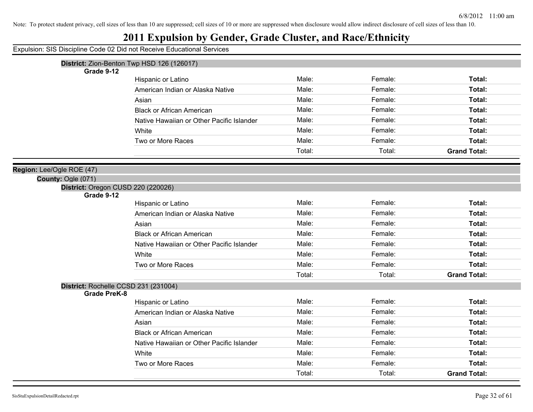#### **2011 Expulsion by Gender, Grade Cluster, and Race/Ethnicity**

Expulsion: SIS Discipline Code 02 Did not Receive Educational Services

|  |  | <b>District:</b> Zion-Benton Twp HSD 126 (126017) |  |  |  |  |
|--|--|---------------------------------------------------|--|--|--|--|
|--|--|---------------------------------------------------|--|--|--|--|

**Grade 9-12**

| Hispanic or Latino                        | Male:  | Female: | Total:              |
|-------------------------------------------|--------|---------|---------------------|
| American Indian or Alaska Native          | Male:  | Female: | Total:              |
| Asian                                     | Male:  | Female: | Total:              |
| <b>Black or African American</b>          | Male:  | Female: | Total:              |
| Native Hawaiian or Other Pacific Islander | Male:  | Female: | Total:              |
| White                                     | Male:  | Female: | Total:              |
| Two or More Races                         | Male:  | Female: | Total:              |
|                                           | Total: | Total:  | <b>Grand Total:</b> |

#### **Region:** Lee/Ogle ROE (47)

#### **County:** Ogle (071)

**Grade 9-12**

| Grade 9-12                           |                                           |        |         |                     |
|--------------------------------------|-------------------------------------------|--------|---------|---------------------|
|                                      | Hispanic or Latino                        | Male:  | Female: | Total:              |
|                                      | American Indian or Alaska Native          | Male:  | Female: | Total:              |
|                                      | Asian                                     | Male:  | Female: | Total:              |
|                                      | <b>Black or African American</b>          | Male:  | Female: | Total:              |
|                                      | Native Hawaiian or Other Pacific Islander | Male:  | Female: | Total:              |
|                                      | White                                     | Male:  | Female: | Total:              |
|                                      | Two or More Races                         | Male:  | Female: | Total:              |
|                                      |                                           | Total: | Total:  | <b>Grand Total:</b> |
| District: Rochelle CCSD 231 (231004) |                                           |        |         |                     |
| Grade PreK-8                         |                                           |        |         |                     |
|                                      | Hispanic or Latino                        | Male:  | Female: | Total:              |
|                                      | American Indian or Alaska Native          | Male:  | Female: | Total:              |
|                                      | Asian                                     | Male:  | Female: | Total:              |
|                                      | <b>Black or African American</b>          | Male:  | Female: | Total:              |
|                                      | Native Hawaiian or Other Pacific Islander | Male:  | Female: | Total:              |
|                                      | White                                     | Male:  | Female: | Total:              |

Two or More Races **Total: Male:** Total: **Female:** Female: **Total:** Total:

Total: Total: **Grand Total:**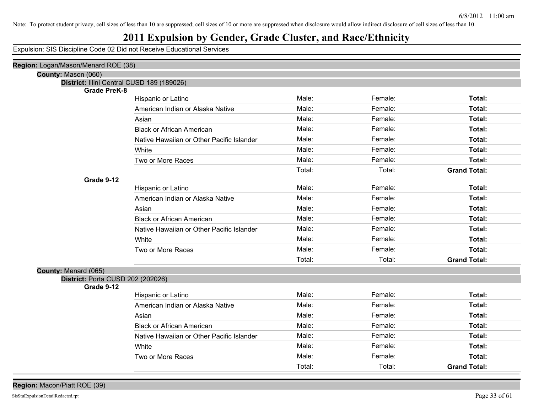## **2011 Expulsion by Gender, Grade Cluster, and Race/Ethnicity**

| Region: Logan/Mason/Menard ROE (38)        |                                           |        |         |                     |
|--------------------------------------------|-------------------------------------------|--------|---------|---------------------|
| County: Mason (060)                        |                                           |        |         |                     |
| District: Illini Central CUSD 189 (189026) |                                           |        |         |                     |
| <b>Grade PreK-8</b>                        | Hispanic or Latino                        | Male:  | Female: | Total:              |
|                                            | American Indian or Alaska Native          | Male:  | Female: | Total:              |
|                                            | Asian                                     | Male:  | Female: | Total:              |
|                                            |                                           | Male:  | Female: |                     |
|                                            | <b>Black or African American</b>          |        |         | Total:              |
|                                            | Native Hawaiian or Other Pacific Islander | Male:  | Female: | Total:              |
|                                            | White                                     | Male:  | Female: | Total:              |
|                                            | Two or More Races                         | Male:  | Female: | Total:              |
|                                            |                                           | Total: | Total:  | <b>Grand Total:</b> |
| Grade 9-12                                 |                                           | Male:  |         |                     |
|                                            | Hispanic or Latino                        |        | Female: | Total:              |
|                                            | American Indian or Alaska Native          | Male:  | Female: | Total:              |
|                                            | Asian                                     | Male:  | Female: | Total:              |
|                                            | <b>Black or African American</b>          | Male:  | Female: | Total:              |
|                                            | Native Hawaiian or Other Pacific Islander | Male:  | Female: | Total:              |
|                                            | White                                     | Male:  | Female: | Total:              |
|                                            | Two or More Races                         | Male:  | Female: | Total:              |
|                                            |                                           | Total: | Total:  | <b>Grand Total:</b> |
| County: Menard (065)                       |                                           |        |         |                     |
| District: Porta CUSD 202 (202026)          |                                           |        |         |                     |
| Grade 9-12                                 |                                           |        |         |                     |
|                                            | Hispanic or Latino                        | Male:  | Female: | Total:              |
|                                            | American Indian or Alaska Native          | Male:  | Female: | Total:              |
|                                            | Asian                                     | Male:  | Female: | Total:              |
|                                            | <b>Black or African American</b>          | Male:  | Female: | Total:              |
|                                            | Native Hawaiian or Other Pacific Islander | Male:  | Female: | Total:              |
|                                            | White                                     | Male:  | Female: | Total:              |
|                                            | Two or More Races                         | Male:  | Female: | Total:              |
|                                            |                                           | Total: | Total:  | <b>Grand Total:</b> |
|                                            |                                           |        |         |                     |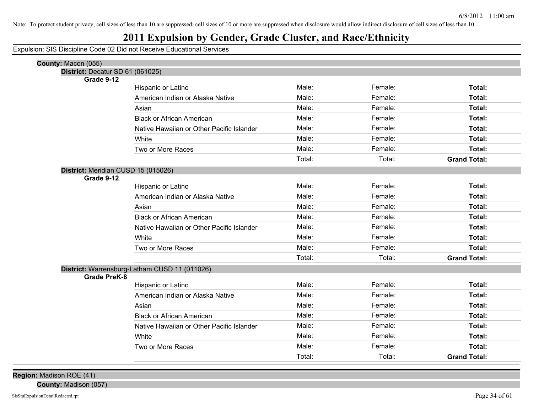## **2011 Expulsion by Gender, Grade Cluster, and Race/Ethnicity**

Expulsion: SIS Discipline Code 02 Did not Receive Educational Services

| County: Macon (055)                               |                                               |        |         |                     |
|---------------------------------------------------|-----------------------------------------------|--------|---------|---------------------|
| District: Decatur SD 61 (061025)                  |                                               |        |         |                     |
| Grade 9-12                                        | Hispanic or Latino                            | Male:  | Female: | Total:              |
|                                                   | American Indian or Alaska Native              | Male:  | Female: | Total:              |
|                                                   | Asian                                         | Male:  | Female: | <b>Total:</b>       |
|                                                   | <b>Black or African American</b>              | Male:  | Female: | <b>Total:</b>       |
|                                                   | Native Hawaiian or Other Pacific Islander     | Male:  | Female: | Total:              |
|                                                   | White                                         | Male:  | Female: | Total:              |
|                                                   | Two or More Races                             | Male:  | Female: | Total:              |
|                                                   |                                               | Total: | Total:  | <b>Grand Total:</b> |
|                                                   |                                               |        |         |                     |
| District: Meridian CUSD 15 (015026)<br>Grade 9-12 |                                               |        |         |                     |
|                                                   | Hispanic or Latino                            | Male:  | Female: | Total:              |
|                                                   | American Indian or Alaska Native              | Male:  | Female: | Total:              |
|                                                   | Asian                                         | Male:  | Female: | <b>Total:</b>       |
|                                                   | <b>Black or African American</b>              | Male:  | Female: | <b>Total:</b>       |
|                                                   | Native Hawaiian or Other Pacific Islander     | Male:  | Female: | Total:              |
|                                                   | White                                         | Male:  | Female: | Total:              |
|                                                   | Two or More Races                             | Male:  | Female: | Total:              |
|                                                   |                                               | Total: | Total:  | <b>Grand Total:</b> |
|                                                   | District: Warrensburg-Latham CUSD 11 (011026) |        |         |                     |
| <b>Grade PreK-8</b>                               |                                               |        |         |                     |
|                                                   | Hispanic or Latino                            | Male:  | Female: | Total:              |
|                                                   | American Indian or Alaska Native              | Male:  | Female: | <b>Total:</b>       |
|                                                   | Asian                                         | Male:  | Female: | <b>Total:</b>       |
|                                                   | <b>Black or African American</b>              | Male:  | Female: | <b>Total:</b>       |
|                                                   | Native Hawaiian or Other Pacific Islander     | Male:  | Female: | <b>Total:</b>       |
|                                                   | White                                         | Male:  | Female: | Total:              |
|                                                   | Two or More Races                             | Male:  | Female: | Total:              |
|                                                   |                                               | Total: | Total:  | <b>Grand Total:</b> |
|                                                   |                                               |        |         |                     |

**Region:** Madison ROE (41)

**County:** Madison (057)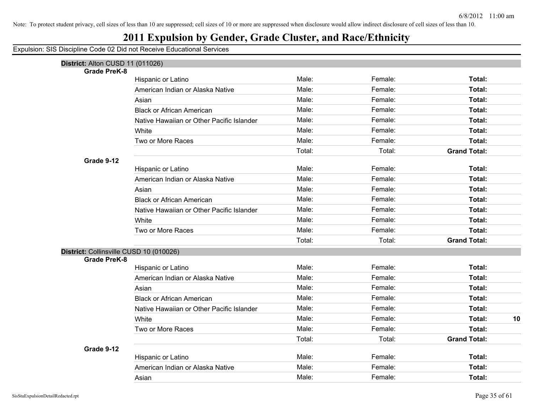## **2011 Expulsion by Gender, Grade Cluster, and Race/Ethnicity**

| District: Alton CUSD 11 (011026)        |                                           |        |         |                     |
|-----------------------------------------|-------------------------------------------|--------|---------|---------------------|
| <b>Grade PreK-8</b>                     |                                           |        |         |                     |
|                                         | Hispanic or Latino                        | Male:  | Female: | Total:              |
|                                         | American Indian or Alaska Native          | Male:  | Female: | Total:              |
|                                         | Asian                                     | Male:  | Female: | Total:              |
|                                         | <b>Black or African American</b>          | Male:  | Female: | Total:              |
|                                         | Native Hawaiian or Other Pacific Islander | Male:  | Female: | Total:              |
|                                         | White                                     | Male:  | Female: | Total:              |
|                                         | Two or More Races                         | Male:  | Female: | Total:              |
|                                         |                                           | Total: | Total:  | <b>Grand Total:</b> |
| Grade 9-12                              |                                           |        |         |                     |
|                                         | Hispanic or Latino                        | Male:  | Female: | Total:              |
|                                         | American Indian or Alaska Native          | Male:  | Female: | Total:              |
|                                         | Asian                                     | Male:  | Female: | Total:              |
|                                         | <b>Black or African American</b>          | Male:  | Female: | Total:              |
|                                         | Native Hawaiian or Other Pacific Islander | Male:  | Female: | Total:              |
|                                         | White                                     | Male:  | Female: | Total:              |
|                                         | Two or More Races                         | Male:  | Female: | Total:              |
|                                         |                                           | Total: | Total:  | <b>Grand Total:</b> |
| District: Collinsville CUSD 10 (010026) |                                           |        |         |                     |
| <b>Grade PreK-8</b>                     |                                           |        |         |                     |
|                                         | Hispanic or Latino                        | Male:  | Female: | Total:              |
|                                         | American Indian or Alaska Native          | Male:  | Female: | Total:              |
|                                         | Asian                                     | Male:  | Female: | Total:              |
|                                         | <b>Black or African American</b>          | Male:  | Female: | Total:              |
|                                         | Native Hawaiian or Other Pacific Islander | Male:  | Female: | Total:              |
|                                         | White                                     | Male:  | Female: | Total:<br>10        |
|                                         | Two or More Races                         | Male:  | Female: | Total:              |
|                                         |                                           | Total: | Total:  | <b>Grand Total:</b> |
| Grade 9-12                              |                                           |        |         |                     |
|                                         | Hispanic or Latino                        | Male:  | Female: | Total:              |
|                                         | American Indian or Alaska Native          | Male:  | Female: | Total:              |
|                                         | Asian                                     | Male:  | Female: | Total:              |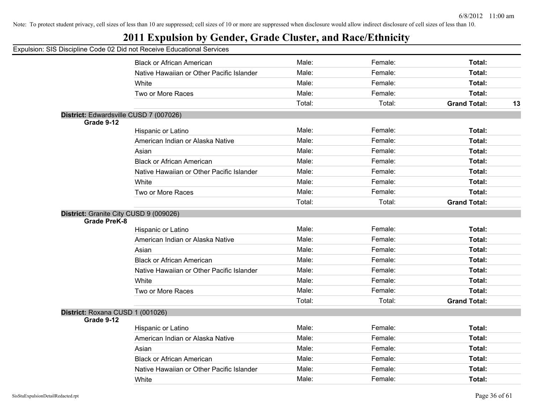## **2011 Expulsion by Gender, Grade Cluster, and Race/Ethnicity**

|                                  | <b>Black or African American</b>          | Male:  | Female: | Total:                    |
|----------------------------------|-------------------------------------------|--------|---------|---------------------------|
|                                  | Native Hawaiian or Other Pacific Islander | Male:  | Female: | Total:                    |
|                                  | White                                     | Male:  | Female: | Total:                    |
|                                  | Two or More Races                         | Male:  | Female: | Total:                    |
|                                  |                                           | Total: | Total:  | <b>Grand Total:</b><br>13 |
|                                  | District: Edwardsville CUSD 7 (007026)    |        |         |                           |
| Grade 9-12                       |                                           |        |         |                           |
|                                  | Hispanic or Latino                        | Male:  | Female: | Total:                    |
|                                  | American Indian or Alaska Native          | Male:  | Female: | Total:                    |
|                                  | Asian                                     | Male:  | Female: | Total:                    |
|                                  | <b>Black or African American</b>          | Male:  | Female: | Total:                    |
|                                  | Native Hawaiian or Other Pacific Islander | Male:  | Female: | Total:                    |
|                                  | White                                     | Male:  | Female: | Total:                    |
|                                  | Two or More Races                         | Male:  | Female: | Total:                    |
|                                  |                                           | Total: | Total:  | <b>Grand Total:</b>       |
| <b>Grade PreK-8</b>              | District: Granite City CUSD 9 (009026)    | Male:  | Female: | Total:                    |
|                                  | Hispanic or Latino                        |        |         |                           |
|                                  | American Indian or Alaska Native          | Male:  | Female: | Total:                    |
|                                  | Asian                                     | Male:  | Female: | Total:                    |
|                                  | <b>Black or African American</b>          | Male:  | Female: | Total:                    |
|                                  | Native Hawaiian or Other Pacific Islander | Male:  | Female: | Total:                    |
|                                  | White                                     | Male:  | Female: | Total:                    |
|                                  | Two or More Races                         | Male:  | Female: | Total:                    |
|                                  |                                           | Total: | Total:  | <b>Grand Total:</b>       |
| District: Roxana CUSD 1 (001026) |                                           |        |         |                           |
| Grade 9-12                       |                                           |        |         |                           |
|                                  | <b>Hispanic or Latino</b>                 | Male:  | Female: | Total:                    |
|                                  | American Indian or Alaska Native          | Male:  | Female: | Total:                    |
|                                  | Asian                                     | Male:  | Female: | Total:                    |
|                                  | <b>Black or African American</b>          | Male:  | Female: | Total:                    |
|                                  | Native Hawaiian or Other Pacific Islander | Male:  | Female: | Total:                    |
|                                  | White                                     | Male:  | Female: | Total:                    |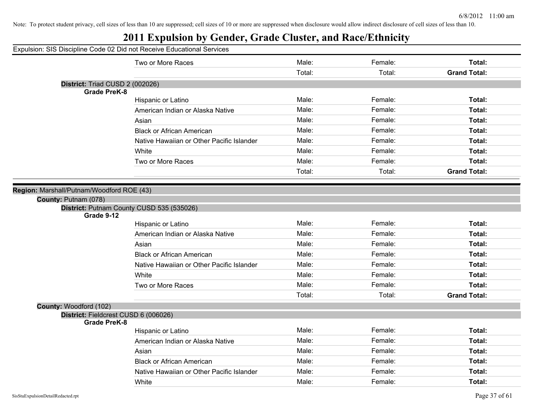## **2011 Expulsion by Gender, Grade Cluster, and Race/Ethnicity**

Expulsion: SIS Discipline Code 02 Did not Receive Educational Services

|                                                                | Two or More Races                         | Male:  | Female: | Total:              |
|----------------------------------------------------------------|-------------------------------------------|--------|---------|---------------------|
|                                                                |                                           | Total: | Total:  | <b>Grand Total:</b> |
| District: Triad CUSD 2 (002026)                                |                                           |        |         |                     |
| <b>Grade PreK-8</b>                                            |                                           |        |         |                     |
|                                                                | Hispanic or Latino                        | Male:  | Female: | Total:              |
|                                                                | American Indian or Alaska Native          | Male:  | Female: | <b>Total:</b>       |
|                                                                | Asian                                     | Male:  | Female: | Total:              |
|                                                                | <b>Black or African American</b>          | Male:  | Female: | Total:              |
|                                                                | Native Hawaiian or Other Pacific Islander | Male:  | Female: | Total:              |
|                                                                | White                                     | Male:  | Female: | Total:              |
|                                                                | Two or More Races                         | Male:  | Female: | Total:              |
|                                                                |                                           | Total: | Total:  | <b>Grand Total:</b> |
|                                                                |                                           |        |         |                     |
| on: Marshall/Putnam/Woodford ROE (43)                          |                                           |        |         |                     |
| County: Putnam (078)                                           |                                           |        |         |                     |
| Grade 9-12                                                     | District: Putnam County CUSD 535 (535026) |        |         |                     |
|                                                                | Hispanic or Latino                        | Male:  | Female: | Total:              |
|                                                                | American Indian or Alaska Native          | Male:  | Female: | Total:              |
|                                                                | Asian                                     | Male:  | Female: | Total:              |
|                                                                | <b>Black or African American</b>          | Male:  | Female: | Total:              |
|                                                                | Native Hawaiian or Other Pacific Islander | Male:  | Female: | Total:              |
|                                                                | White                                     | Male:  | Female: | Total:              |
|                                                                | Two or More Races                         | Male:  | Female: | Total:              |
|                                                                |                                           | Total: | Total:  | <b>Grand Total:</b> |
|                                                                |                                           |        |         |                     |
| County: Woodford (102)<br>District: Fieldcrest CUSD 6 (006026) |                                           |        |         |                     |
| <b>Grade PreK-8</b>                                            |                                           |        |         |                     |
|                                                                | Hispanic or Latino                        | Male:  | Female: | Total:              |
|                                                                | American Indian or Alaska Native          | Male:  | Female: | Total:              |
|                                                                | Asian                                     | Male:  | Female: | Total:              |
|                                                                | <b>Black or African American</b>          | Male:  | Female: | Total:              |
|                                                                | Native Hawaiian or Other Pacific Islander | Male:  | Female: | Total:              |
|                                                                | White                                     | Male:  | Female: | Total:              |

**Regio**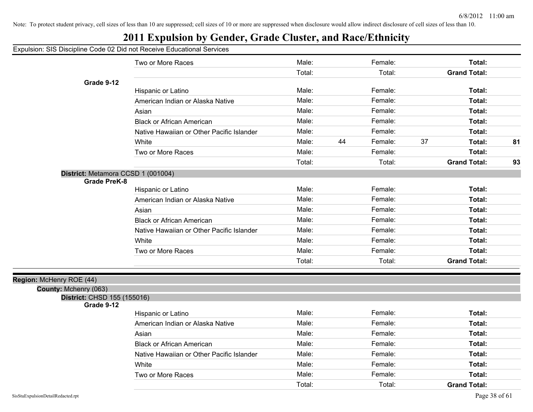## **2011 Expulsion by Gender, Grade Cluster, and Race/Ethnicity**

Expulsion: SIS Discipline Code 02 Did not Receive Educational Services

|                                                           | Two or More Races                         | Male:  |    | Female: |    | Total:              |    |
|-----------------------------------------------------------|-------------------------------------------|--------|----|---------|----|---------------------|----|
|                                                           |                                           | Total: |    | Total:  |    | <b>Grand Total:</b> |    |
| Grade 9-12                                                |                                           |        |    |         |    |                     |    |
|                                                           | Hispanic or Latino                        | Male:  |    | Female: |    | Total:              |    |
|                                                           | American Indian or Alaska Native          | Male:  |    | Female: |    | Total:              |    |
|                                                           | Asian                                     | Male:  |    | Female: |    | Total:              |    |
|                                                           | <b>Black or African American</b>          | Male:  |    | Female: |    | Total:              |    |
|                                                           | Native Hawaiian or Other Pacific Islander | Male:  |    | Female: |    | Total:              |    |
|                                                           | White                                     | Male:  | 44 | Female: | 37 | Total:              | 81 |
|                                                           | Two or More Races                         | Male:  |    | Female: |    | Total:              |    |
|                                                           |                                           | Total: |    | Total:  |    | <b>Grand Total:</b> | 93 |
| District: Metamora CCSD 1 (001004)<br><b>Grade PreK-8</b> |                                           |        |    |         |    |                     |    |
|                                                           | Hispanic or Latino                        | Male:  |    | Female: |    | Total:              |    |
|                                                           | American Indian or Alaska Native          | Male:  |    | Female: |    | Total:              |    |
|                                                           | Asian                                     | Male:  |    | Female: |    | Total:              |    |
|                                                           | <b>Black or African American</b>          | Male:  |    | Female: |    | Total:              |    |
|                                                           | Native Hawaiian or Other Pacific Islander | Male:  |    | Female: |    | Total:              |    |
|                                                           | White                                     | Male:  |    | Female: |    | Total:              |    |
|                                                           | Two or More Races                         | Male:  |    | Female: |    | Total:              |    |
|                                                           |                                           | Total: |    | Total:  |    | <b>Grand Total:</b> |    |
| Region: McHenry ROE (44)                                  |                                           |        |    |         |    |                     |    |
| County: Mchenry (063)                                     |                                           |        |    |         |    |                     |    |
| District: CHSD 155 (155016)<br>Grade 9-12                 |                                           |        |    |         |    |                     |    |
|                                                           | Hispanic or Latino                        | Male:  |    | Female: |    | Total:              |    |
|                                                           | American Indian or Alaska Native          | Male:  |    | Female: |    | Total:              |    |
|                                                           | Asian                                     | Male:  |    | Female: |    | Total:              |    |
|                                                           | <b>Black or African American</b>          | Male:  |    | Female: |    | Total:              |    |
|                                                           | Native Hawaiian or Other Pacific Islander | Male:  |    | Female: |    | Total:              |    |
|                                                           | White                                     | Male:  |    | Female: |    | Total:              |    |
|                                                           | Two or More Races                         | Male:  |    | Female: |    | Total:              |    |

Total: Total: **Grand Total:**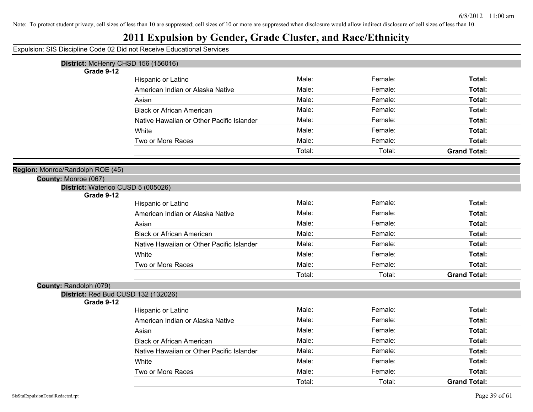## **2011 Expulsion by Gender, Grade Cluster, and Race/Ethnicity**

Expulsion: SIS Discipline Code 02 Did not Receive Educational Services

| District: McHenry CHSD 156 (156016) |                                           |        |         |                     |
|-------------------------------------|-------------------------------------------|--------|---------|---------------------|
| Grade 9-12                          |                                           |        |         |                     |
|                                     | Hispanic or Latino                        | Male:  | Female: | Total:              |
|                                     | American Indian or Alaska Native          | Male:  | Female: | Total:              |
|                                     | Asian                                     | Male:  | Female: | Total:              |
|                                     | <b>Black or African American</b>          | Male:  | Female: | Total:              |
|                                     | Native Hawaiian or Other Pacific Islander | Male:  | Female: | Total:              |
|                                     | White                                     | Male:  | Female: | Total:              |
|                                     | Two or More Races                         | Male:  | Female: | Total:              |
|                                     |                                           | Total: | Total:  | <b>Grand Total:</b> |
| Region: Monroe/Randolph ROE (45)    |                                           |        |         |                     |
| County: Monroe (067)                |                                           |        |         |                     |
| District: Waterloo CUSD 5 (005026)  |                                           |        |         |                     |
| Grade 9-12                          |                                           |        |         |                     |
|                                     | Hispanic or Latino                        | Male:  | Female: | Total:              |
|                                     | American Indian or Alaska Native          | Male:  | Female: | Total:              |
|                                     | Asian                                     | Male:  | Female: | Total:              |
|                                     | <b>Black or African American</b>          | Male:  | Female: | Total:              |
|                                     | Native Hawaiian or Other Pacific Islander | Male:  | Female: | Total:              |
|                                     | White                                     | Male:  | Female: | Total:              |
|                                     | Two or More Races                         | Male:  | Female: | Total:              |
|                                     |                                           | Total: | Total:  | <b>Grand Total:</b> |
| County: Randolph (079)              |                                           |        |         |                     |
| District: Red Bud CUSD 132 (132026) |                                           |        |         |                     |
| Grade 9-12                          |                                           |        |         |                     |
|                                     | Hispanic or Latino                        | Male:  | Female: | Total:              |
|                                     | American Indian or Alaska Native          | Male:  | Female: | Total:              |
|                                     | Asian                                     | Male:  | Female: | Total:              |
|                                     | <b>Black or African American</b>          | Male:  | Female: | Total:              |
|                                     | Native Hawaiian or Other Pacific Islander | Male:  | Female: | Total:              |
|                                     | White                                     | Male:  | Female: | Total:              |

Two or More Races **Total: Male:** Female: Female: **Total:** Total:

Total: Total: **Grand Total:**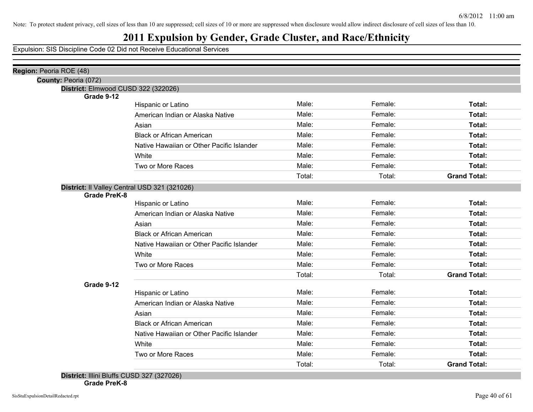#### **2011 Expulsion by Gender, Grade Cluster, and Race/Ethnicity**

| Region: Peoria ROE (48)                      |                                           |        |         |                     |
|----------------------------------------------|-------------------------------------------|--------|---------|---------------------|
| County: Peoria (072)                         |                                           |        |         |                     |
| District: Elmwood CUSD 322 (322026)          |                                           |        |         |                     |
| Grade 9-12                                   |                                           |        |         |                     |
|                                              | Hispanic or Latino                        | Male:  | Female: | Total:              |
|                                              | American Indian or Alaska Native          | Male:  | Female: | Total:              |
|                                              | Asian                                     | Male:  | Female: | Total:              |
|                                              | <b>Black or African American</b>          | Male:  | Female: | Total:              |
|                                              | Native Hawaiian or Other Pacific Islander | Male:  | Female: | Total:              |
|                                              | White                                     | Male:  | Female: | Total:              |
|                                              | Two or More Races                         | Male:  | Female: | Total:              |
|                                              |                                           | Total: | Total:  | <b>Grand Total:</b> |
| District: Il Valley Central USD 321 (321026) |                                           |        |         |                     |
| <b>Grade PreK-8</b>                          |                                           |        |         |                     |
|                                              | Hispanic or Latino                        | Male:  | Female: | Total:              |
|                                              | American Indian or Alaska Native          | Male:  | Female: | Total:              |
|                                              | Asian                                     | Male:  | Female: | Total:              |
|                                              | <b>Black or African American</b>          | Male:  | Female: | Total:              |
|                                              | Native Hawaiian or Other Pacific Islander | Male:  | Female: | Total:              |
|                                              | White                                     | Male:  | Female: | Total:              |
|                                              | Two or More Races                         | Male:  | Female: | Total:              |
|                                              |                                           | Total: | Total:  | <b>Grand Total:</b> |
| Grade 9-12                                   |                                           |        |         |                     |
|                                              | Hispanic or Latino                        | Male:  | Female: | Total:              |
|                                              | American Indian or Alaska Native          | Male:  | Female: | Total:              |
|                                              | Asian                                     | Male:  | Female: | Total:              |
|                                              | <b>Black or African American</b>          | Male:  | Female: | Total:              |
|                                              | Native Hawaiian or Other Pacific Islander | Male:  | Female: | Total:              |
|                                              | White                                     | Male:  | Female: | Total:              |
|                                              | Two or More Races                         | Male:  | Female: | Total:              |
|                                              |                                           | Total: | Total:  | <b>Grand Total:</b> |
| $D_{i}$                                      |                                           |        |         |                     |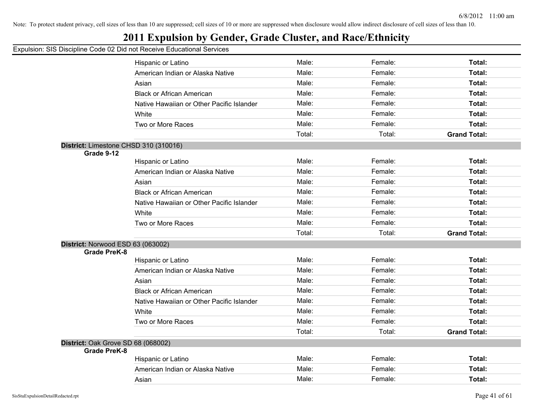## **2011 Expulsion by Gender, Grade Cluster, and Race/Ethnicity**

|                                       | Hispanic or Latino                        | Male:  | Female: | Total:              |
|---------------------------------------|-------------------------------------------|--------|---------|---------------------|
|                                       | American Indian or Alaska Native          | Male:  | Female: | <b>Total:</b>       |
|                                       | Asian                                     | Male:  | Female: | Total:              |
|                                       | <b>Black or African American</b>          | Male:  | Female: | <b>Total:</b>       |
|                                       | Native Hawaiian or Other Pacific Islander | Male:  | Female: | <b>Total:</b>       |
|                                       | White                                     | Male:  | Female: | <b>Total:</b>       |
|                                       | Two or More Races                         | Male:  | Female: | <b>Total:</b>       |
|                                       |                                           | Total: | Total:  | <b>Grand Total:</b> |
| District: Limestone CHSD 310 (310016) |                                           |        |         |                     |
| Grade 9-12                            |                                           |        |         |                     |
|                                       | Hispanic or Latino                        | Male:  | Female: | Total:              |
|                                       | American Indian or Alaska Native          | Male:  | Female: | Total:              |
|                                       | Asian                                     | Male:  | Female: | <b>Total:</b>       |
|                                       | <b>Black or African American</b>          | Male:  | Female: | <b>Total:</b>       |
|                                       | Native Hawaiian or Other Pacific Islander | Male:  | Female: | <b>Total:</b>       |
|                                       | White                                     | Male:  | Female: | <b>Total:</b>       |
|                                       | Two or More Races                         | Male:  | Female: | <b>Total:</b>       |
|                                       |                                           | Total: | Total:  | <b>Grand Total:</b> |
| District: Norwood ESD 63 (063002)     |                                           |        |         |                     |
| <b>Grade PreK-8</b>                   |                                           |        |         |                     |
|                                       | Hispanic or Latino                        | Male:  | Female: | Total:              |
|                                       | American Indian or Alaska Native          | Male:  | Female: | <b>Total:</b>       |
|                                       | Asian                                     | Male:  | Female: | <b>Total:</b>       |
|                                       | <b>Black or African American</b>          | Male:  | Female: | Total:              |
|                                       | Native Hawaiian or Other Pacific Islander | Male:  | Female: | <b>Total:</b>       |
|                                       | White                                     | Male:  | Female: | <b>Total:</b>       |
|                                       | Two or More Races                         | Male:  | Female: | <b>Total:</b>       |
|                                       |                                           | Total: | Total:  | <b>Grand Total:</b> |
| District: Oak Grove SD 68 (068002)    |                                           |        |         |                     |
| <b>Grade PreK-8</b>                   | Hispanic or Latino                        | Male:  | Female: | <b>Total:</b>       |
|                                       | American Indian or Alaska Native          | Male:  | Female: | <b>Total:</b>       |
|                                       |                                           | Male:  |         |                     |
|                                       | Asian                                     |        | Female: | Total:              |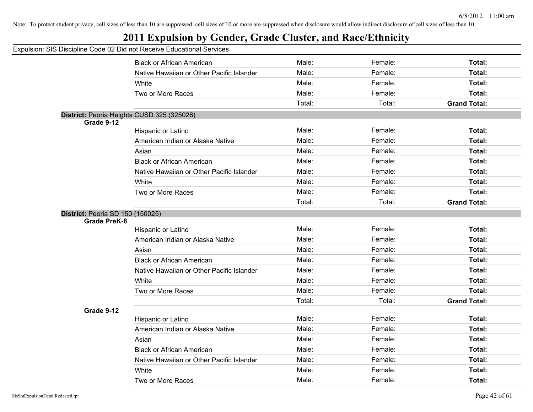## **2011 Expulsion by Gender, Grade Cluster, and Race/Ethnicity**

|                                         | <b>Black or African American</b>           | Male:  | Female: | Total:              |
|-----------------------------------------|--------------------------------------------|--------|---------|---------------------|
|                                         | Native Hawaiian or Other Pacific Islander  | Male:  | Female: | Total:              |
|                                         | White                                      | Male:  | Female: | Total:              |
|                                         | Two or More Races                          | Male:  | Female: | Total:              |
|                                         |                                            | Total: | Total:  | <b>Grand Total:</b> |
|                                         | District: Peoria Heights CUSD 325 (325026) |        |         |                     |
| Grade 9-12                              |                                            |        |         |                     |
|                                         | Hispanic or Latino                         | Male:  | Female: | Total:              |
|                                         | American Indian or Alaska Native           | Male:  | Female: | Total:              |
|                                         | Asian                                      | Male:  | Female: | Total:              |
|                                         | <b>Black or African American</b>           | Male:  | Female: | Total:              |
|                                         | Native Hawaiian or Other Pacific Islander  | Male:  | Female: | Total:              |
|                                         | White                                      | Male:  | Female: | Total:              |
|                                         | Two or More Races                          | Male:  | Female: | Total:              |
|                                         |                                            | Total: | Total:  | <b>Grand Total:</b> |
| <b>District: Peoria SD 150 (150025)</b> |                                            |        |         |                     |
| <b>Grade PreK-8</b>                     |                                            |        |         |                     |
|                                         | Hispanic or Latino                         | Male:  | Female: | Total:              |
|                                         | American Indian or Alaska Native           | Male:  | Female: | Total:              |
|                                         | Asian                                      | Male:  | Female: | Total:              |
|                                         | <b>Black or African American</b>           | Male:  | Female: | Total:              |
|                                         | Native Hawaiian or Other Pacific Islander  | Male:  | Female: | Total:              |
|                                         | White                                      | Male:  | Female: | Total:              |
|                                         | Two or More Races                          | Male:  | Female: | Total:              |
|                                         |                                            | Total: | Total:  | <b>Grand Total:</b> |
| Grade 9-12                              |                                            |        |         |                     |
|                                         | Hispanic or Latino                         | Male:  | Female: | Total:              |
|                                         | American Indian or Alaska Native           | Male:  | Female: | Total:              |
|                                         | Asian                                      | Male:  | Female: | Total:              |
|                                         | <b>Black or African American</b>           | Male:  | Female: | Total:              |
|                                         | Native Hawaiian or Other Pacific Islander  | Male:  | Female: | Total:              |
|                                         | White                                      | Male:  | Female: | Total:              |
|                                         | Two or More Races                          | Male:  | Female: | Total:              |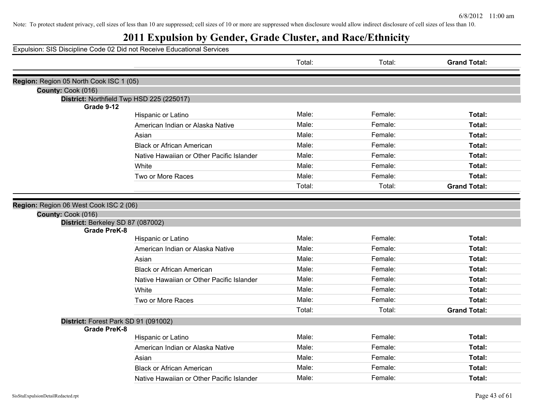## **2011 Expulsion by Gender, Grade Cluster, and Race/Ethnicity**

|                                                         |                                           | Total: | Total:  | <b>Grand Total:</b> |
|---------------------------------------------------------|-------------------------------------------|--------|---------|---------------------|
| Region: Region 05 North Cook ISC 1 (05)                 |                                           |        |         |                     |
| County: Cook (016)                                      |                                           |        |         |                     |
|                                                         | District: Northfield Twp HSD 225 (225017) |        |         |                     |
| Grade 9-12                                              |                                           |        |         |                     |
|                                                         | Hispanic or Latino                        | Male:  | Female: | Total:              |
|                                                         | American Indian or Alaska Native          | Male:  | Female: | Total:              |
|                                                         | Asian                                     | Male:  | Female: | Total:              |
|                                                         | <b>Black or African American</b>          | Male:  | Female: | Total:              |
|                                                         | Native Hawaiian or Other Pacific Islander | Male:  | Female: | Total:              |
|                                                         | White                                     | Male:  | Female: | Total:              |
|                                                         | Two or More Races                         | Male:  | Female: | Total:              |
|                                                         |                                           | Total: | Total:  | <b>Grand Total:</b> |
|                                                         |                                           |        |         |                     |
| Region: Region 06 West Cook ISC 2 (06)                  |                                           |        |         |                     |
| County: Cook (016)<br>District: Berkeley SD 87 (087002) |                                           |        |         |                     |
| <b>Grade PreK-8</b>                                     |                                           |        |         |                     |
|                                                         | Hispanic or Latino                        | Male:  | Female: | Total:              |
|                                                         | American Indian or Alaska Native          | Male:  | Female: | Total:              |
|                                                         | Asian                                     | Male:  | Female: | Total:              |
|                                                         | <b>Black or African American</b>          | Male:  | Female: | Total:              |
|                                                         | Native Hawaiian or Other Pacific Islander | Male:  | Female: | Total:              |
|                                                         | White                                     | Male:  | Female: | Total:              |
|                                                         | Two or More Races                         | Male:  | Female: | Total:              |
|                                                         |                                           | Total: | Total:  | <b>Grand Total:</b> |
|                                                         | District: Forest Park SD 91 (091002)      |        |         |                     |
| <b>Grade PreK-8</b>                                     |                                           |        |         |                     |
|                                                         | Hispanic or Latino                        | Male:  | Female: | Total:              |
|                                                         | American Indian or Alaska Native          | Male:  | Female: | Total:              |
|                                                         | Asian                                     | Male:  | Female: | Total:              |
|                                                         | <b>Black or African American</b>          | Male:  | Female: | Total:              |
|                                                         | Native Hawaiian or Other Pacific Islander | Male:  | Female: | Total:              |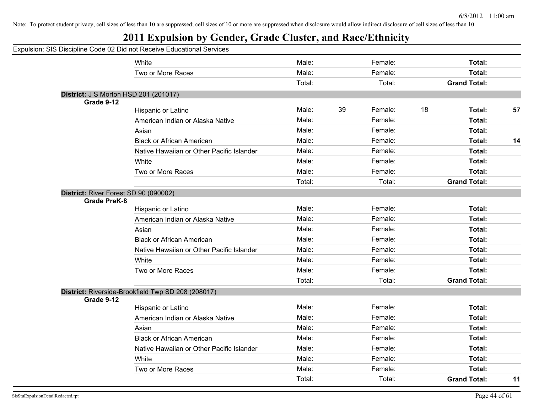| Expulsion: SIS Discipline Code 02 Did not Receive Educational Services |                                                    |        |    |         |    |                     |    |
|------------------------------------------------------------------------|----------------------------------------------------|--------|----|---------|----|---------------------|----|
|                                                                        | White                                              | Male:  |    | Female: |    | Total:              |    |
|                                                                        | Two or More Races                                  | Male:  |    | Female: |    | Total:              |    |
|                                                                        |                                                    | Total: |    | Total:  |    | <b>Grand Total:</b> |    |
| District: J S Morton HSD 201 (201017)                                  |                                                    |        |    |         |    |                     |    |
| Grade 9-12                                                             |                                                    |        |    |         |    |                     |    |
|                                                                        | Hispanic or Latino                                 | Male:  | 39 | Female: | 18 | Total:              | 57 |
|                                                                        | American Indian or Alaska Native                   | Male:  |    | Female: |    | Total:              |    |
|                                                                        | Asian                                              | Male:  |    | Female: |    | Total:              |    |
|                                                                        | <b>Black or African American</b>                   | Male:  |    | Female: |    | Total:              | 14 |
|                                                                        | Native Hawaiian or Other Pacific Islander          | Male:  |    | Female: |    | Total:              |    |
|                                                                        | White                                              | Male:  |    | Female: |    | Total:              |    |
|                                                                        | Two or More Races                                  | Male:  |    | Female: |    | Total:              |    |
|                                                                        |                                                    | Total: |    | Total:  |    | <b>Grand Total:</b> |    |
| District: River Forest SD 90 (090002)<br><b>Grade PreK-8</b>           |                                                    |        |    |         |    |                     |    |
|                                                                        | Hispanic or Latino                                 | Male:  |    | Female: |    | Total:              |    |
|                                                                        | American Indian or Alaska Native                   | Male:  |    | Female: |    | Total:              |    |
|                                                                        | Asian                                              | Male:  |    | Female: |    | Total:              |    |
|                                                                        | <b>Black or African American</b>                   | Male:  |    | Female: |    | Total:              |    |
|                                                                        | Native Hawaiian or Other Pacific Islander          | Male:  |    | Female: |    | Total:              |    |
|                                                                        | White                                              | Male:  |    | Female: |    | Total:              |    |
|                                                                        | Two or More Races                                  | Male:  |    | Female: |    | Total:              |    |
|                                                                        |                                                    | Total: |    | Total:  |    | <b>Grand Total:</b> |    |
|                                                                        | District: Riverside-Brookfield Twp SD 208 (208017) |        |    |         |    |                     |    |
| Grade 9-12                                                             | Hispanic or Latino                                 | Male:  |    | Female: |    | Total:              |    |
|                                                                        | American Indian or Alaska Native                   | Male:  |    | Female: |    | Total:              |    |
|                                                                        | Asian                                              | Male:  |    | Female: |    | Total:              |    |
|                                                                        |                                                    | Male:  |    | Female: |    | Total:              |    |
|                                                                        | <b>Black or African American</b>                   | Male:  |    | Female: |    |                     |    |
|                                                                        | Native Hawaiian or Other Pacific Islander          |        |    |         |    | Total:              |    |
|                                                                        | White                                              | Male:  |    | Female: |    | Total:              |    |
|                                                                        | Two or More Races                                  | Male:  |    | Female: |    | Total:              |    |
|                                                                        |                                                    | Total: |    | Total:  |    | <b>Grand Total:</b> | 11 |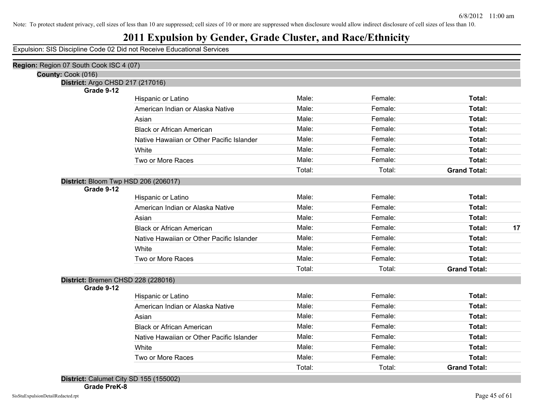#### **2011 Expulsion by Gender, Grade Cluster, and Race/Ethnicity**

| Region: Region 07 South Cook ISC 4 (07)            |                                           |        |         |                     |    |
|----------------------------------------------------|-------------------------------------------|--------|---------|---------------------|----|
| County: Cook (016)                                 |                                           |        |         |                     |    |
| District: Argo CHSD 217 (217016)                   |                                           |        |         |                     |    |
| Grade 9-12                                         | Hispanic or Latino                        | Male:  | Female: | Total:              |    |
|                                                    | American Indian or Alaska Native          | Male:  | Female: | Total:              |    |
|                                                    | Asian                                     | Male:  | Female: | Total:              |    |
|                                                    | <b>Black or African American</b>          | Male:  | Female: | Total:              |    |
|                                                    | Native Hawaiian or Other Pacific Islander | Male:  | Female: | Total:              |    |
|                                                    | White                                     | Male:  | Female: | Total:              |    |
|                                                    |                                           | Male:  | Female: | Total:              |    |
|                                                    | Two or More Races                         | Total: | Total:  | <b>Grand Total:</b> |    |
|                                                    |                                           |        |         |                     |    |
| District: Bloom Twp HSD 206 (206017)<br>Grade 9-12 |                                           |        |         |                     |    |
|                                                    | Hispanic or Latino                        | Male:  | Female: | Total:              |    |
|                                                    | American Indian or Alaska Native          | Male:  | Female: | Total:              |    |
|                                                    | Asian                                     | Male:  | Female: | Total:              |    |
|                                                    | <b>Black or African American</b>          | Male:  | Female: | Total:              | 17 |
|                                                    | Native Hawaiian or Other Pacific Islander | Male:  | Female: | Total:              |    |
|                                                    | White                                     | Male:  | Female: | Total:              |    |
|                                                    | Two or More Races                         | Male:  | Female: | Total:              |    |
|                                                    |                                           | Total: | Total:  | <b>Grand Total:</b> |    |
| District: Bremen CHSD 228 (228016)                 |                                           |        |         |                     |    |
| Grade 9-12                                         |                                           |        |         |                     |    |
|                                                    | Hispanic or Latino                        | Male:  | Female: | Total:              |    |
|                                                    | American Indian or Alaska Native          | Male:  | Female: | Total:              |    |
|                                                    | Asian                                     | Male:  | Female: | Total:              |    |
|                                                    | <b>Black or African American</b>          | Male:  | Female: | Total:              |    |
|                                                    | Native Hawaiian or Other Pacific Islander | Male:  | Female: | Total:              |    |
|                                                    | White                                     | Male:  | Female: | Total:              |    |
|                                                    | Two or More Races                         | Male:  | Female: | Total:              |    |
|                                                    |                                           | Total: | Total:  | <b>Grand Total:</b> |    |
| $D_{i}$ $(4FFA00)$                                 |                                           |        |         |                     |    |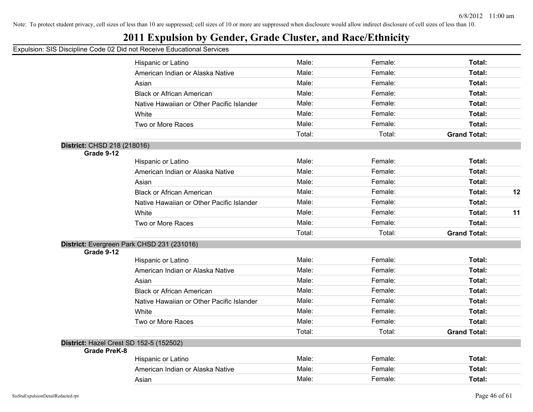## **2011 Expulsion by Gender, Grade Cluster, and Race/Ethnicity**

|                             | Hispanic or Latino                         | Male:  | Female: | Total:              |    |
|-----------------------------|--------------------------------------------|--------|---------|---------------------|----|
|                             | American Indian or Alaska Native           | Male:  | Female: | Total:              |    |
|                             | Asian                                      | Male:  | Female: | Total:              |    |
|                             | <b>Black or African American</b>           | Male:  | Female: | Total:              |    |
|                             | Native Hawaiian or Other Pacific Islander  | Male:  | Female: | Total:              |    |
|                             | White                                      | Male:  | Female: | Total:              |    |
|                             | Two or More Races                          | Male:  | Female: | Total:              |    |
|                             |                                            | Total: | Total:  | <b>Grand Total:</b> |    |
| District: CHSD 218 (218016) |                                            |        |         |                     |    |
| Grade 9-12                  |                                            |        |         |                     |    |
|                             | Hispanic or Latino                         | Male:  | Female: | Total:              |    |
|                             | American Indian or Alaska Native           | Male:  | Female: | Total:              |    |
|                             | Asian                                      | Male:  | Female: | Total:              |    |
|                             | <b>Black or African American</b>           | Male:  | Female: | Total:              | 12 |
|                             | Native Hawaiian or Other Pacific Islander  | Male:  | Female: | Total:              |    |
|                             | White                                      | Male:  | Female: | Total:              | 11 |
|                             | Two or More Races                          | Male:  | Female: | Total:              |    |
|                             |                                            | Total: | Total:  | <b>Grand Total:</b> |    |
|                             | District: Evergreen Park CHSD 231 (231016) |        |         |                     |    |
| Grade 9-12                  |                                            |        |         |                     |    |
|                             | Hispanic or Latino                         | Male:  | Female: | Total:              |    |
|                             | American Indian or Alaska Native           | Male:  | Female: | Total:              |    |
|                             | Asian                                      | Male:  | Female: | Total:              |    |
|                             | <b>Black or African American</b>           | Male:  | Female: | Total:              |    |
|                             | Native Hawaiian or Other Pacific Islander  | Male:  | Female: | Total:              |    |
|                             | White                                      | Male:  | Female: | Total:              |    |
|                             | Two or More Races                          | Male:  | Female: | Total:              |    |
|                             |                                            | Total: | Total:  | <b>Grand Total:</b> |    |
|                             | District: Hazel Crest SD 152-5 (152502)    |        |         |                     |    |
| Grade PreK-8                |                                            |        |         |                     |    |
|                             | Hispanic or Latino                         | Male:  | Female: | Total:              |    |
|                             | American Indian or Alaska Native           | Male:  | Female: | Total:              |    |
|                             | Asian                                      | Male:  | Female: | Total:              |    |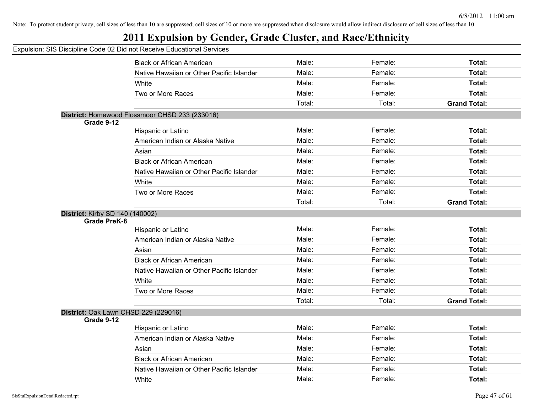## **2011 Expulsion by Gender, Grade Cluster, and Race/Ethnicity**

|                                        | <b>Black or African American</b>               | Male:  | Female: | Total:              |
|----------------------------------------|------------------------------------------------|--------|---------|---------------------|
|                                        | Native Hawaiian or Other Pacific Islander      | Male:  | Female: | Total:              |
|                                        | White                                          | Male:  | Female: | Total:              |
|                                        | Two or More Races                              | Male:  | Female: | Total:              |
|                                        |                                                | Total: | Total:  | <b>Grand Total:</b> |
|                                        | District: Homewood Flossmoor CHSD 233 (233016) |        |         |                     |
| Grade 9-12                             |                                                |        |         |                     |
|                                        | Hispanic or Latino                             | Male:  | Female: | Total:              |
|                                        | American Indian or Alaska Native               | Male:  | Female: | Total:              |
|                                        | Asian                                          | Male:  | Female: | Total:              |
|                                        | <b>Black or African American</b>               | Male:  | Female: | Total:              |
|                                        | Native Hawaiian or Other Pacific Islander      | Male:  | Female: | Total:              |
|                                        | White                                          | Male:  | Female: | Total:              |
|                                        | Two or More Races                              | Male:  | Female: | Total:              |
|                                        |                                                | Total: | Total:  | <b>Grand Total:</b> |
| <b>District: Kirby SD 140 (140002)</b> |                                                |        |         |                     |
| <b>Grade PreK-8</b>                    |                                                |        |         |                     |
|                                        | Hispanic or Latino                             | Male:  | Female: | Total:              |
|                                        | American Indian or Alaska Native               | Male:  | Female: | Total:              |
|                                        | Asian                                          | Male:  | Female: | Total:              |
|                                        | <b>Black or African American</b>               | Male:  | Female: | Total:              |
|                                        | Native Hawaiian or Other Pacific Islander      | Male:  | Female: | Total:              |
|                                        | White                                          | Male:  | Female: | <b>Total:</b>       |
|                                        | Two or More Races                              | Male:  | Female: | <b>Total:</b>       |
|                                        |                                                | Total: | Total:  | <b>Grand Total:</b> |
|                                        | District: Oak Lawn CHSD 229 (229016)           |        |         |                     |
| Grade 9-12                             |                                                |        |         |                     |
|                                        | Hispanic or Latino                             | Male:  | Female: | Total:              |
|                                        | American Indian or Alaska Native               | Male:  | Female: | <b>Total:</b>       |
|                                        | Asian                                          | Male:  | Female: | Total:              |
|                                        | <b>Black or African American</b>               | Male:  | Female: | Total:              |
|                                        | Native Hawaiian or Other Pacific Islander      | Male:  | Female: | <b>Total:</b>       |
|                                        | White                                          | Male:  | Female: | Total:              |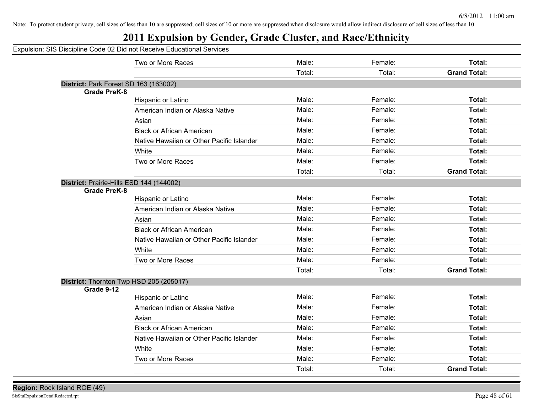## **2011 Expulsion by Gender, Grade Cluster, and Race/Ethnicity**

|                                                       | Two or More Races                         | Male:  | Female: | Total:              |
|-------------------------------------------------------|-------------------------------------------|--------|---------|---------------------|
|                                                       |                                           | Total: | Total:  | <b>Grand Total:</b> |
| District: Park Forest SD 163 (163002)                 |                                           |        |         |                     |
| <b>Grade PreK-8</b>                                   |                                           |        |         |                     |
|                                                       | Hispanic or Latino                        | Male:  | Female: | Total:              |
|                                                       | American Indian or Alaska Native          | Male:  | Female: | Total:              |
|                                                       | Asian                                     | Male:  | Female: | Total:              |
|                                                       | <b>Black or African American</b>          | Male:  | Female: | Total:              |
|                                                       | Native Hawaiian or Other Pacific Islander | Male:  | Female: | Total:              |
|                                                       | White                                     | Male:  | Female: | Total:              |
|                                                       | Two or More Races                         | Male:  | Female: | Total:              |
|                                                       |                                           | Total: | Total:  | <b>Grand Total:</b> |
| District: Prairie-Hills ESD 144 (144002)              |                                           |        |         |                     |
| <b>Grade PreK-8</b>                                   |                                           |        |         |                     |
|                                                       | Hispanic or Latino                        | Male:  | Female: | Total:              |
|                                                       | American Indian or Alaska Native          | Male:  | Female: | Total:              |
|                                                       | Asian                                     | Male:  | Female: | Total:              |
|                                                       | <b>Black or African American</b>          | Male:  | Female: | Total:              |
|                                                       | Native Hawaiian or Other Pacific Islander | Male:  | Female: | Total:              |
|                                                       | White                                     | Male:  | Female: | Total:              |
|                                                       | Two or More Races                         | Male:  | Female: | Total:              |
|                                                       |                                           | Total: | Total:  | <b>Grand Total:</b> |
| District: Thornton Twp HSD 205 (205017)<br>Grade 9-12 |                                           |        |         |                     |
|                                                       | Hispanic or Latino                        | Male:  | Female: | Total:              |
|                                                       | American Indian or Alaska Native          | Male:  | Female: | Total:              |
|                                                       | Asian                                     | Male:  | Female: | Total:              |
|                                                       | <b>Black or African American</b>          | Male:  | Female: | Total:              |
|                                                       | Native Hawaiian or Other Pacific Islander | Male:  | Female: | Total:              |
|                                                       | White                                     | Male:  | Female: | Total:              |
|                                                       | Two or More Races                         | Male:  | Female: | Total:              |
|                                                       |                                           | Total: | Total:  | <b>Grand Total:</b> |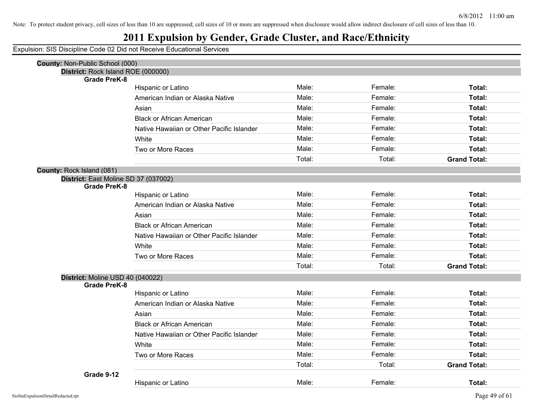## **2011 Expulsion by Gender, Grade Cluster, and Race/Ethnicity**

| <b>County: Non-Public School (000)</b> |                                           |        |         |                     |
|----------------------------------------|-------------------------------------------|--------|---------|---------------------|
| District: Rock Island ROE (000000)     |                                           |        |         |                     |
| <b>Grade PreK-8</b>                    |                                           | Male:  | Female: | Total:              |
|                                        | Hispanic or Latino                        | Male:  |         |                     |
|                                        | American Indian or Alaska Native          |        | Female: | Total:              |
|                                        | Asian                                     | Male:  | Female: | Total:              |
|                                        | <b>Black or African American</b>          | Male:  | Female: | Total:              |
|                                        | Native Hawaiian or Other Pacific Islander | Male:  | Female: | Total:              |
|                                        | White                                     | Male:  | Female: | Total:              |
|                                        | Two or More Races                         | Male:  | Female: | Total:              |
|                                        |                                           | Total: | Total:  | <b>Grand Total:</b> |
| County: Rock Island (081)              |                                           |        |         |                     |
| District: East Moline SD 37 (037002)   |                                           |        |         |                     |
| <b>Grade PreK-8</b>                    | Hispanic or Latino                        | Male:  | Female: | Total:              |
|                                        | American Indian or Alaska Native          | Male:  | Female: | Total:              |
|                                        |                                           | Male:  | Female: | Total:              |
|                                        | Asian                                     |        |         |                     |
|                                        | <b>Black or African American</b>          | Male:  | Female: | Total:              |
|                                        | Native Hawaiian or Other Pacific Islander | Male:  | Female: | Total:              |
|                                        | White                                     | Male:  | Female: | Total:              |
|                                        | Two or More Races                         | Male:  | Female: | Total:              |
|                                        |                                           | Total: | Total:  | <b>Grand Total:</b> |
| District: Moline USD 40 (040022)       |                                           |        |         |                     |
| <b>Grade PreK-8</b>                    |                                           |        |         |                     |
|                                        | Hispanic or Latino                        | Male:  | Female: | Total:              |
|                                        | American Indian or Alaska Native          | Male:  | Female: | Total:              |
|                                        | Asian                                     | Male:  | Female: | Total:              |
|                                        | <b>Black or African American</b>          | Male:  | Female: | Total:              |
|                                        | Native Hawaiian or Other Pacific Islander | Male:  | Female: | Total:              |
|                                        | White                                     | Male:  | Female: | Total:              |
|                                        | Two or More Races                         | Male:  | Female: | Total:              |
|                                        |                                           | Total: | Total:  | <b>Grand Total:</b> |
| Grade 9-12                             |                                           |        |         |                     |
|                                        | Hispanic or Latino                        | Male:  | Female: | Total:              |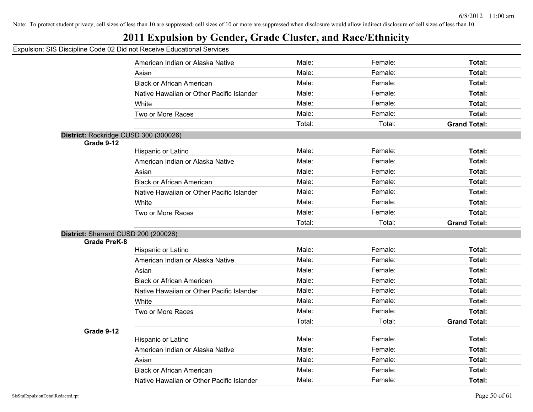## **2011 Expulsion by Gender, Grade Cluster, and Race/Ethnicity**

|                                      | <u>OIO DISSIPINIC OOGO SE DIGTIOLITOOGIVO LUUSUUSIIGI OOI V</u> |        |         |                     |
|--------------------------------------|-----------------------------------------------------------------|--------|---------|---------------------|
|                                      | American Indian or Alaska Native                                | Male:  | Female: | Total:              |
|                                      | Asian                                                           | Male:  | Female: | Total:              |
|                                      | <b>Black or African American</b>                                | Male:  | Female: | Total:              |
|                                      | Native Hawaiian or Other Pacific Islander                       | Male:  | Female: | Total:              |
|                                      | White                                                           | Male:  | Female: | Total:              |
|                                      | Two or More Races                                               | Male:  | Female: | Total:              |
|                                      |                                                                 | Total: | Total:  | <b>Grand Total:</b> |
|                                      | District: Rockridge CUSD 300 (300026)                           |        |         |                     |
| Grade 9-12                           |                                                                 |        |         |                     |
|                                      | Hispanic or Latino                                              | Male:  | Female: | Total:              |
|                                      | American Indian or Alaska Native                                | Male:  | Female: | Total:              |
|                                      | Asian                                                           | Male:  | Female: | Total:              |
|                                      | <b>Black or African American</b>                                | Male:  | Female: | Total:              |
|                                      | Native Hawaiian or Other Pacific Islander                       | Male:  | Female: | Total:              |
|                                      | White                                                           | Male:  | Female: | Total:              |
|                                      | Two or More Races                                               | Male:  | Female: | Total:              |
|                                      |                                                                 | Total: | Total:  | <b>Grand Total:</b> |
| District: Sherrard CUSD 200 (200026) |                                                                 |        |         |                     |
| <b>Grade PreK-8</b>                  |                                                                 |        |         |                     |
|                                      | Hispanic or Latino                                              | Male:  | Female: | Total:              |
|                                      | American Indian or Alaska Native                                | Male:  | Female: | Total:              |
|                                      | Asian                                                           | Male:  | Female: | Total:              |
|                                      | <b>Black or African American</b>                                | Male:  | Female: | Total:              |
|                                      | Native Hawaiian or Other Pacific Islander                       | Male:  | Female: | Total:              |
|                                      | White                                                           | Male:  | Female: | Total:              |
|                                      | Two or More Races                                               | Male:  | Female: | Total:              |
|                                      |                                                                 | Total: | Total:  | <b>Grand Total:</b> |
| Grade 9-12                           |                                                                 |        |         |                     |
|                                      | Hispanic or Latino                                              | Male:  | Female: | Total:              |
|                                      | American Indian or Alaska Native                                | Male:  | Female: | Total:              |
|                                      | Asian                                                           | Male:  | Female: | Total:              |
|                                      | <b>Black or African American</b>                                | Male:  | Female: | Total:              |
|                                      | Native Hawaiian or Other Pacific Islander                       | Male:  | Female: | Total:              |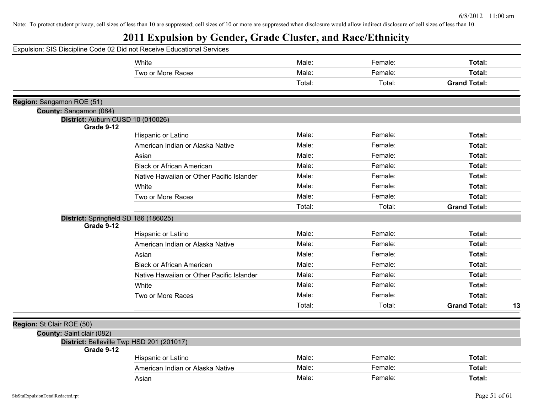|                                       | Expulsion: SIS Discipline Code 02 Did not Receive Educational Services |        |         |                           |
|---------------------------------------|------------------------------------------------------------------------|--------|---------|---------------------------|
|                                       | White                                                                  | Male:  | Female: | Total:                    |
|                                       | Two or More Races                                                      | Male:  | Female: | Total:                    |
|                                       |                                                                        | Total: | Total:  | <b>Grand Total:</b>       |
| Region: Sangamon ROE (51)             |                                                                        |        |         |                           |
| County: Sangamon (084)                |                                                                        |        |         |                           |
| District: Auburn CUSD 10 (010026)     |                                                                        |        |         |                           |
| Grade 9-12                            |                                                                        |        |         |                           |
|                                       | Hispanic or Latino                                                     | Male:  | Female: | Total:                    |
|                                       | American Indian or Alaska Native                                       | Male:  | Female: | Total:                    |
|                                       | Asian                                                                  | Male:  | Female: | Total:                    |
|                                       | <b>Black or African American</b>                                       | Male:  | Female: | Total:                    |
|                                       | Native Hawaiian or Other Pacific Islander                              | Male:  | Female: | Total:                    |
|                                       | White                                                                  | Male:  | Female: | Total:                    |
|                                       | Two or More Races                                                      | Male:  | Female: | Total:                    |
|                                       |                                                                        | Total: | Total:  | <b>Grand Total:</b>       |
| District: Springfield SD 186 (186025) |                                                                        |        |         |                           |
| Grade 9-12                            |                                                                        | Male:  | Female: | Total:                    |
|                                       | Hispanic or Latino                                                     | Male:  | Female: | Total:                    |
|                                       | American Indian or Alaska Native                                       |        |         |                           |
|                                       | Asian                                                                  | Male:  | Female: | Total:                    |
|                                       | <b>Black or African American</b>                                       | Male:  | Female: | Total:                    |
|                                       | Native Hawaiian or Other Pacific Islander                              | Male:  | Female: | Total:                    |
|                                       | White                                                                  | Male:  | Female: | Total:                    |
|                                       | Two or More Races                                                      | Male:  | Female: | Total:                    |
|                                       |                                                                        | Total: | Total:  | <b>Grand Total:</b><br>13 |
| Region: St Clair ROE (50)             |                                                                        |        |         |                           |
| County: Saint clair (082)             |                                                                        |        |         |                           |
|                                       | District: Belleville Twp HSD 201 (201017)                              |        |         |                           |
| Grade 9-12                            |                                                                        |        |         |                           |
|                                       | Hispanic or Latino                                                     | Male:  | Female: | Total:                    |
|                                       | American Indian or Alaska Native                                       | Male:  | Female: | Total:                    |
|                                       | Asian                                                                  | Male:  | Female: | Total:                    |
|                                       |                                                                        |        |         |                           |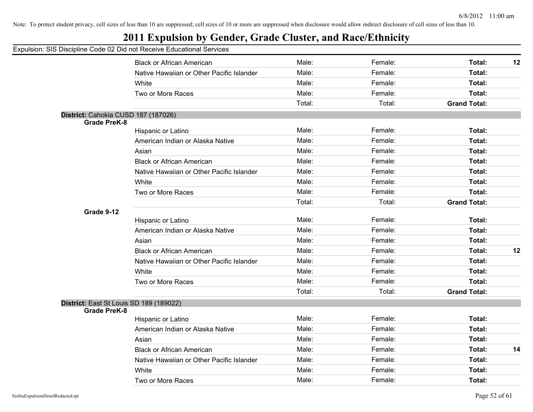## **2011 Expulsion by Gender, Grade Cluster, and Race/Ethnicity**

|                                         | <b>Black or African American</b>          | Male:  | Female: | Total:              | 12 |
|-----------------------------------------|-------------------------------------------|--------|---------|---------------------|----|
|                                         | Native Hawaiian or Other Pacific Islander | Male:  | Female: | Total:              |    |
|                                         | White                                     | Male:  | Female: | Total:              |    |
|                                         | Two or More Races                         | Male:  | Female: | Total:              |    |
|                                         |                                           | Total: | Total:  | <b>Grand Total:</b> |    |
| District: Cahokia CUSD 187 (187026)     |                                           |        |         |                     |    |
| <b>Grade PreK-8</b>                     |                                           |        |         |                     |    |
|                                         | Hispanic or Latino                        | Male:  | Female: | Total:              |    |
|                                         | American Indian or Alaska Native          | Male:  | Female: | Total:              |    |
|                                         | Asian                                     | Male:  | Female: | Total:              |    |
|                                         | <b>Black or African American</b>          | Male:  | Female: | Total:              |    |
|                                         | Native Hawaiian or Other Pacific Islander | Male:  | Female: | Total:              |    |
|                                         | White                                     | Male:  | Female: | Total:              |    |
|                                         | Two or More Races                         | Male:  | Female: | Total:              |    |
|                                         |                                           | Total: | Total:  | <b>Grand Total:</b> |    |
| Grade 9-12                              |                                           |        |         |                     |    |
|                                         | Hispanic or Latino                        | Male:  | Female: | Total:              |    |
|                                         | American Indian or Alaska Native          | Male:  | Female: | Total:              |    |
|                                         | Asian                                     | Male:  | Female: | Total:              |    |
|                                         | <b>Black or African American</b>          | Male:  | Female: | Total:              | 12 |
|                                         | Native Hawaiian or Other Pacific Islander | Male:  | Female: | Total:              |    |
|                                         | White                                     | Male:  | Female: | Total:              |    |
|                                         | Two or More Races                         | Male:  | Female: | Total:              |    |
|                                         |                                           | Total: | Total:  | <b>Grand Total:</b> |    |
| District: East St Louis SD 189 (189022) |                                           |        |         |                     |    |
| <b>Grade PreK-8</b>                     |                                           |        |         |                     |    |
|                                         | Hispanic or Latino                        | Male:  | Female: | Total:              |    |
|                                         | American Indian or Alaska Native          | Male:  | Female: | Total:              |    |
|                                         | Asian                                     | Male:  | Female: | Total:              |    |
|                                         | <b>Black or African American</b>          | Male:  | Female: | Total:              | 14 |
|                                         | Native Hawaiian or Other Pacific Islander | Male:  | Female: | Total:              |    |
|                                         | White                                     | Male:  | Female: | Total:              |    |
|                                         | Two or More Races                         | Male:  | Female: | Total:              |    |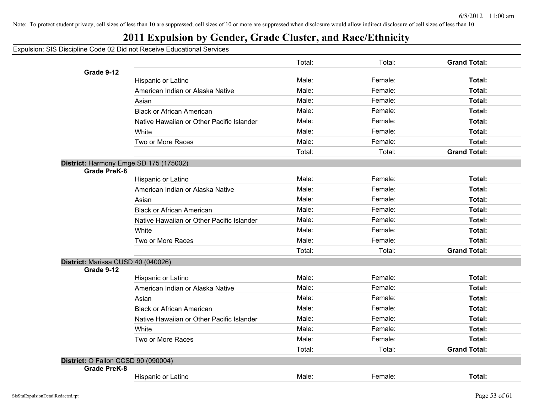## **2011 Expulsion by Gender, Grade Cluster, and Race/Ethnicity**

|                                     |                                           | Total: | Total:  | <b>Grand Total:</b> |
|-------------------------------------|-------------------------------------------|--------|---------|---------------------|
| Grade 9-12                          |                                           |        |         |                     |
|                                     | Hispanic or Latino                        | Male:  | Female: | Total:              |
|                                     | American Indian or Alaska Native          | Male:  | Female: | <b>Total:</b>       |
|                                     | Asian                                     | Male:  | Female: | <b>Total:</b>       |
|                                     | <b>Black or African American</b>          | Male:  | Female: | Total:              |
|                                     | Native Hawaiian or Other Pacific Islander | Male:  | Female: | Total:              |
|                                     | White                                     | Male:  | Female: | Total:              |
|                                     | Two or More Races                         | Male:  | Female: | Total:              |
|                                     |                                           | Total: | Total:  | <b>Grand Total:</b> |
|                                     | District: Harmony Emge SD 175 (175002)    |        |         |                     |
| <b>Grade PreK-8</b>                 |                                           |        |         |                     |
|                                     | Hispanic or Latino                        | Male:  | Female: | Total:              |
|                                     | American Indian or Alaska Native          | Male:  | Female: | Total:              |
|                                     | Asian                                     | Male:  | Female: | <b>Total:</b>       |
|                                     | <b>Black or African American</b>          | Male:  | Female: | Total:              |
|                                     | Native Hawaiian or Other Pacific Islander | Male:  | Female: | <b>Total:</b>       |
|                                     | White                                     | Male:  | Female: | Total:              |
|                                     | Two or More Races                         | Male:  | Female: | Total:              |
|                                     |                                           | Total: | Total:  | <b>Grand Total:</b> |
| District: Marissa CUSD 40 (040026)  |                                           |        |         |                     |
| Grade 9-12                          | Hispanic or Latino                        | Male:  | Female: | Total:              |
|                                     | American Indian or Alaska Native          | Male:  | Female: | <b>Total:</b>       |
|                                     | Asian                                     | Male:  | Female: | Total:              |
|                                     | <b>Black or African American</b>          | Male:  | Female: | Total:              |
|                                     | Native Hawaiian or Other Pacific Islander | Male:  | Female: | <b>Total:</b>       |
|                                     | White                                     | Male:  | Female: | Total:              |
|                                     | Two or More Races                         | Male:  | Female: | <b>Total:</b>       |
|                                     |                                           | Total: | Total:  | <b>Grand Total:</b> |
| District: O Fallon CCSD 90 (090004) |                                           |        |         |                     |
| <b>Grade PreK-8</b>                 |                                           | Male:  | Female: | <b>Total:</b>       |
|                                     | Hispanic or Latino                        |        |         |                     |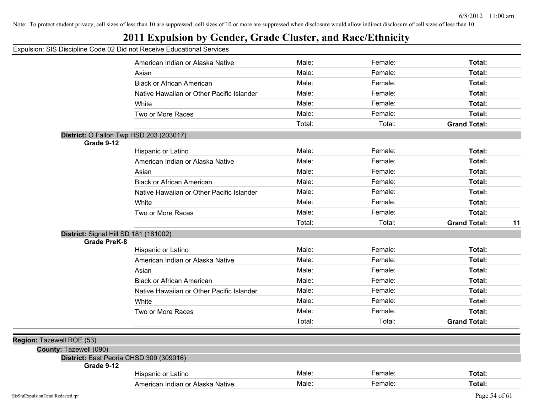## **2011 Expulsion by Gender, Grade Cluster, and Race/Ethnicity**

|                           |                                                | American Indian or Alaska Native          | Male:  | Female: | Total:              |    |
|---------------------------|------------------------------------------------|-------------------------------------------|--------|---------|---------------------|----|
|                           |                                                | Asian                                     | Male:  | Female: | Total:              |    |
|                           |                                                | <b>Black or African American</b>          | Male:  | Female: | Total:              |    |
|                           |                                                | Native Hawaiian or Other Pacific Islander | Male:  | Female: | Total:              |    |
|                           |                                                | White                                     | Male:  | Female: | Total:              |    |
|                           |                                                | Two or More Races                         | Male:  | Female: | Total:              |    |
|                           |                                                |                                           | Total: | Total:  | <b>Grand Total:</b> |    |
|                           | <b>District: O Fallon Twp HSD 203 (203017)</b> |                                           |        |         |                     |    |
|                           | Grade 9-12                                     |                                           |        |         |                     |    |
|                           |                                                | Hispanic or Latino                        | Male:  | Female: | Total:              |    |
|                           |                                                | American Indian or Alaska Native          | Male:  | Female: | Total:              |    |
|                           |                                                | Asian                                     | Male:  | Female: | Total:              |    |
|                           |                                                | <b>Black or African American</b>          | Male:  | Female: | Total:              |    |
|                           |                                                | Native Hawaiian or Other Pacific Islander | Male:  | Female: | Total:              |    |
|                           |                                                | White                                     | Male:  | Female: | Total:              |    |
|                           |                                                | Two or More Races                         | Male:  | Female: | Total:              |    |
|                           |                                                |                                           | Total: | Total:  | <b>Grand Total:</b> | 11 |
|                           | District: Signal Hill SD 181 (181002)          |                                           |        |         |                     |    |
|                           | <b>Grade PreK-8</b>                            |                                           |        |         |                     |    |
|                           |                                                | Hispanic or Latino                        | Male:  | Female: | Total:              |    |
|                           |                                                | American Indian or Alaska Native          | Male:  | Female: | Total:              |    |
|                           |                                                | Asian                                     | Male:  | Female: | Total:              |    |
|                           |                                                | <b>Black or African American</b>          | Male:  | Female: | Total:              |    |
|                           |                                                | Native Hawaiian or Other Pacific Islander | Male:  | Female: | Total:              |    |
|                           |                                                | White                                     | Male:  | Female: | Total:              |    |
|                           |                                                | Two or More Races                         | Male:  | Female: | Total:              |    |
|                           |                                                |                                           | Total: | Total:  | <b>Grand Total:</b> |    |
|                           |                                                |                                           |        |         |                     |    |
| Region: Tazewell ROE (53) |                                                |                                           |        |         |                     |    |
|                           | County: Tazewell (090)                         |                                           |        |         |                     |    |
|                           | District: East Peoria CHSD 309 (309016)        |                                           |        |         |                     |    |
|                           | Grade 9-12                                     |                                           |        |         |                     |    |
|                           |                                                | Hispanic or Latino                        | Male:  | Female: | Total:              |    |
|                           |                                                | American Indian or Alaska Native          | Male:  | Female: | Total:              |    |
|                           |                                                |                                           |        |         |                     |    |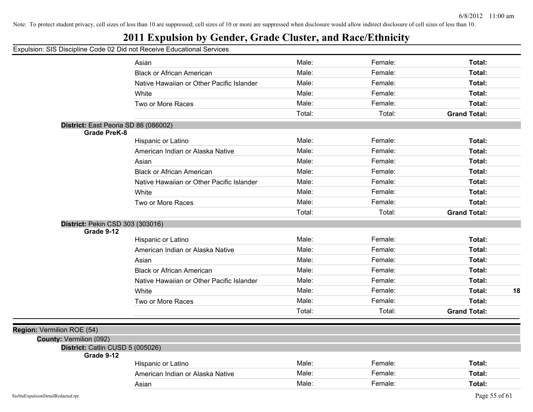## **2011 Expulsion by Gender, Grade Cluster, and Race/Ethnicity**

|                                                              | Asian                                     | Male:  | Female: | Total:              |    |
|--------------------------------------------------------------|-------------------------------------------|--------|---------|---------------------|----|
|                                                              | <b>Black or African American</b>          | Male:  | Female: | Total:              |    |
|                                                              | Native Hawaiian or Other Pacific Islander | Male:  | Female: | Total:              |    |
|                                                              | White                                     | Male:  | Female: | Total:              |    |
|                                                              | Two or More Races                         | Male:  | Female: | Total:              |    |
|                                                              |                                           | Total: | Total:  | <b>Grand Total:</b> |    |
|                                                              | District: East Peoria SD 86 (086002)      |        |         |                     |    |
| <b>Grade PreK-8</b>                                          |                                           |        |         |                     |    |
|                                                              | Hispanic or Latino                        | Male:  | Female: | Total:              |    |
|                                                              | American Indian or Alaska Native          | Male:  | Female: | Total:              |    |
|                                                              | Asian                                     | Male:  | Female: | Total:              |    |
|                                                              | <b>Black or African American</b>          | Male:  | Female: | Total:              |    |
|                                                              | Native Hawaiian or Other Pacific Islander | Male:  | Female: | Total:              |    |
|                                                              | White                                     | Male:  | Female: | Total:              |    |
|                                                              | Two or More Races                         | Male:  | Female: | Total:              |    |
|                                                              |                                           | Total: | Total:  | <b>Grand Total:</b> |    |
| District: Pekin CSD 303 (303016)                             |                                           |        |         |                     |    |
| Grade 9-12                                                   |                                           |        |         |                     |    |
|                                                              | Hispanic or Latino                        | Male:  | Female: | Total:              |    |
|                                                              | American Indian or Alaska Native          | Male:  | Female: | Total:              |    |
|                                                              | Asian                                     | Male:  | Female: | Total:              |    |
|                                                              | <b>Black or African American</b>          | Male:  | Female: | Total:              |    |
|                                                              | Native Hawaiian or Other Pacific Islander | Male:  | Female: | Total:              |    |
|                                                              | White                                     | Male:  | Female: | Total:              | 18 |
|                                                              | Two or More Races                         | Male:  | Female: | Total:              |    |
|                                                              |                                           | Total: | Total:  | <b>Grand Total:</b> |    |
|                                                              |                                           |        |         |                     |    |
| Region: Vermilion ROE (54)<br><b>County: Vermilion (092)</b> |                                           |        |         |                     |    |
| District: Catlin CUSD 5 (005026)                             |                                           |        |         |                     |    |
| Grade 9-12                                                   |                                           |        |         |                     |    |
|                                                              | Hispanic or Latino                        | Male:  | Female: | Total:              |    |
|                                                              | American Indian or Alaska Native          | Male:  | Female: | Total:              |    |
|                                                              | Asian                                     | Male:  | Female: | Total:              |    |
|                                                              |                                           |        |         |                     |    |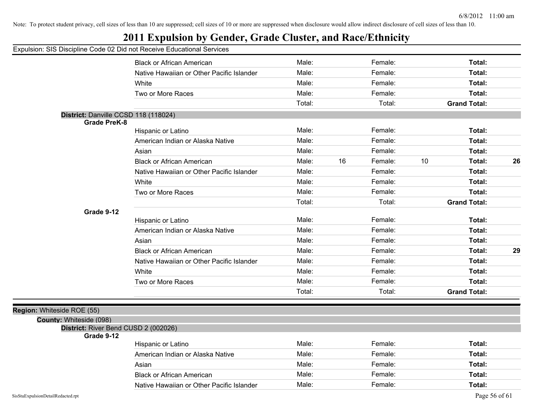## **2011 Expulsion by Gender, Grade Cluster, and Race/Ethnicity**

#### Expulsion: SIS Discipline Code 02 Did not Receive Educational Services

|                                                                 | <b>Black or African American</b>          | Male:  |    | Female: |    | Total:              |    |
|-----------------------------------------------------------------|-------------------------------------------|--------|----|---------|----|---------------------|----|
|                                                                 | Native Hawaiian or Other Pacific Islander | Male:  |    | Female: |    | Total:              |    |
|                                                                 | White                                     | Male:  |    | Female: |    | Total:              |    |
|                                                                 | Two or More Races                         | Male:  |    | Female: |    | Total:              |    |
|                                                                 |                                           | Total: |    | Total:  |    | <b>Grand Total:</b> |    |
| District: Danville CCSD 118 (118024)                            |                                           |        |    |         |    |                     |    |
| <b>Grade PreK-8</b>                                             |                                           |        |    |         |    |                     |    |
|                                                                 | Hispanic or Latino                        | Male:  |    | Female: |    | Total:              |    |
|                                                                 | American Indian or Alaska Native          | Male:  |    | Female: |    | Total:              |    |
|                                                                 | Asian                                     | Male:  |    | Female: |    | Total:              |    |
|                                                                 | <b>Black or African American</b>          | Male:  | 16 | Female: | 10 | Total:              | 26 |
|                                                                 | Native Hawaiian or Other Pacific Islander | Male:  |    | Female: |    | Total:              |    |
|                                                                 | White                                     | Male:  |    | Female: |    | Total:              |    |
|                                                                 | Two or More Races                         | Male:  |    | Female: |    | Total:              |    |
|                                                                 |                                           | Total: |    | Total:  |    | <b>Grand Total:</b> |    |
| Grade 9-12                                                      |                                           |        |    |         |    |                     |    |
|                                                                 | Hispanic or Latino                        | Male:  |    | Female: |    | Total:              |    |
|                                                                 | American Indian or Alaska Native          | Male:  |    | Female: |    | Total:              |    |
|                                                                 | Asian                                     | Male:  |    | Female: |    | Total:              |    |
|                                                                 | <b>Black or African American</b>          | Male:  |    | Female: |    | Total:              | 29 |
|                                                                 | Native Hawaiian or Other Pacific Islander | Male:  |    | Female: |    | Total:              |    |
|                                                                 | White                                     | Male:  |    | Female: |    | Total:              |    |
|                                                                 | Two or More Races                         | Male:  |    | Female: |    | Total:              |    |
|                                                                 |                                           | Total: |    | Total:  |    | <b>Grand Total:</b> |    |
|                                                                 |                                           |        |    |         |    |                     |    |
| Whiteside ROE (55)                                              |                                           |        |    |         |    |                     |    |
| County: Whiteside (098)<br>District: River Bend CUSD 2 (002026) |                                           |        |    |         |    |                     |    |
| Grade 9-12                                                      |                                           |        |    |         |    |                     |    |
|                                                                 | Hispanic or Latino                        | Male:  |    | Female: |    | Total:              |    |
|                                                                 | American Indian or Alaska Native          | Male:  |    | Female: |    | Total:              |    |
|                                                                 | Asian                                     | Male:  |    | Female: |    | Total:              |    |
|                                                                 | <b>Black or African American</b>          | Male:  |    | Female: |    | Total:              |    |
|                                                                 | Native Hawaiian or Other Pacific Islander | Male:  |    | Female: |    | Total:              |    |
|                                                                 |                                           |        |    |         |    |                     |    |

**Region:**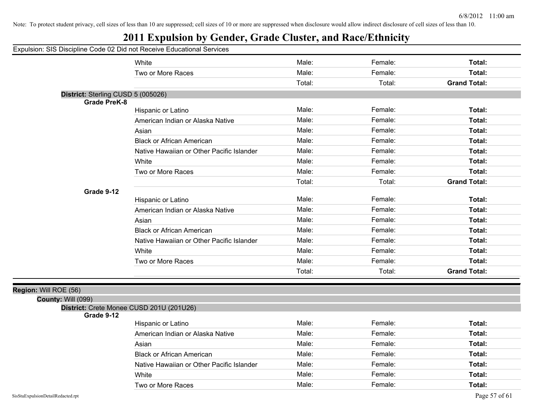## **2011 Expulsion by Gender, Grade Cluster, and Race/Ethnicity**

#### Expulsion: SIS Discipline Code 02 Did not Receive Educational Services

|                                                           | White                                     | Male:  | Female: | Total:              |
|-----------------------------------------------------------|-------------------------------------------|--------|---------|---------------------|
|                                                           | Two or More Races                         | Male:  | Female: | Total:              |
|                                                           |                                           | Total: | Total:  | <b>Grand Total:</b> |
| District: Sterling CUSD 5 (005026)<br><b>Grade PreK-8</b> |                                           |        |         |                     |
|                                                           | Hispanic or Latino                        | Male:  | Female: | Total:              |
|                                                           | American Indian or Alaska Native          | Male:  | Female: | Total:              |
|                                                           | Asian                                     | Male:  | Female: | Total:              |
|                                                           | <b>Black or African American</b>          | Male:  | Female: | Total:              |
|                                                           | Native Hawaiian or Other Pacific Islander | Male:  | Female: | Total:              |
|                                                           | White                                     | Male:  | Female: | Total:              |
|                                                           | Two or More Races                         | Male:  | Female: | Total:              |
|                                                           |                                           | Total: | Total:  | <b>Grand Total:</b> |
| Grade 9-12                                                |                                           |        |         |                     |
|                                                           | Hispanic or Latino                        | Male:  | Female: | Total:              |
|                                                           | American Indian or Alaska Native          | Male:  | Female: | Total:              |
|                                                           | Asian                                     | Male:  | Female: | Total:              |
|                                                           | <b>Black or African American</b>          | Male:  | Female: | Total:              |
|                                                           | Native Hawaiian or Other Pacific Islander | Male:  | Female: | Total:              |
|                                                           | White                                     | Male:  | Female: | Total:              |
|                                                           | Two or More Races                         | Male:  | Female: | Total:              |
|                                                           |                                           | Total: | Total:  | <b>Grand Total:</b> |
|                                                           |                                           |        |         |                     |
| Region: Will ROE (56)                                     |                                           |        |         |                     |
| County: Will (099)                                        | District: Crete Monee CUSD 201U (201U26)  |        |         |                     |
| Grade 9-12                                                |                                           |        |         |                     |
|                                                           | Hispanic or Latino                        | Male:  | Female: | Total:              |
|                                                           | American Indian or Alaska Native          | Male:  | Female: | Total:              |
|                                                           | Asian                                     | Male:  | Female: | Total:              |
|                                                           | <b>Black or African American</b>          | Male:  | Female: | Total:              |
|                                                           | Native Hawaiian or Other Pacific Islander | Male:  | Female: | Total:              |
|                                                           |                                           |        |         |                     |

White **Male:** Female: **Total:** Female: **Total:** Female: **Total:** Two or More Races **Total: Total: Male: Total: Total: Total: Total: Total: Total: Total: Total: Total: Total: Total: Total: Total: Total: Total: Total: Total: Total: Total: Total:**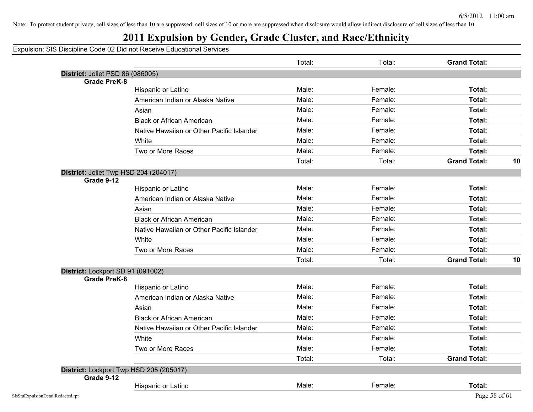## **2011 Expulsion by Gender, Grade Cluster, and Race/Ethnicity**

|                                         |                                           | Total: | Total:  | <b>Grand Total:</b> |    |
|-----------------------------------------|-------------------------------------------|--------|---------|---------------------|----|
| District: Joliet PSD 86 (086005)        |                                           |        |         |                     |    |
| <b>Grade PreK-8</b>                     |                                           |        |         |                     |    |
|                                         | Hispanic or Latino                        | Male:  | Female: | Total:              |    |
|                                         | American Indian or Alaska Native          | Male:  | Female: | Total:              |    |
|                                         | Asian                                     | Male:  | Female: | Total:              |    |
|                                         | <b>Black or African American</b>          | Male:  | Female: | Total:              |    |
|                                         | Native Hawaiian or Other Pacific Islander | Male:  | Female: | Total:              |    |
|                                         | White                                     | Male:  | Female: | Total:              |    |
|                                         | Two or More Races                         | Male:  | Female: | Total:              |    |
|                                         |                                           | Total: | Total:  | <b>Grand Total:</b> | 10 |
| District: Joliet Twp HSD 204 (204017)   |                                           |        |         |                     |    |
| Grade 9-12                              |                                           |        |         |                     |    |
|                                         | Hispanic or Latino                        | Male:  | Female: | Total:              |    |
|                                         | American Indian or Alaska Native          | Male:  | Female: | Total:              |    |
|                                         | Asian                                     | Male:  | Female: | Total:              |    |
|                                         | <b>Black or African American</b>          | Male:  | Female: | Total:              |    |
|                                         | Native Hawaiian or Other Pacific Islander | Male:  | Female: | Total:              |    |
|                                         | White                                     | Male:  | Female: | Total:              |    |
|                                         | Two or More Races                         | Male:  | Female: | Total:              |    |
|                                         |                                           | Total: | Total:  | <b>Grand Total:</b> | 10 |
| District: Lockport SD 91 (091002)       |                                           |        |         |                     |    |
| <b>Grade PreK-8</b>                     |                                           |        |         |                     |    |
|                                         | Hispanic or Latino                        | Male:  | Female: | Total:              |    |
|                                         | American Indian or Alaska Native          | Male:  | Female: | Total:              |    |
|                                         | Asian                                     | Male:  | Female: | Total:              |    |
|                                         | <b>Black or African American</b>          | Male:  | Female: | Total:              |    |
|                                         | Native Hawaiian or Other Pacific Islander | Male:  | Female: | Total:              |    |
|                                         | White                                     | Male:  | Female: | Total:              |    |
|                                         | Two or More Races                         | Male:  | Female: | Total:              |    |
|                                         |                                           | Total: | Total:  | <b>Grand Total:</b> |    |
| District: Lockport Twp HSD 205 (205017) |                                           |        |         |                     |    |
| Grade 9-12                              |                                           |        |         |                     |    |
|                                         | Hispanic or Latino                        | Male:  | Female: | Total:              |    |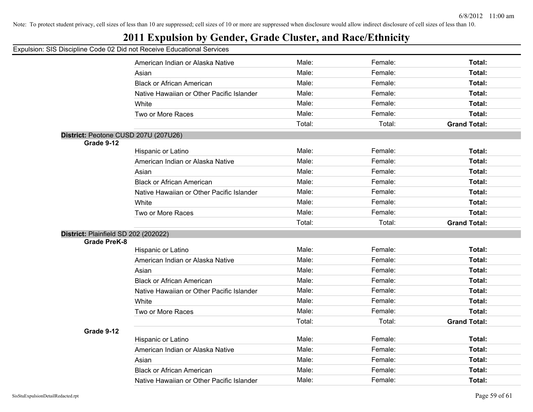## **2011 Expulsion by Gender, Grade Cluster, and Race/Ethnicity**

|                                                             |                                           | Male:  | Female: | Total:              |
|-------------------------------------------------------------|-------------------------------------------|--------|---------|---------------------|
|                                                             | American Indian or Alaska Native<br>Asian | Male:  | Female: | Total:              |
|                                                             | <b>Black or African American</b>          | Male:  | Female: | Total:              |
|                                                             | Native Hawaiian or Other Pacific Islander | Male:  | Female: | Total:              |
|                                                             |                                           |        |         |                     |
|                                                             | White                                     | Male:  | Female: | Total:              |
|                                                             | Two or More Races                         | Male:  | Female: | Total:              |
|                                                             |                                           | Total: | Total:  | <b>Grand Total:</b> |
|                                                             | District: Peotone CUSD 207U (207U26)      |        |         |                     |
| Grade 9-12                                                  | Hispanic or Latino                        | Male:  | Female: | Total:              |
|                                                             | American Indian or Alaska Native          | Male:  | Female: | Total:              |
|                                                             | Asian                                     | Male:  | Female: | Total:              |
|                                                             | <b>Black or African American</b>          | Male:  | Female: | Total:              |
|                                                             | Native Hawaiian or Other Pacific Islander | Male:  | Female: | Total:              |
|                                                             | White                                     | Male:  | Female: | Total:              |
|                                                             | Two or More Races                         | Male:  | Female: | Total:              |
|                                                             |                                           | Total: | Total:  | <b>Grand Total:</b> |
|                                                             |                                           |        |         |                     |
| District: Plainfield SD 202 (202022)<br><b>Grade PreK-8</b> |                                           |        |         |                     |
|                                                             | Hispanic or Latino                        | Male:  | Female: | Total:              |
|                                                             | American Indian or Alaska Native          | Male:  | Female: | <b>Total:</b>       |
|                                                             | Asian                                     | Male:  | Female: | Total:              |
|                                                             | <b>Black or African American</b>          | Male:  | Female: | Total:              |
|                                                             | Native Hawaiian or Other Pacific Islander | Male:  | Female: | Total:              |
|                                                             | White                                     | Male:  | Female: | Total:              |
|                                                             | Two or More Races                         | Male:  | Female: | <b>Total:</b>       |
|                                                             |                                           | Total: | Total:  | <b>Grand Total:</b> |
| Grade 9-12                                                  |                                           |        |         |                     |
|                                                             | Hispanic or Latino                        | Male:  | Female: | Total:              |
|                                                             | American Indian or Alaska Native          | Male:  | Female: | Total:              |
|                                                             | Asian                                     | Male:  | Female: | Total:              |
|                                                             | <b>Black or African American</b>          | Male:  | Female: | <b>Total:</b>       |
|                                                             | Native Hawaiian or Other Pacific Islander | Male:  | Female: | Total:              |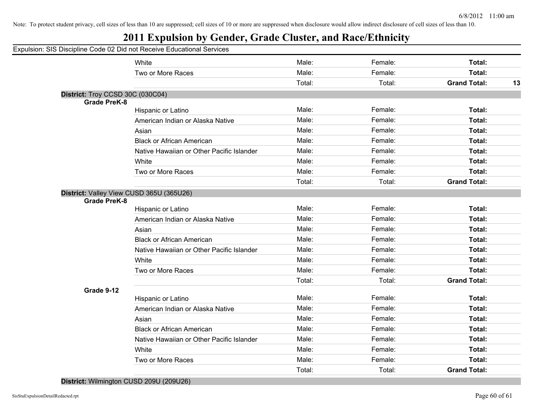## **2011 Expulsion by Gender, Grade Cluster, and Race/Ethnicity**

#### Expulsion: SIS Discipline Code 02 Did not Receive Educational Services

|                                  | White                                     | Male:  | Female: | Total:              |    |
|----------------------------------|-------------------------------------------|--------|---------|---------------------|----|
|                                  | Two or More Races                         | Male:  | Female: | Total:              |    |
|                                  |                                           | Total: | Total:  | <b>Grand Total:</b> | 13 |
| District: Troy CCSD 30C (030C04) |                                           |        |         |                     |    |
| <b>Grade PreK-8</b>              |                                           |        |         |                     |    |
|                                  | Hispanic or Latino                        | Male:  | Female: | Total:              |    |
|                                  | American Indian or Alaska Native          | Male:  | Female: | Total:              |    |
|                                  | Asian                                     | Male:  | Female: | Total:              |    |
|                                  | <b>Black or African American</b>          | Male:  | Female: | Total:              |    |
|                                  | Native Hawaiian or Other Pacific Islander | Male:  | Female: | Total:              |    |
|                                  | White                                     | Male:  | Female: | Total:              |    |
|                                  | Two or More Races                         | Male:  | Female: | Total:              |    |
|                                  |                                           | Total: | Total:  | <b>Grand Total:</b> |    |
| <b>Grade PreK-8</b>              | District: Valley View CUSD 365U (365U26)  |        |         |                     |    |
|                                  | Hispanic or Latino                        | Male:  | Female: | Total:              |    |
|                                  | American Indian or Alaska Native          | Male:  | Female: | Total:              |    |
|                                  | Asian                                     | Male:  | Female: | Total:              |    |
|                                  | <b>Black or African American</b>          | Male:  | Female: | Total:              |    |
|                                  | Native Hawaiian or Other Pacific Islander | Male:  | Female: | Total:              |    |
|                                  | White                                     | Male:  | Female: | Total:              |    |
|                                  | Two or More Races                         | Male:  | Female: | Total:              |    |
|                                  |                                           | Total: | Total:  | <b>Grand Total:</b> |    |
| Grade 9-12                       |                                           |        |         |                     |    |
|                                  | Hispanic or Latino                        | Male:  | Female: | Total:              |    |
|                                  | American Indian or Alaska Native          | Male:  | Female: | Total:              |    |
|                                  | Asian                                     | Male:  | Female: | Total:              |    |
|                                  | <b>Black or African American</b>          | Male:  | Female: | Total:              |    |
|                                  | Native Hawaiian or Other Pacific Islander | Male:  | Female: | Total:              |    |
|                                  | White                                     | Male:  | Female: | Total:              |    |
|                                  | Two or More Races                         | Male:  | Female: | Total:              |    |
|                                  |                                           | Total: | Total:  | <b>Grand Total:</b> |    |
|                                  |                                           |        |         |                     |    |

**District:** Wilmington CUSD 209U (209U26)